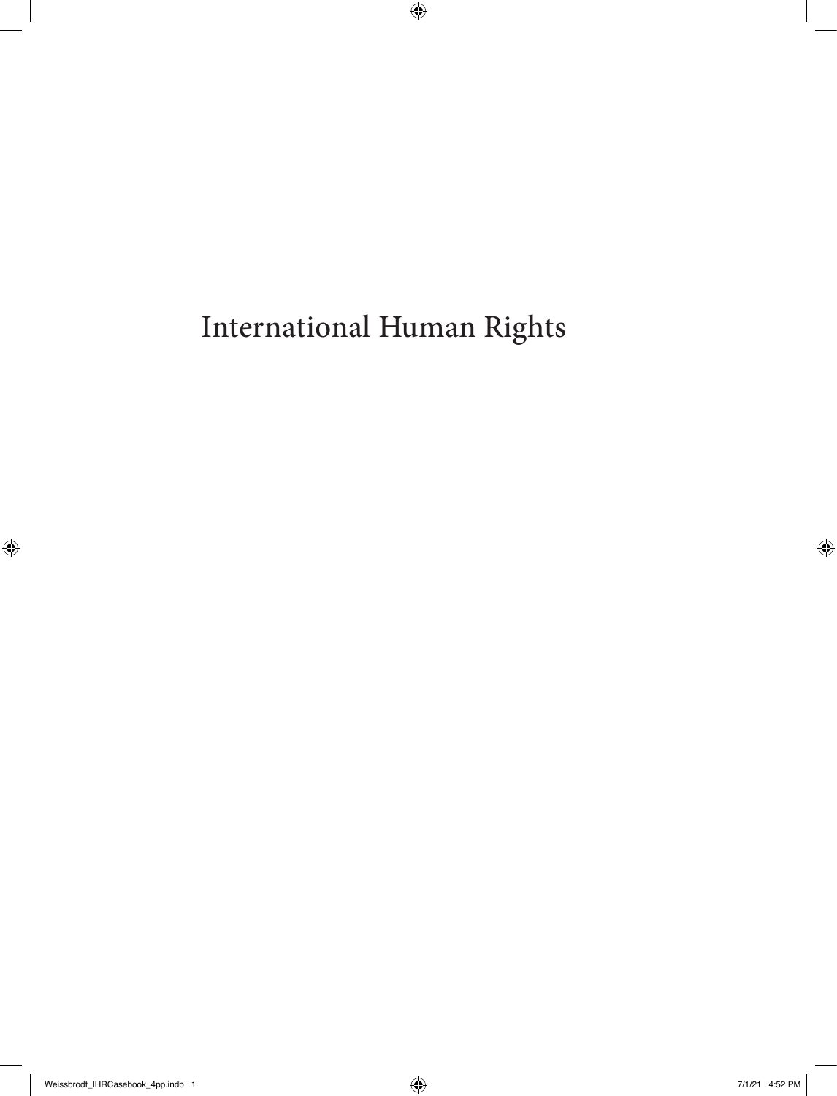International Human Rights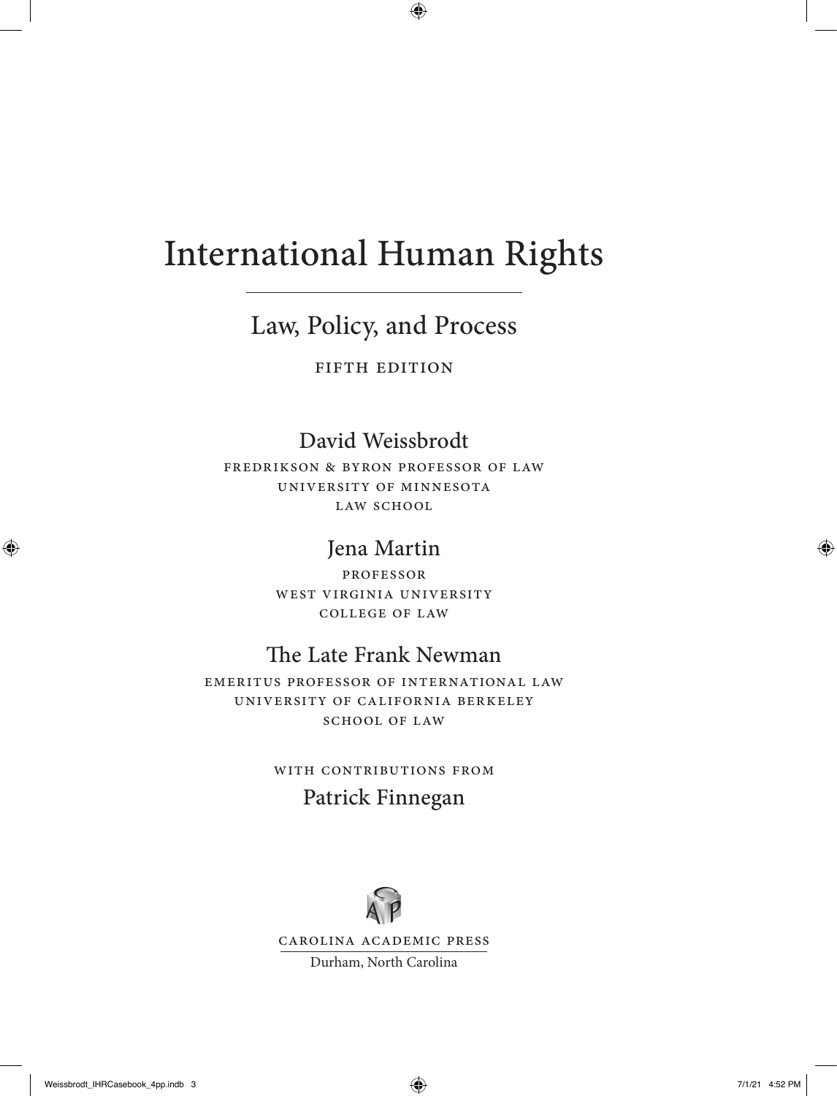# International Human Rights

## Law, Policy, and Process

FIFTH EDITION

#### David Weissbrodt

Fredrikson & Byron Professor of Law University of Minnesota LAW SCHOOL

#### Jena Martin

Professor WEST VIRGINIA UNIVERSITY College of Law

### The Late Frank Newman

Emeritus professor of international law University of California Berkeley SCHOOL OF LAW

#### WITH CONTRIBUTIONS FROM

#### Patrick Finnegan



Carolina Academic Press

Durham, North Carolina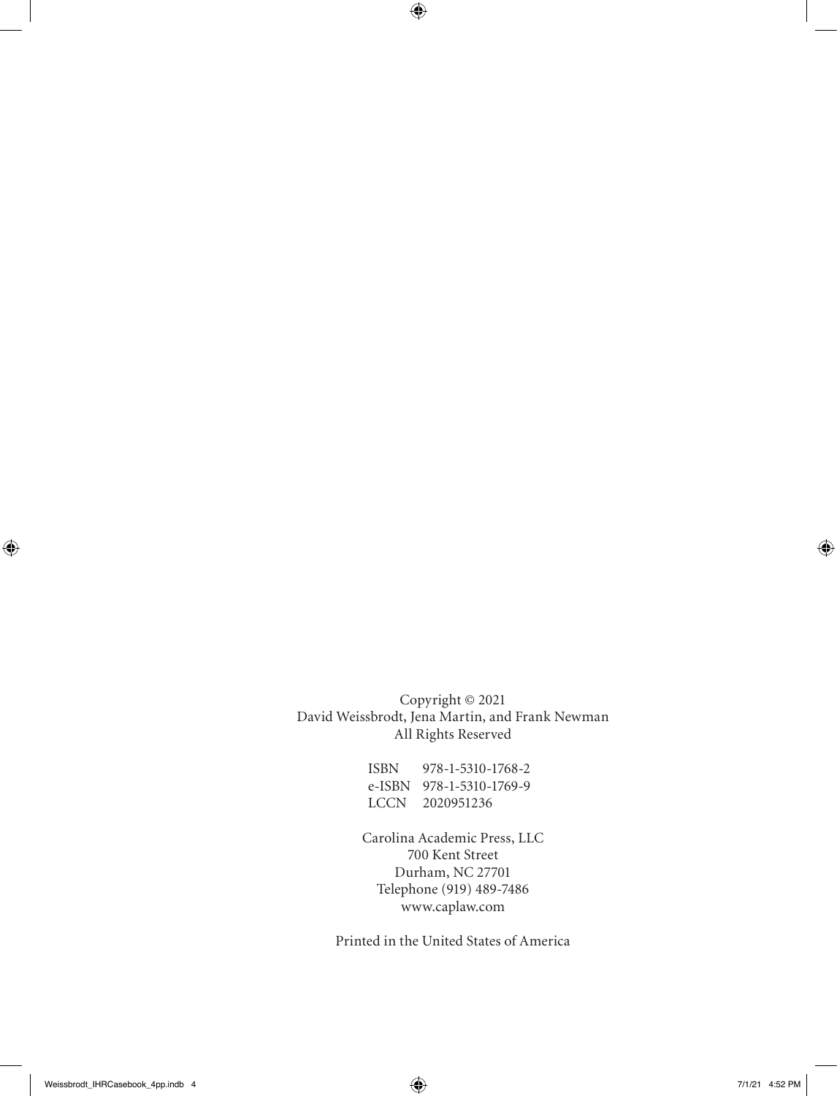Copyright © 2021 David Weissbrodt, Jena Martin, and Frank Newman All Rights Reserved

> ISBN 978-1-5310-1768-2 e-ISBN 978-1-5310-1769-9 LCCN 2020951236

Carolina Academic Press, LLC 700 Kent Street Durham, NC 27701 Telephone (919) 489-7486 www.caplaw.com

Printed in the United States of America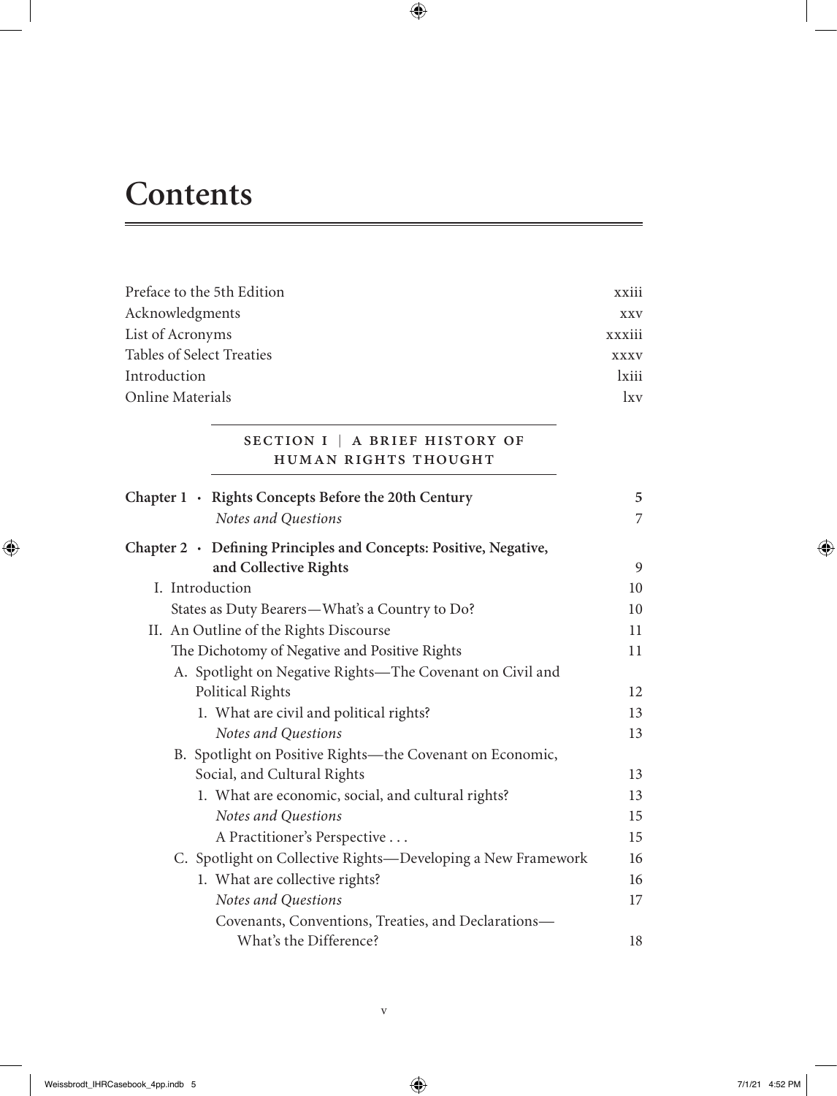# **Contents**

| Preface to the 5th Edition                                                                       | xxiii                |
|--------------------------------------------------------------------------------------------------|----------------------|
| Acknowledgments                                                                                  |                      |
| List of Acronyms                                                                                 | xxxiii               |
| <b>Tables of Select Treaties</b>                                                                 | <b>XXXV</b>          |
| Introduction                                                                                     |                      |
| Online Materials                                                                                 | $l$ <sub>x</sub> $v$ |
| SECTION I   A BRIEF HISTORY OF<br>HUMAN RIGHTS THOUGHT                                           |                      |
| Chapter 1 · Rights Concepts Before the 20th Century                                              | 5                    |
| Notes and Questions                                                                              | $\overline{7}$       |
| Chapter $2 \cdot$ Defining Principles and Concepts: Positive, Negative,<br>and Collective Rights | 9                    |
| I. Introduction                                                                                  | 10                   |
| States as Duty Bearers-What's a Country to Do?                                                   | 10                   |
| II. An Outline of the Rights Discourse                                                           | 11                   |
| The Dichotomy of Negative and Positive Rights                                                    | 11                   |
| A. Spotlight on Negative Rights-The Covenant on Civil and<br>Political Rights                    | 12                   |
| 1. What are civil and political rights?                                                          | 13                   |
| Notes and Questions                                                                              | 13                   |
| B. Spotlight on Positive Rights-the Covenant on Economic,                                        |                      |
| Social, and Cultural Rights                                                                      | 13                   |
| 1. What are economic, social, and cultural rights?                                               | 13                   |
| Notes and Questions                                                                              | 15                   |
| A Practitioner's Perspective                                                                     | 15                   |
| C. Spotlight on Collective Rights-Developing a New Framework                                     | 16                   |
| 1. What are collective rights?                                                                   | 16                   |
| Notes and Questions                                                                              | 17                   |
| Covenants, Conventions, Treaties, and Declarations-<br>What's the Difference?                    | 18                   |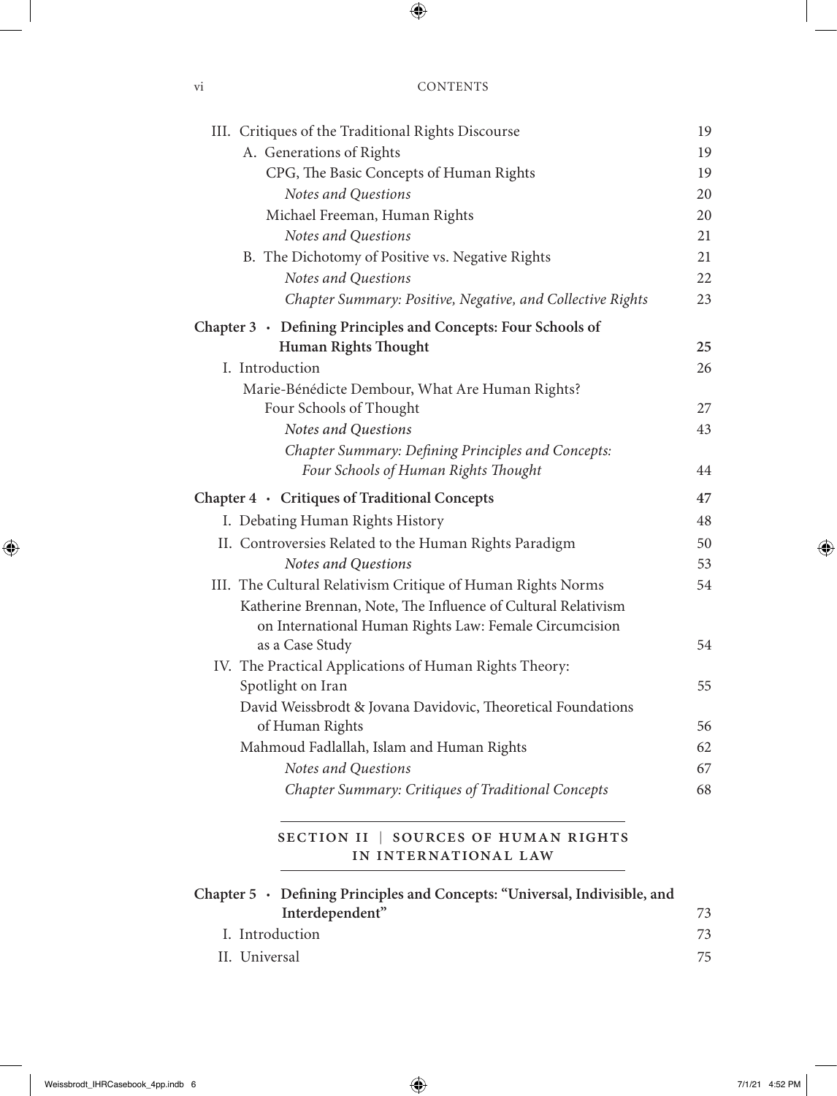| III. Critiques of the Traditional Rights Discourse                              | 19 |
|---------------------------------------------------------------------------------|----|
| A. Generations of Rights                                                        | 19 |
| CPG, The Basic Concepts of Human Rights                                         | 19 |
| Notes and Questions                                                             | 20 |
| Michael Freeman, Human Rights                                                   | 20 |
| Notes and Questions                                                             | 21 |
| B. The Dichotomy of Positive vs. Negative Rights                                | 21 |
| Notes and Questions                                                             | 22 |
| Chapter Summary: Positive, Negative, and Collective Rights                      | 23 |
| Chapter 3 • Defining Principles and Concepts: Four Schools of                   |    |
| Human Rights Thought                                                            | 25 |
| I. Introduction                                                                 | 26 |
| Marie-Bénédicte Dembour, What Are Human Rights?                                 |    |
| Four Schools of Thought                                                         | 27 |
| Notes and Questions                                                             | 43 |
| Chapter Summary: Defining Principles and Concepts:                              |    |
| Four Schools of Human Rights Thought                                            | 44 |
| Chapter 4 · Critiques of Traditional Concepts                                   | 47 |
| I. Debating Human Rights History                                                | 48 |
| II. Controversies Related to the Human Rights Paradigm                          | 50 |
| Notes and Questions                                                             | 53 |
| III. The Cultural Relativism Critique of Human Rights Norms                     | 54 |
| Katherine Brennan, Note, The Influence of Cultural Relativism                   |    |
| on International Human Rights Law: Female Circumcision                          |    |
| as a Case Study                                                                 | 54 |
| IV. The Practical Applications of Human Rights Theory:                          |    |
| Spotlight on Iran                                                               | 55 |
| David Weissbrodt & Jovana Davidovic, Theoretical Foundations<br>of Human Rights | 56 |
| Mahmoud Fadlallah, Islam and Human Rights                                       | 62 |
| Notes and Questions                                                             | 67 |
| Chapter Summary: Critiques of Traditional Concepts                              | 68 |
|                                                                                 |    |
| SECTION II   SOURCES OF HUMAN RIGHTS                                            |    |
| IN INTERNATIONAL LAW                                                            |    |

| Chapter 5 · Defining Principles and Concepts: "Universal, Indivisible, and |    |
|----------------------------------------------------------------------------|----|
| Interdependent"                                                            | 73 |
| I. Introduction                                                            |    |
| II. Universal                                                              | 75 |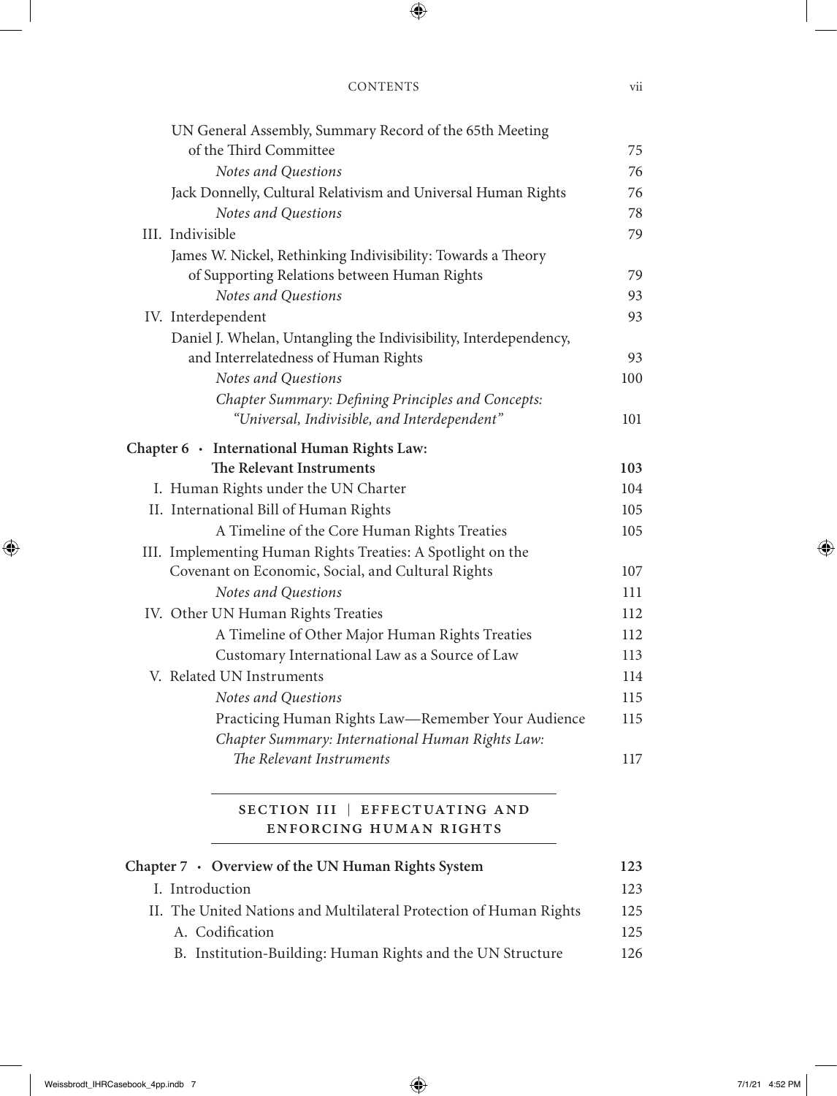| UN General Assembly, Summary Record of the 65th Meeting<br>of the Third Committee | 75  |
|-----------------------------------------------------------------------------------|-----|
| Notes and Questions                                                               | 76  |
| Jack Donnelly, Cultural Relativism and Universal Human Rights                     | 76  |
| Notes and Questions                                                               | 78  |
| III. Indivisible                                                                  | 79  |
| James W. Nickel, Rethinking Indivisibility: Towards a Theory                      |     |
| of Supporting Relations between Human Rights                                      | 79  |
| Notes and Questions                                                               | 93  |
| IV. Interdependent                                                                | 93  |
| Daniel J. Whelan, Untangling the Indivisibility, Interdependency,                 |     |
| and Interrelatedness of Human Rights                                              | 93  |
| Notes and Questions                                                               | 100 |
| Chapter Summary: Defining Principles and Concepts:                                |     |
| "Universal, Indivisible, and Interdependent"                                      | 101 |
| Chapter 6 · International Human Rights Law:                                       |     |
| The Relevant Instruments                                                          | 103 |
| I. Human Rights under the UN Charter                                              | 104 |
| II. International Bill of Human Rights                                            | 105 |
| A Timeline of the Core Human Rights Treaties                                      | 105 |
| III. Implementing Human Rights Treaties: A Spotlight on the                       |     |
| Covenant on Economic, Social, and Cultural Rights                                 | 107 |
| Notes and Questions                                                               | 111 |
| IV. Other UN Human Rights Treaties                                                | 112 |
| A Timeline of Other Major Human Rights Treaties                                   | 112 |
| Customary International Law as a Source of Law                                    | 113 |
| V. Related UN Instruments                                                         | 114 |
| Notes and Questions                                                               | 115 |
| Practicing Human Rights Law-Remember Your Audience                                | 115 |
| Chapter Summary: International Human Rights Law:                                  |     |
| The Relevant Instruments                                                          | 117 |
|                                                                                   |     |
|                                                                                   |     |

#### SECTION III | EFFECTUATING AND Enforcing Human Rights

| Chapter 7 • Overview of the UN Human Rights System                 |      |
|--------------------------------------------------------------------|------|
| I. Introduction                                                    | 123  |
| II. The United Nations and Multilateral Protection of Human Rights | 125  |
| A. Codification                                                    | 125. |
| B. Institution-Building: Human Rights and the UN Structure         | 126. |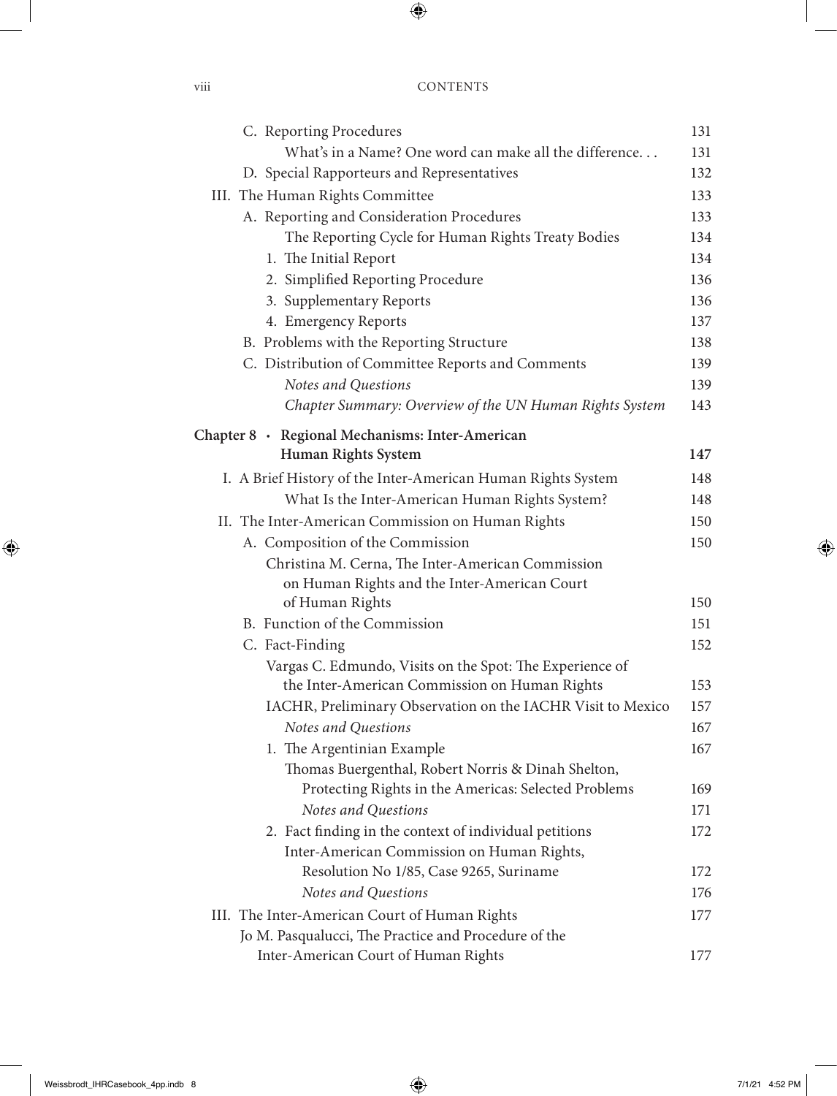| C. Reporting Procedures                                      | 131 |
|--------------------------------------------------------------|-----|
| What's in a Name? One word can make all the difference       | 131 |
| D. Special Rapporteurs and Representatives                   | 132 |
| III. The Human Rights Committee                              | 133 |
| A. Reporting and Consideration Procedures                    | 133 |
| The Reporting Cycle for Human Rights Treaty Bodies           | 134 |
| 1. The Initial Report                                        | 134 |
| 2. Simplified Reporting Procedure                            | 136 |
| 3. Supplementary Reports                                     | 136 |
| 4. Emergency Reports                                         | 137 |
| B. Problems with the Reporting Structure                     | 138 |
| C. Distribution of Committee Reports and Comments            | 139 |
| Notes and Questions                                          | 139 |
| Chapter Summary: Overview of the UN Human Rights System      | 143 |
| Chapter 8 · Regional Mechanisms: Inter-American              |     |
| <b>Human Rights System</b>                                   | 147 |
| I. A Brief History of the Inter-American Human Rights System | 148 |
| What Is the Inter-American Human Rights System?              | 148 |
| II. The Inter-American Commission on Human Rights            |     |
| A. Composition of the Commission                             | 150 |
| Christina M. Cerna, The Inter-American Commission            |     |
| on Human Rights and the Inter-American Court                 |     |
| of Human Rights                                              | 150 |
| B. Function of the Commission                                | 151 |
| C. Fact-Finding                                              | 152 |
| Vargas C. Edmundo, Visits on the Spot: The Experience of     |     |
| the Inter-American Commission on Human Rights                | 153 |
| IACHR, Preliminary Observation on the IACHR Visit to Mexico  | 157 |
| Notes and Questions                                          | 167 |
| 1. The Argentinian Example                                   | 167 |
| Thomas Buergenthal, Robert Norris & Dinah Shelton,           |     |
| Protecting Rights in the Americas: Selected Problems         | 169 |
| Notes and Questions                                          | 171 |
| 2. Fact finding in the context of individual petitions       | 172 |
| Inter-American Commission on Human Rights,                   |     |
| Resolution No 1/85, Case 9265, Suriname                      | 172 |
| Notes and Questions                                          | 176 |
| III. The Inter-American Court of Human Rights                | 177 |
| Jo M. Pasqualucci, The Practice and Procedure of the         |     |
| Inter-American Court of Human Rights                         | 177 |

viii CC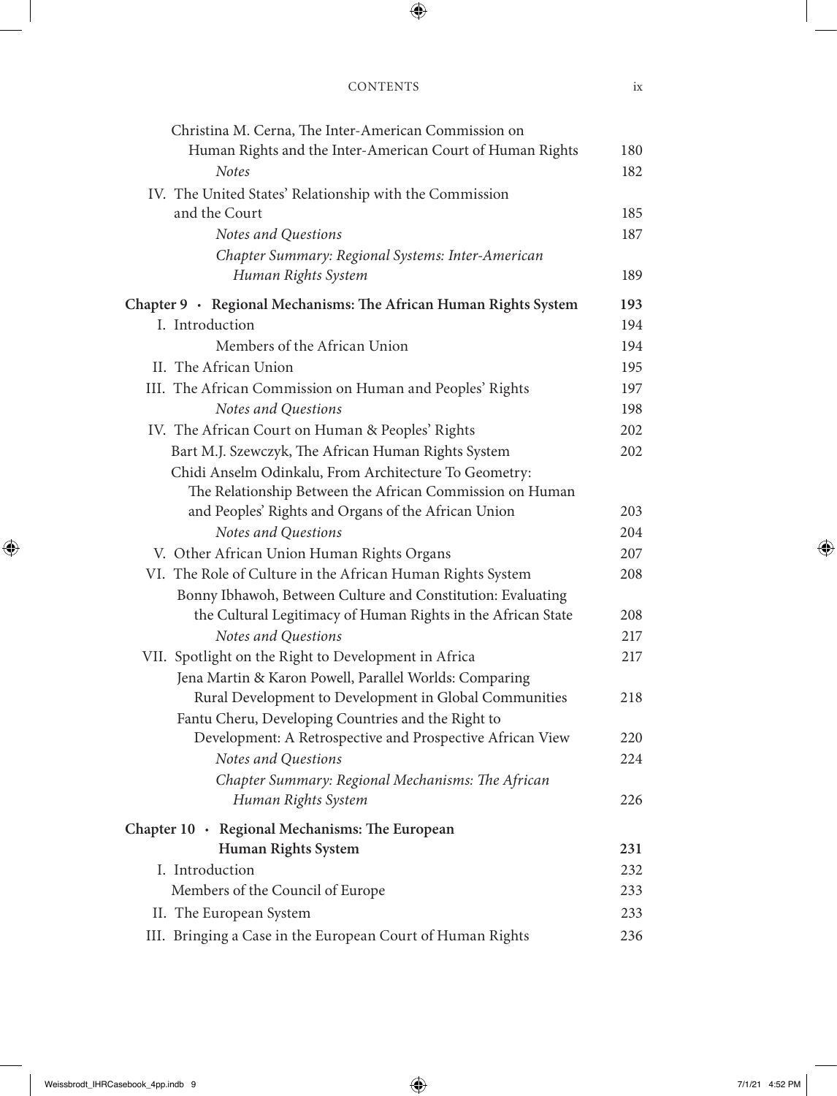| Christina M. Cerna, The Inter-American Commission on             |     |
|------------------------------------------------------------------|-----|
| Human Rights and the Inter-American Court of Human Rights        | 180 |
| <b>Notes</b>                                                     | 182 |
| IV. The United States' Relationship with the Commission          |     |
| and the Court                                                    | 185 |
| Notes and Questions                                              | 187 |
| Chapter Summary: Regional Systems: Inter-American                |     |
| Human Rights System                                              | 189 |
| Chapter 9 · Regional Mechanisms: The African Human Rights System | 193 |
| I. Introduction                                                  | 194 |
| Members of the African Union                                     | 194 |
| II. The African Union                                            | 195 |
| III. The African Commission on Human and Peoples' Rights         | 197 |
| Notes and Questions                                              | 198 |
| IV. The African Court on Human & Peoples' Rights                 | 202 |
| Bart M.J. Szewczyk, The African Human Rights System              | 202 |
| Chidi Anselm Odinkalu, From Architecture To Geometry:            |     |
| The Relationship Between the African Commission on Human         |     |
| and Peoples' Rights and Organs of the African Union              | 203 |
| Notes and Questions                                              | 204 |
| V. Other African Union Human Rights Organs                       | 207 |
| VI. The Role of Culture in the African Human Rights System       | 208 |
| Bonny Ibhawoh, Between Culture and Constitution: Evaluating      |     |
| the Cultural Legitimacy of Human Rights in the African State     | 208 |
| Notes and Questions                                              | 217 |
| VII. Spotlight on the Right to Development in Africa             | 217 |
| Jena Martin & Karon Powell, Parallel Worlds: Comparing           |     |
| Rural Development to Development in Global Communities           | 218 |
| Fantu Cheru, Developing Countries and the Right to               |     |
| Development: A Retrospective and Prospective African View        | 220 |
| Notes and Questions                                              | 224 |
| Chapter Summary: Regional Mechanisms: The African                |     |
| Human Rights System                                              | 226 |
| Chapter 10 · Regional Mechanisms: The European                   |     |
| <b>Human Rights System</b>                                       | 231 |
| I. Introduction                                                  | 232 |
| Members of the Council of Europe                                 | 233 |
| II. The European System                                          | 233 |
| III. Bringing a Case in the European Court of Human Rights       | 236 |
|                                                                  |     |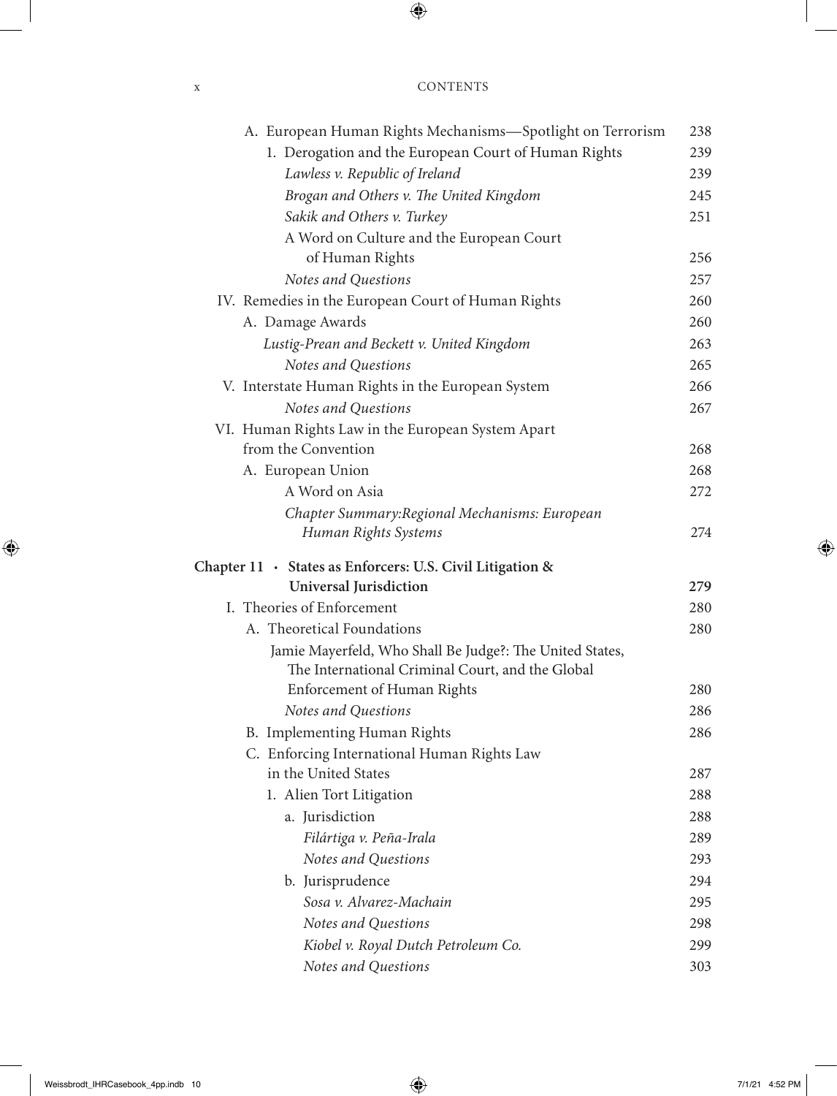| <b>CONTENTS</b> |
|-----------------|
|                 |

| A. European Human Rights Mechanisms-Spotlight on Terrorism | 238 |
|------------------------------------------------------------|-----|
| 1. Derogation and the European Court of Human Rights       | 239 |
| Lawless v. Republic of Ireland                             | 239 |
| Brogan and Others v. The United Kingdom                    | 245 |
| Sakik and Others v. Turkey                                 | 251 |
| A Word on Culture and the European Court                   |     |
| of Human Rights                                            | 256 |
| Notes and Questions                                        | 257 |
| IV. Remedies in the European Court of Human Rights         | 260 |
| A. Damage Awards                                           | 260 |
| Lustig-Prean and Beckett v. United Kingdom                 | 263 |
| Notes and Questions                                        | 265 |
| V. Interstate Human Rights in the European System          | 266 |
| Notes and Questions                                        | 267 |
| VI. Human Rights Law in the European System Apart          |     |
| from the Convention                                        | 268 |
| A. European Union                                          | 268 |
| A Word on Asia                                             | 272 |
| Chapter Summary: Regional Mechanisms: European             |     |
| Human Rights Systems                                       | 274 |
| Chapter 11 · States as Enforcers: U.S. Civil Litigation &  |     |
| <b>Universal Jurisdiction</b>                              | 279 |
| I. Theories of Enforcement                                 | 280 |
| A. Theoretical Foundations                                 | 280 |
| Jamie Mayerfeld, Who Shall Be Judge?: The United States,   |     |
| The International Criminal Court, and the Global           |     |
| Enforcement of Human Rights                                | 280 |
| Notes and Questions                                        | 286 |
| B. Implementing Human Rights                               | 286 |
| C. Enforcing International Human Rights Law                |     |
| in the United States                                       | 287 |
| 1. Alien Tort Litigation                                   | 288 |
| a. Jurisdiction                                            | 288 |
| Filártiga v. Peña-Irala                                    | 289 |
| Notes and Questions                                        | 293 |
| b. Jurisprudence                                           | 294 |
| Sosa v. Alvarez-Machain                                    | 295 |
| Notes and Questions                                        | 298 |
| Kiobel v. Royal Dutch Petroleum Co.                        | 299 |
| Notes and Questions                                        | 303 |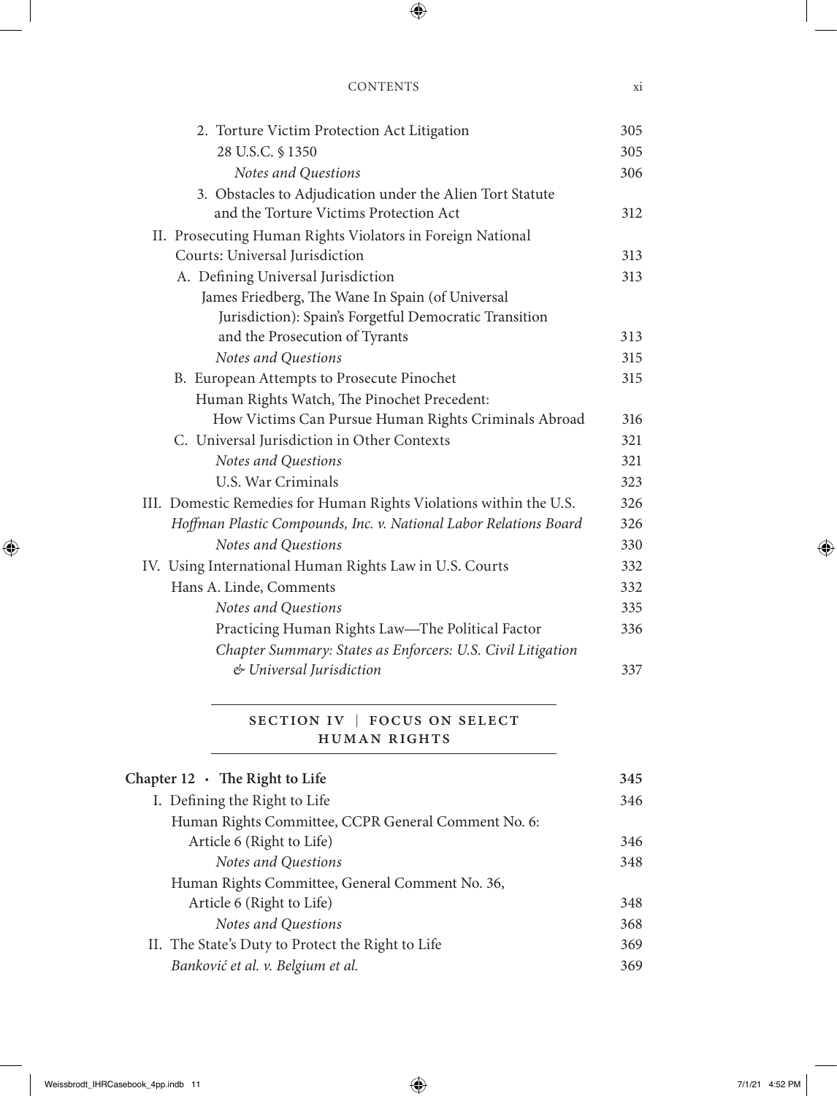| 305                                                                       |
|---------------------------------------------------------------------------|
| 305                                                                       |
| 306                                                                       |
|                                                                           |
| 312                                                                       |
|                                                                           |
| 313                                                                       |
| 313                                                                       |
|                                                                           |
|                                                                           |
| 313                                                                       |
| 315                                                                       |
| 315                                                                       |
|                                                                           |
| How Victims Can Pursue Human Rights Criminals Abroad<br>316               |
| 321                                                                       |
| 321                                                                       |
| 323                                                                       |
| III. Domestic Remedies for Human Rights Violations within the U.S.<br>326 |
| Hoffman Plastic Compounds, Inc. v. National Labor Relations Board<br>326  |
| 330                                                                       |
| 332                                                                       |
| 332                                                                       |
| 335                                                                       |
| 336                                                                       |
| Chapter Summary: States as Enforcers: U.S. Civil Litigation               |
| 337                                                                       |
|                                                                           |

#### SECTION IV | FOCUS ON SELECT Human Rights

| 345 |
|-----|
| 346 |
|     |
| 346 |
| 348 |
|     |
| 348 |
| 368 |
| 369 |
| 369 |
|     |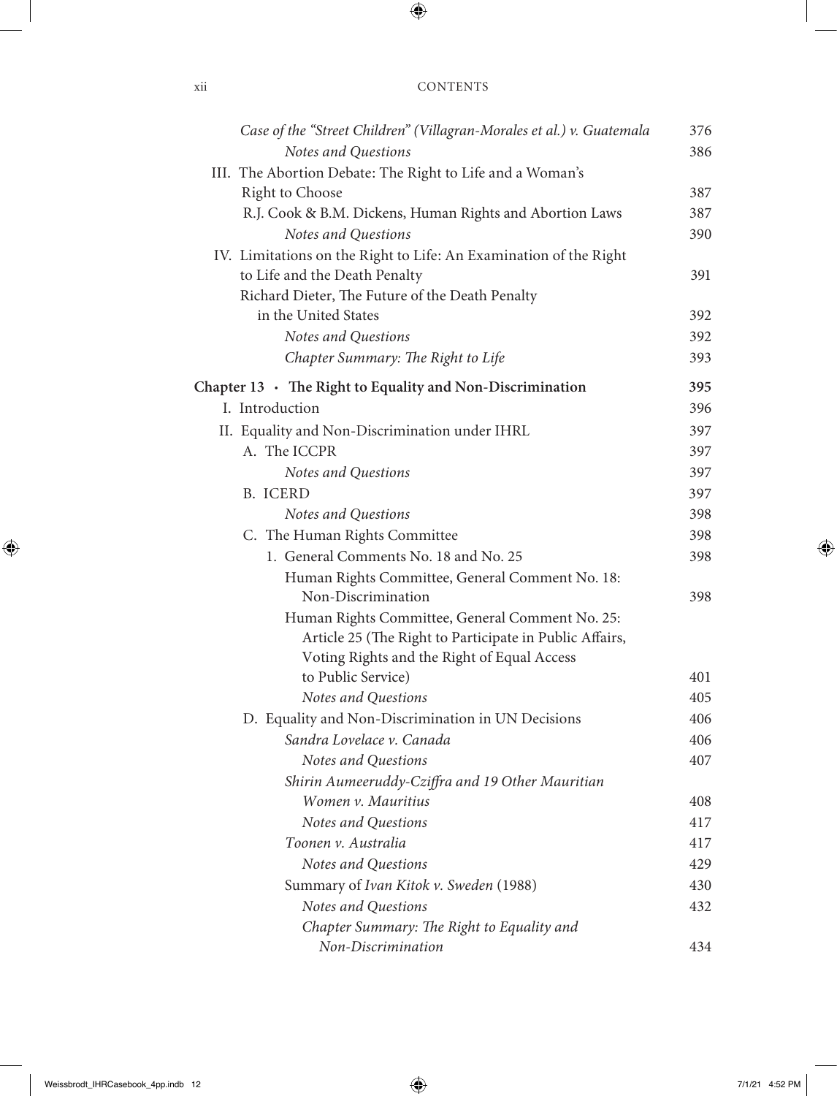| X11 | <b>CONTENTS</b> |
|-----|-----------------|
|     |                 |

| Case of the "Street Children" (Villagran-Morales et al.) v. Guatemala | 376 |
|-----------------------------------------------------------------------|-----|
| Notes and Questions                                                   | 386 |
| III. The Abortion Debate: The Right to Life and a Woman's             |     |
| <b>Right to Choose</b>                                                | 387 |
| R.J. Cook & B.M. Dickens, Human Rights and Abortion Laws              | 387 |
| Notes and Questions                                                   | 390 |
| IV. Limitations on the Right to Life: An Examination of the Right     |     |
| to Life and the Death Penalty                                         | 391 |
| Richard Dieter, The Future of the Death Penalty                       |     |
| in the United States                                                  | 392 |
| Notes and Questions                                                   | 392 |
| Chapter Summary: The Right to Life                                    | 393 |
| Chapter $13 \cdot$ The Right to Equality and Non-Discrimination       | 395 |
| I. Introduction                                                       | 396 |
| II. Equality and Non-Discrimination under IHRL                        | 397 |
| A. The ICCPR                                                          | 397 |
| Notes and Questions                                                   | 397 |
| <b>B.</b> ICERD                                                       | 397 |
| Notes and Questions                                                   | 398 |
| C. The Human Rights Committee                                         | 398 |
| 1. General Comments No. 18 and No. 25                                 | 398 |
| Human Rights Committee, General Comment No. 18:                       |     |
| Non-Discrimination                                                    | 398 |
| Human Rights Committee, General Comment No. 25:                       |     |
| Article 25 (The Right to Participate in Public Affairs,               |     |
| Voting Rights and the Right of Equal Access                           |     |
| to Public Service)                                                    | 401 |
| Notes and Questions                                                   | 405 |
| D. Equality and Non-Discrimination in UN Decisions                    | 406 |
| Sandra Lovelace v. Canada                                             | 406 |
| Notes and Questions                                                   | 407 |
| Shirin Aumeeruddy-Cziffra and 19 Other Mauritian                      |     |
| Women v. Mauritius                                                    | 408 |
| Notes and Questions                                                   | 417 |
| Toonen v. Australia                                                   | 417 |
| Notes and Questions                                                   | 429 |
| Summary of Ivan Kitok v. Sweden (1988)                                | 430 |
| Notes and Questions                                                   | 432 |
| Chapter Summary: The Right to Equality and                            |     |
| Non-Discrimination                                                    | 434 |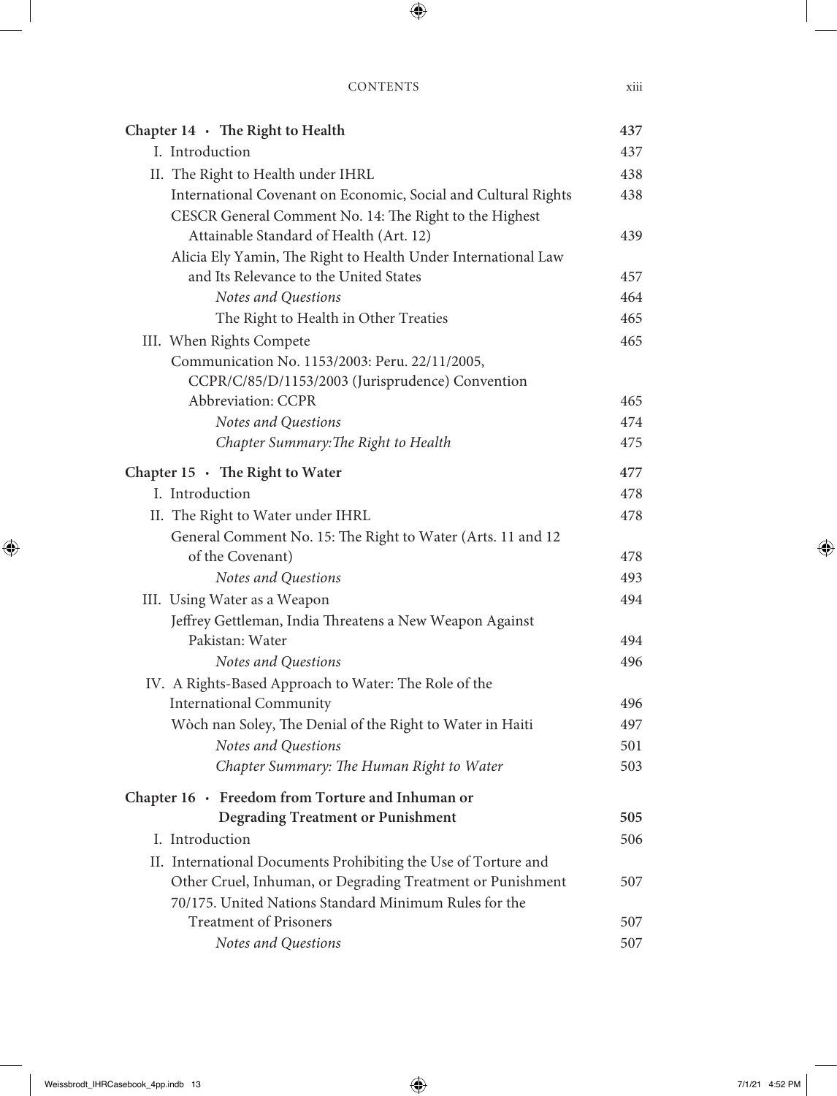| Chapter $14 \cdot$ The Right to Health                         | 437 |
|----------------------------------------------------------------|-----|
| I. Introduction                                                | 437 |
| II. The Right to Health under IHRL                             | 438 |
| International Covenant on Economic, Social and Cultural Rights | 438 |
| CESCR General Comment No. 14: The Right to the Highest         |     |
| Attainable Standard of Health (Art. 12)                        | 439 |
| Alicia Ely Yamin, The Right to Health Under International Law  |     |
| and Its Relevance to the United States                         | 457 |
| Notes and Questions                                            | 464 |
| The Right to Health in Other Treaties                          | 465 |
| III. When Rights Compete                                       | 465 |
| Communication No. 1153/2003: Peru. 22/11/2005,                 |     |
| CCPR/C/85/D/1153/2003 (Jurisprudence) Convention               |     |
| Abbreviation: CCPR                                             | 465 |
| Notes and Questions                                            | 474 |
| Chapter Summary: The Right to Health                           | 475 |
| Chapter $15 \cdot$ The Right to Water                          | 477 |
| I. Introduction                                                | 478 |
| II. The Right to Water under IHRL                              | 478 |
| General Comment No. 15: The Right to Water (Arts. 11 and 12    |     |
| of the Covenant)                                               | 478 |
| Notes and Questions                                            | 493 |
| III. Using Water as a Weapon                                   | 494 |
| Jeffrey Gettleman, India Threatens a New Weapon Against        |     |
| Pakistan: Water                                                | 494 |
| Notes and Questions                                            | 496 |
| IV. A Rights-Based Approach to Water: The Role of the          |     |
| <b>International Community</b>                                 | 496 |
| Wòch nan Soley, The Denial of the Right to Water in Haiti      | 497 |
| Notes and Questions                                            | 501 |
| Chapter Summary: The Human Right to Water                      | 503 |
| Chapter $16 \cdot$ Freedom from Torture and Inhuman or         |     |
| <b>Degrading Treatment or Punishment</b>                       | 505 |
| I. Introduction                                                | 506 |
| II. International Documents Prohibiting the Use of Torture and |     |
| Other Cruel, Inhuman, or Degrading Treatment or Punishment     | 507 |
| 70/175. United Nations Standard Minimum Rules for the          |     |
| <b>Treatment of Prisoners</b>                                  | 507 |
| Notes and Questions                                            | 507 |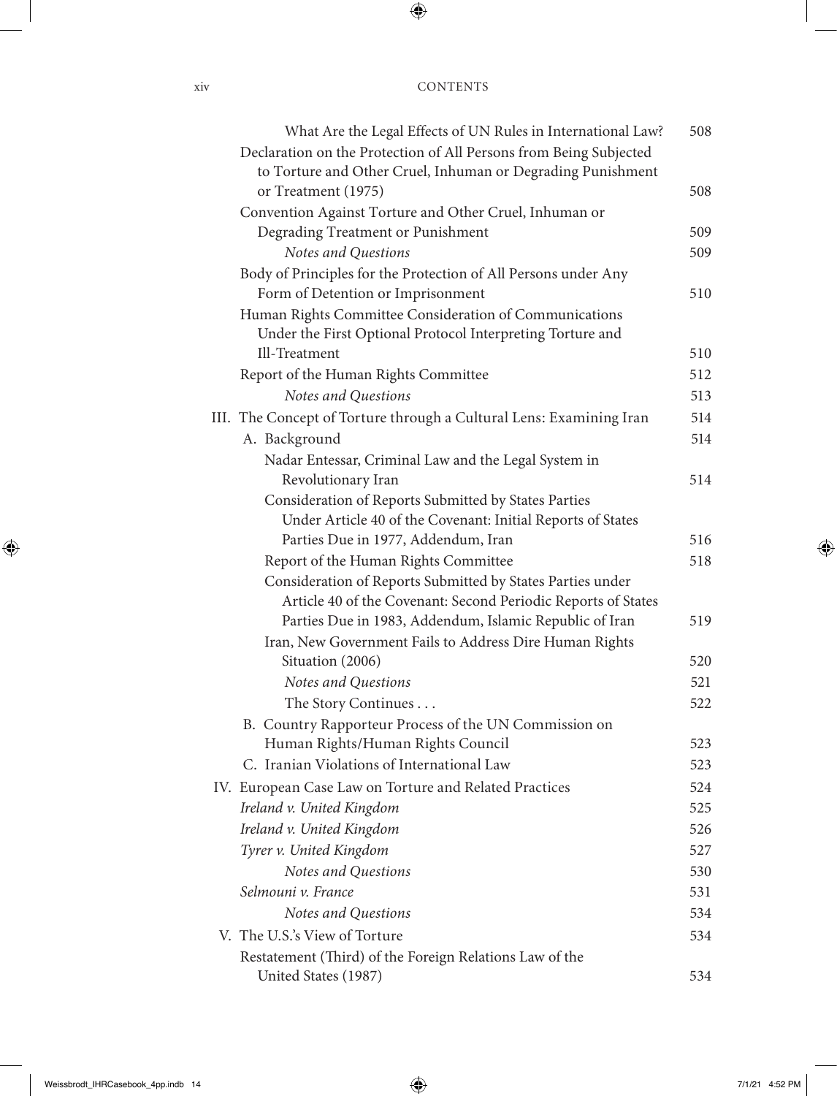| What Are the Legal Effects of UN Rules in International Law?        | 508 |
|---------------------------------------------------------------------|-----|
| Declaration on the Protection of All Persons from Being Subjected   |     |
| to Torture and Other Cruel, Inhuman or Degrading Punishment         |     |
| or Treatment (1975)                                                 | 508 |
| Convention Against Torture and Other Cruel, Inhuman or              |     |
| Degrading Treatment or Punishment                                   | 509 |
| Notes and Questions                                                 | 509 |
| Body of Principles for the Protection of All Persons under Any      |     |
| Form of Detention or Imprisonment                                   | 510 |
| Human Rights Committee Consideration of Communications              |     |
| Under the First Optional Protocol Interpreting Torture and          |     |
| Ill-Treatment                                                       | 510 |
| Report of the Human Rights Committee                                | 512 |
| Notes and Questions                                                 | 513 |
| III. The Concept of Torture through a Cultural Lens: Examining Iran | 514 |
| A. Background                                                       | 514 |
| Nadar Entessar, Criminal Law and the Legal System in                |     |
| Revolutionary Iran                                                  | 514 |
| Consideration of Reports Submitted by States Parties                |     |
| Under Article 40 of the Covenant: Initial Reports of States         |     |
| Parties Due in 1977, Addendum, Iran                                 | 516 |
| Report of the Human Rights Committee                                | 518 |
| Consideration of Reports Submitted by States Parties under          |     |
| Article 40 of the Covenant: Second Periodic Reports of States       |     |
| Parties Due in 1983, Addendum, Islamic Republic of Iran             | 519 |
| Iran, New Government Fails to Address Dire Human Rights             |     |
| Situation (2006)                                                    | 520 |
| Notes and Questions                                                 | 521 |
| The Story Continues                                                 | 522 |
| B. Country Rapporteur Process of the UN Commission on               |     |
| Human Rights/Human Rights Council                                   | 523 |
| C. Iranian Violations of International Law                          | 523 |
| IV. European Case Law on Torture and Related Practices              | 524 |
| Ireland v. United Kingdom                                           | 525 |
| Ireland v. United Kingdom                                           | 526 |
| Tyrer v. United Kingdom                                             | 527 |
| Notes and Questions                                                 | 530 |
| Selmouni v. France                                                  | 531 |
| Notes and Questions                                                 | 534 |
| V. The U.S.'s View of Torture                                       | 534 |
| Restatement (Third) of the Foreign Relations Law of the             |     |
| United States (1987)                                                | 534 |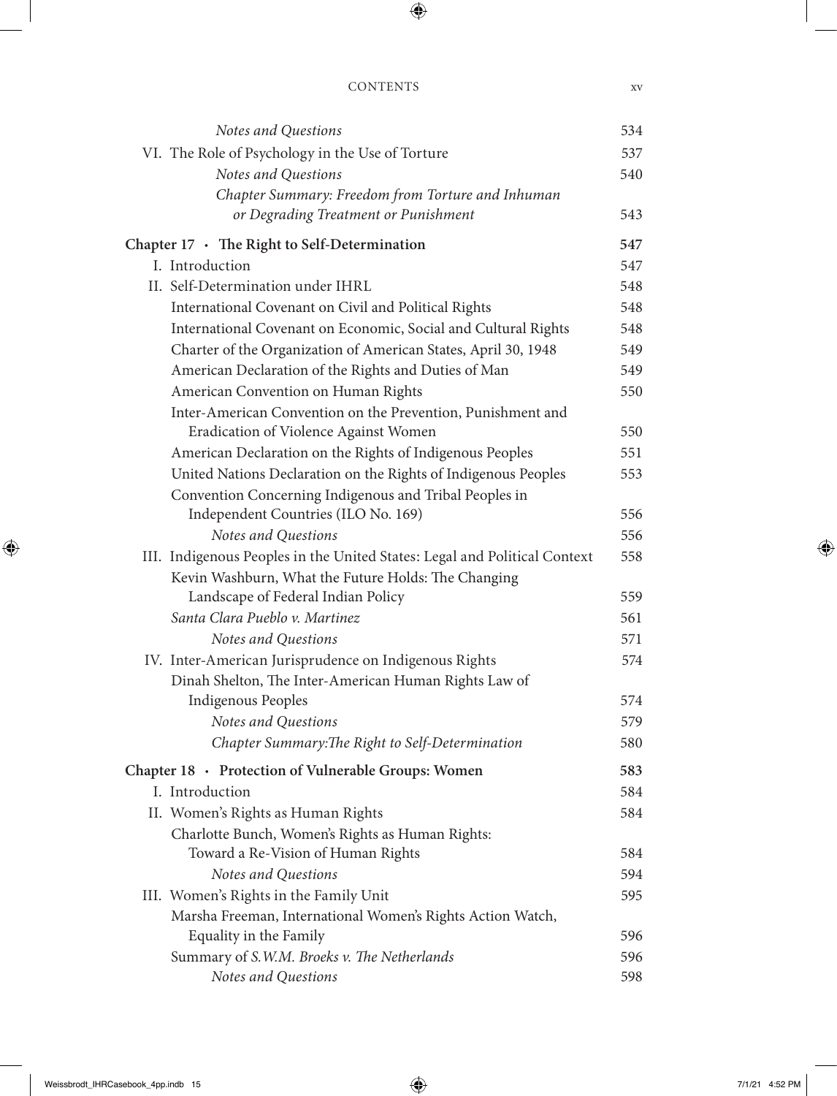| Notes and Questions                                                       | 534 |
|---------------------------------------------------------------------------|-----|
| VI. The Role of Psychology in the Use of Torture                          | 537 |
| Notes and Questions                                                       | 540 |
| Chapter Summary: Freedom from Torture and Inhuman                         |     |
| or Degrading Treatment or Punishment                                      | 543 |
| Chapter 17 · The Right to Self-Determination                              | 547 |
| I. Introduction                                                           | 547 |
| II. Self-Determination under IHRL                                         | 548 |
| International Covenant on Civil and Political Rights                      | 548 |
| International Covenant on Economic, Social and Cultural Rights            | 548 |
| Charter of the Organization of American States, April 30, 1948            | 549 |
| American Declaration of the Rights and Duties of Man                      | 549 |
| American Convention on Human Rights                                       | 550 |
| Inter-American Convention on the Prevention, Punishment and               |     |
| Eradication of Violence Against Women                                     | 550 |
| American Declaration on the Rights of Indigenous Peoples                  | 551 |
| United Nations Declaration on the Rights of Indigenous Peoples            | 553 |
| Convention Concerning Indigenous and Tribal Peoples in                    |     |
| Independent Countries (ILO No. 169)                                       | 556 |
| Notes and Questions                                                       | 556 |
| III. Indigenous Peoples in the United States: Legal and Political Context | 558 |
| Kevin Washburn, What the Future Holds: The Changing                       |     |
| Landscape of Federal Indian Policy                                        | 559 |
| Santa Clara Pueblo v. Martinez                                            | 561 |
| Notes and Questions                                                       | 571 |
| IV. Inter-American Jurisprudence on Indigenous Rights                     | 574 |
| Dinah Shelton, The Inter-American Human Rights Law of                     |     |
| <b>Indigenous Peoples</b>                                                 | 574 |
| Notes and Questions                                                       | 579 |
| Chapter Summary: The Right to Self-Determination                          | 580 |
| Chapter 18 · Protection of Vulnerable Groups: Women                       | 583 |
| I. Introduction                                                           | 584 |
| II. Women's Rights as Human Rights                                        | 584 |
| Charlotte Bunch, Women's Rights as Human Rights:                          |     |
| Toward a Re-Vision of Human Rights                                        | 584 |
| Notes and Questions                                                       | 594 |
| III. Women's Rights in the Family Unit                                    | 595 |
| Marsha Freeman, International Women's Rights Action Watch,                |     |
| Equality in the Family                                                    | 596 |
| Summary of S.W.M. Broeks v. The Netherlands                               | 596 |
| Notes and Questions                                                       | 598 |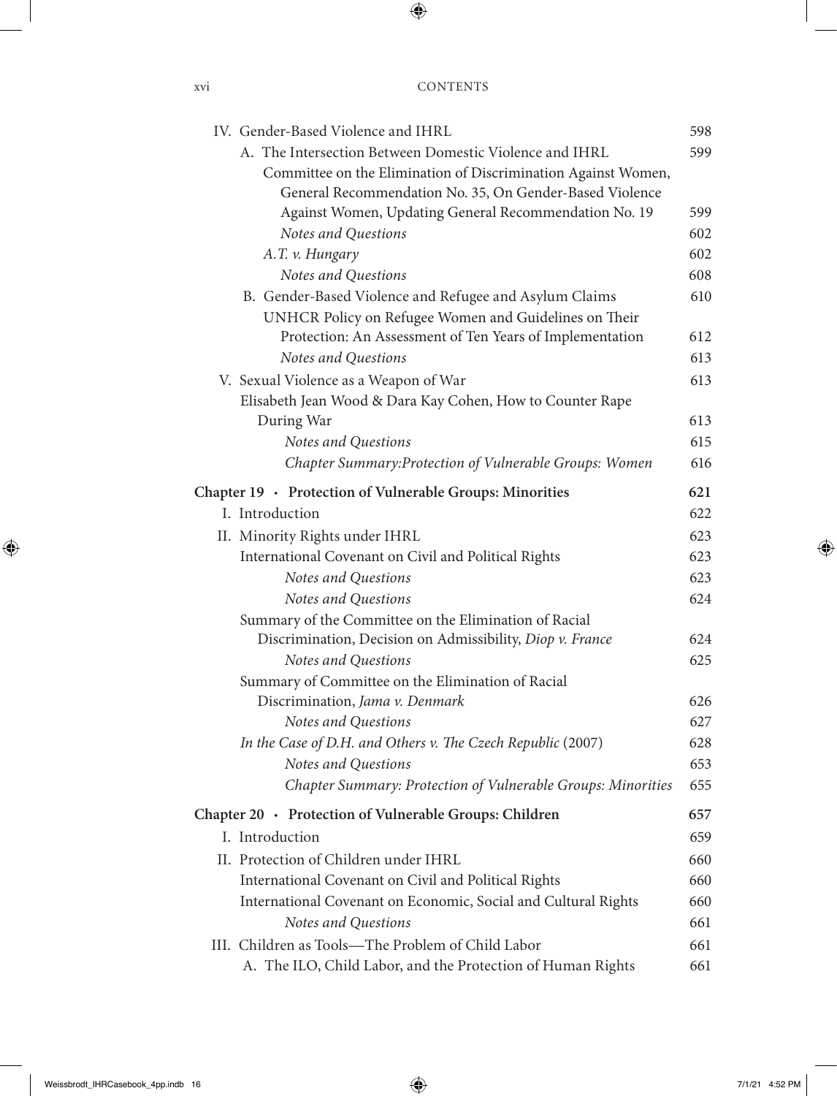| IV. Gender-Based Violence and IHRL                              | 598 |
|-----------------------------------------------------------------|-----|
| A. The Intersection Between Domestic Violence and IHRL          | 599 |
| Committee on the Elimination of Discrimination Against Women,   |     |
| General Recommendation No. 35, On Gender-Based Violence         |     |
| Against Women, Updating General Recommendation No. 19           | 599 |
| Notes and Questions                                             | 602 |
| A.T. v. Hungary                                                 | 602 |
| Notes and Questions                                             | 608 |
| B. Gender-Based Violence and Refugee and Asylum Claims          | 610 |
| UNHCR Policy on Refugee Women and Guidelines on Their           |     |
| Protection: An Assessment of Ten Years of Implementation        | 612 |
| Notes and Questions                                             | 613 |
| V. Sexual Violence as a Weapon of War                           | 613 |
| Elisabeth Jean Wood & Dara Kay Cohen, How to Counter Rape       |     |
| During War                                                      | 613 |
| Notes and Questions                                             | 615 |
| Chapter Summary: Protection of Vulnerable Groups: Women         | 616 |
| 621<br>Chapter 19 · Protection of Vulnerable Groups: Minorities |     |
| I. Introduction                                                 | 622 |
| II. Minority Rights under IHRL                                  | 623 |
| International Covenant on Civil and Political Rights            | 623 |
| Notes and Questions                                             | 623 |
| Notes and Questions                                             | 624 |
| Summary of the Committee on the Elimination of Racial           |     |
| Discrimination, Decision on Admissibility, Diop v. France       | 624 |
| Notes and Questions                                             | 625 |
| Summary of Committee on the Elimination of Racial               |     |
| Discrimination, Jama v. Denmark                                 | 626 |
| Notes and Questions                                             | 627 |
| In the Case of D.H. and Others v. The Czech Republic (2007)     | 628 |
| Notes and Questions                                             | 653 |
| Chapter Summary: Protection of Vulnerable Groups: Minorities    | 655 |
| Chapter 20 · Protection of Vulnerable Groups: Children          | 657 |
| I. Introduction                                                 | 659 |
| II. Protection of Children under IHRL                           | 660 |
| International Covenant on Civil and Political Rights            | 660 |
| International Covenant on Economic, Social and Cultural Rights  | 660 |
| Notes and Questions                                             | 661 |
| III. Children as Tools-The Problem of Child Labor               | 661 |
| A. The ILO, Child Labor, and the Protection of Human Rights     | 661 |

xvi CC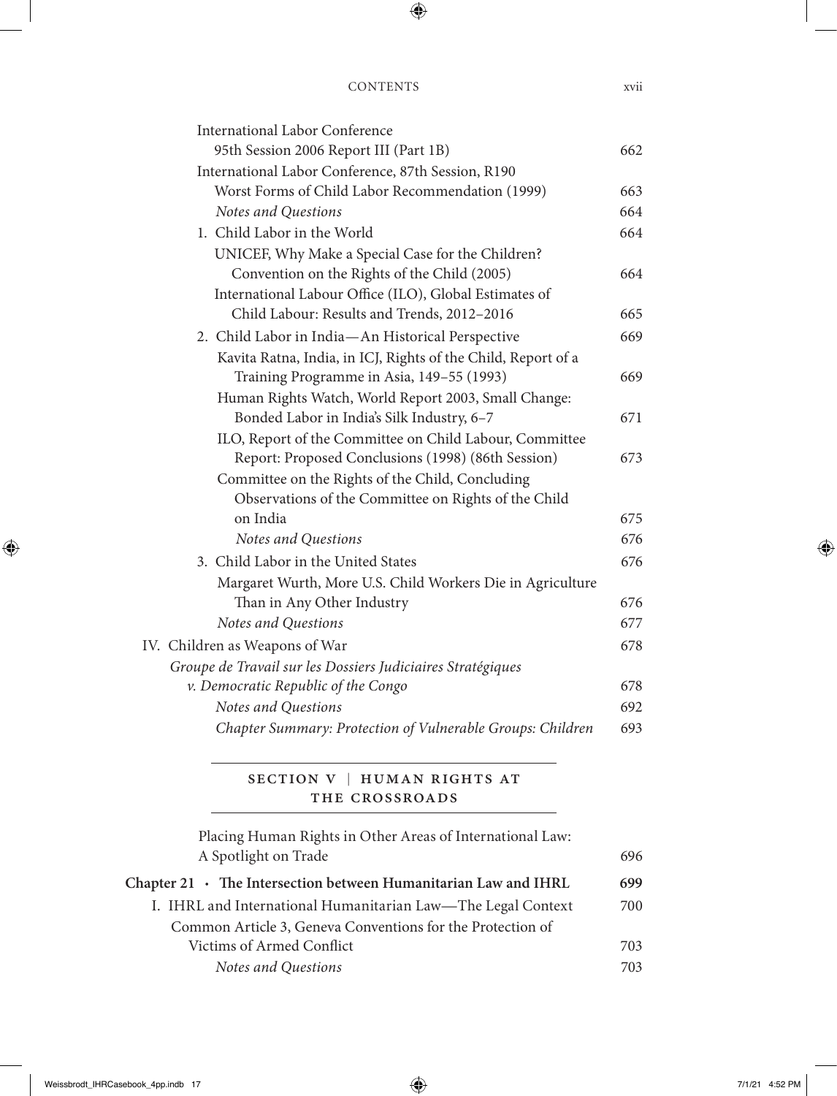| <b>International Labor Conference</b>                         |     |
|---------------------------------------------------------------|-----|
| 95th Session 2006 Report III (Part 1B)                        | 662 |
| International Labor Conference, 87th Session, R190            |     |
| Worst Forms of Child Labor Recommendation (1999)              | 663 |
| Notes and Questions                                           | 664 |
| 1. Child Labor in the World                                   | 664 |
| UNICEF, Why Make a Special Case for the Children?             |     |
| Convention on the Rights of the Child (2005)                  | 664 |
| International Labour Office (ILO), Global Estimates of        |     |
| Child Labour: Results and Trends, 2012-2016                   | 665 |
| 2. Child Labor in India-An Historical Perspective             | 669 |
| Kavita Ratna, India, in ICJ, Rights of the Child, Report of a |     |
| Training Programme in Asia, 149-55 (1993)                     | 669 |
| Human Rights Watch, World Report 2003, Small Change:          |     |
| Bonded Labor in India's Silk Industry, 6-7                    | 671 |
| ILO, Report of the Committee on Child Labour, Committee       |     |
| Report: Proposed Conclusions (1998) (86th Session)            | 673 |
| Committee on the Rights of the Child, Concluding              |     |
| Observations of the Committee on Rights of the Child          |     |
| on India                                                      | 675 |
| Notes and Questions                                           | 676 |
| 3. Child Labor in the United States                           | 676 |
| Margaret Wurth, More U.S. Child Workers Die in Agriculture    |     |
| Than in Any Other Industry                                    | 676 |
| Notes and Questions                                           | 677 |
| IV. Children as Weapons of War                                | 678 |
| Groupe de Travail sur les Dossiers Judiciaires Stratégiques   |     |
| v. Democratic Republic of the Congo                           | 678 |
| Notes and Questions                                           | 692 |
| Chapter Summary: Protection of Vulnerable Groups: Children    | 693 |
|                                                               |     |

#### SECTION V | HUMAN RIGHTS AT THE CROSSROADS

Placing Human Rights in Other Areas of International Law: A Spotlight on Trade 696

| Chapter $21 \cdot$ The Intersection between Humanitarian Law and IHRL | 699 |
|-----------------------------------------------------------------------|-----|
| I. IHRL and International Humanitarian Law—The Legal Context          | 700 |
| Common Article 3, Geneva Conventions for the Protection of            |     |
| Victims of Armed Conflict                                             | 703 |
| Notes and Questions                                                   | 703 |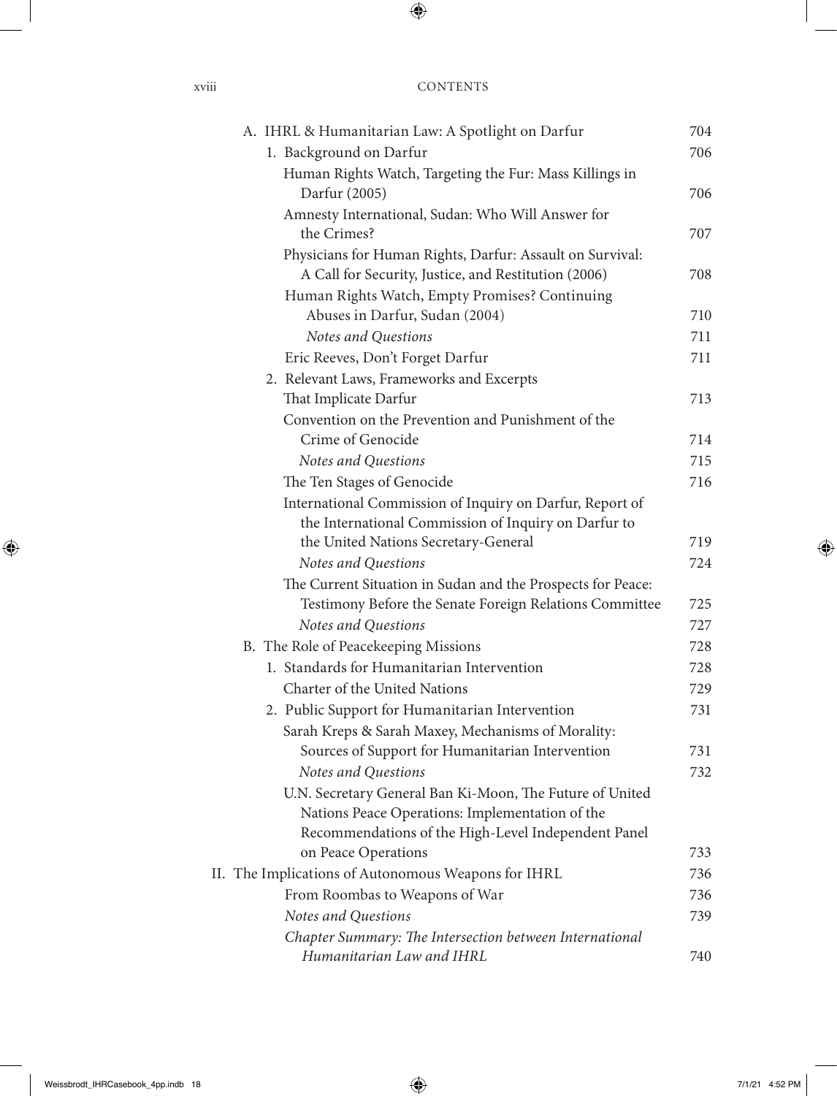| A. IHRL & Humanitarian Law: A Spotlight on Darfur           | 704 |
|-------------------------------------------------------------|-----|
| 1. Background on Darfur                                     | 706 |
| Human Rights Watch, Targeting the Fur: Mass Killings in     |     |
| Darfur (2005)                                               | 706 |
| Amnesty International, Sudan: Who Will Answer for           |     |
| the Crimes?                                                 | 707 |
| Physicians for Human Rights, Darfur: Assault on Survival:   |     |
| A Call for Security, Justice, and Restitution (2006)        | 708 |
| Human Rights Watch, Empty Promises? Continuing              |     |
| Abuses in Darfur, Sudan (2004)                              | 710 |
| Notes and Questions                                         | 711 |
| Eric Reeves, Don't Forget Darfur                            | 711 |
| 2. Relevant Laws, Frameworks and Excerpts                   |     |
| That Implicate Darfur                                       | 713 |
| Convention on the Prevention and Punishment of the          |     |
| Crime of Genocide                                           | 714 |
| Notes and Questions                                         | 715 |
| The Ten Stages of Genocide                                  | 716 |
| International Commission of Inquiry on Darfur, Report of    |     |
| the International Commission of Inquiry on Darfur to        |     |
| the United Nations Secretary-General                        | 719 |
| Notes and Questions                                         | 724 |
| The Current Situation in Sudan and the Prospects for Peace: |     |
| Testimony Before the Senate Foreign Relations Committee     | 725 |
| Notes and Questions                                         | 727 |
| B. The Role of Peacekeeping Missions                        | 728 |
| 1. Standards for Humanitarian Intervention                  | 728 |
| Charter of the United Nations                               | 729 |
| 2. Public Support for Humanitarian Intervention             | 731 |
| Sarah Kreps & Sarah Maxey, Mechanisms of Morality:          |     |
| Sources of Support for Humanitarian Intervention            | 731 |
| Notes and Questions                                         | 732 |
| U.N. Secretary General Ban Ki-Moon, The Future of United    |     |
| Nations Peace Operations: Implementation of the             |     |
| Recommendations of the High-Level Independent Panel         |     |
| on Peace Operations                                         | 733 |
| II. The Implications of Autonomous Weapons for IHRL         | 736 |
| From Roombas to Weapons of War                              | 736 |
| Notes and Questions                                         | 739 |
| Chapter Summary: The Intersection between International     |     |
| Humanitarian Law and IHRL                                   | 740 |

xviii CC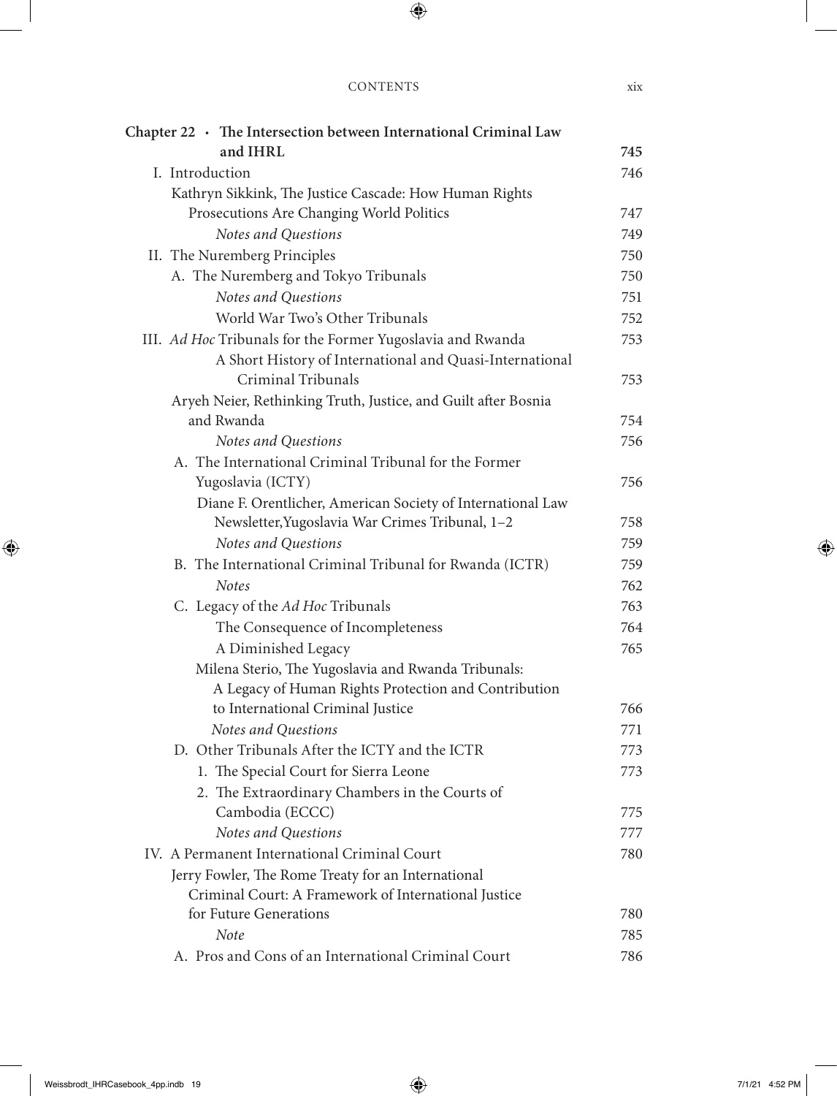| Chapter $22 \cdot$ The Intersection between International Criminal Law |            |
|------------------------------------------------------------------------|------------|
| and IHRL                                                               | 745        |
| I. Introduction                                                        | 746        |
| Kathryn Sikkink, The Justice Cascade: How Human Rights                 |            |
| Prosecutions Are Changing World Politics                               | 747        |
| Notes and Questions                                                    | 749        |
| II. The Nuremberg Principles                                           | 750        |
| A. The Nuremberg and Tokyo Tribunals                                   | 750        |
| Notes and Questions                                                    | 751        |
| World War Two's Other Tribunals                                        | 752        |
| III. Ad Hoc Tribunals for the Former Yugoslavia and Rwanda             | 753        |
| A Short History of International and Quasi-International               |            |
| Criminal Tribunals                                                     | 753        |
| Aryeh Neier, Rethinking Truth, Justice, and Guilt after Bosnia         |            |
| and Rwanda                                                             | 754        |
| Notes and Questions                                                    | 756        |
| A. The International Criminal Tribunal for the Former                  |            |
| Yugoslavia (ICTY)                                                      | 756        |
| Diane F. Orentlicher, American Society of International Law            | 758        |
| Newsletter, Yugoslavia War Crimes Tribunal, 1-2<br>Notes and Questions |            |
| B. The International Criminal Tribunal for Rwanda (ICTR)               | 759        |
| <b>Notes</b>                                                           | 759<br>762 |
| C. Legacy of the Ad Hoc Tribunals                                      | 763        |
| The Consequence of Incompleteness                                      | 764        |
| A Diminished Legacy                                                    | 765        |
| Milena Sterio, The Yugoslavia and Rwanda Tribunals:                    |            |
| A Legacy of Human Rights Protection and Contribution                   |            |
| to International Criminal Justice                                      | 766        |
| Notes and Questions                                                    | 771        |
| D. Other Tribunals After the ICTY and the ICTR                         | 773        |
| 1. The Special Court for Sierra Leone                                  | 773        |
| 2. The Extraordinary Chambers in the Courts of                         |            |
| Cambodia (ECCC)                                                        | 775        |
| Notes and Questions                                                    | 777        |
| IV. A Permanent International Criminal Court                           | 780        |
| Jerry Fowler, The Rome Treaty for an International                     |            |
| Criminal Court: A Framework of International Justice                   |            |
| for Future Generations                                                 | 780        |
| <b>Note</b>                                                            | 785        |
| A. Pros and Cons of an International Criminal Court                    | 786        |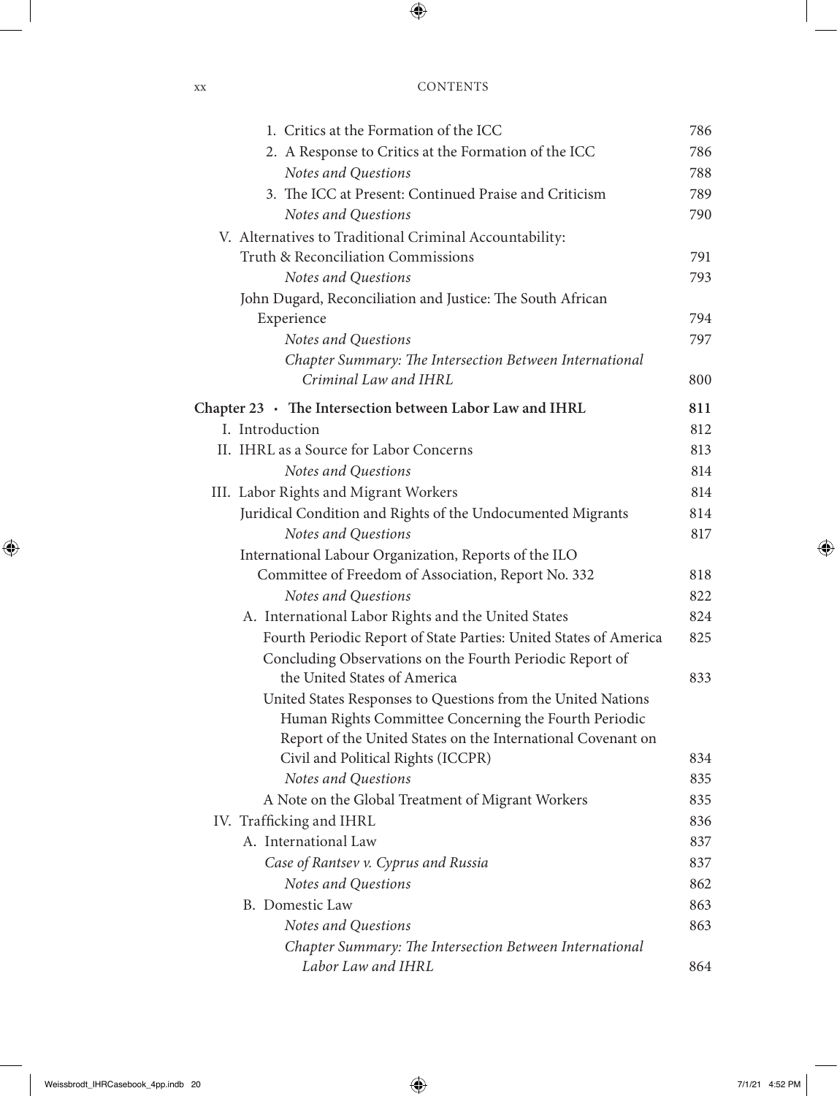| xх | <b>CONTENTS</b> |
|----|-----------------|
|    |                 |

| 1. Critics at the Formation of the ICC                            | 786 |
|-------------------------------------------------------------------|-----|
| 2. A Response to Critics at the Formation of the ICC              | 786 |
| Notes and Questions                                               | 788 |
| 3. The ICC at Present: Continued Praise and Criticism             | 789 |
| Notes and Questions                                               | 790 |
| V. Alternatives to Traditional Criminal Accountability:           |     |
| Truth & Reconciliation Commissions                                | 791 |
| Notes and Questions                                               | 793 |
| John Dugard, Reconciliation and Justice: The South African        |     |
| Experience                                                        | 794 |
| Notes and Questions                                               | 797 |
| Chapter Summary: The Intersection Between International           |     |
| Criminal Law and IHRL                                             | 800 |
| Chapter $23 \cdot$ The Intersection between Labor Law and IHRL    | 811 |
| I. Introduction                                                   | 812 |
| II. IHRL as a Source for Labor Concerns                           | 813 |
| Notes and Questions                                               | 814 |
| III. Labor Rights and Migrant Workers                             | 814 |
| Juridical Condition and Rights of the Undocumented Migrants       | 814 |
| Notes and Questions                                               | 817 |
| International Labour Organization, Reports of the ILO             |     |
| Committee of Freedom of Association, Report No. 332               | 818 |
| Notes and Questions                                               | 822 |
| A. International Labor Rights and the United States               | 824 |
| Fourth Periodic Report of State Parties: United States of America | 825 |
| Concluding Observations on the Fourth Periodic Report of          |     |
| the United States of America                                      | 833 |
| United States Responses to Questions from the United Nations      |     |
| Human Rights Committee Concerning the Fourth Periodic             |     |
| Report of the United States on the International Covenant on      |     |
| Civil and Political Rights (ICCPR)                                | 834 |
| Notes and Questions                                               | 835 |
| A Note on the Global Treatment of Migrant Workers                 | 835 |
| IV. Trafficking and IHRL                                          | 836 |
| A. International Law                                              | 837 |
| Case of Rantsev v. Cyprus and Russia                              | 837 |
| Notes and Questions                                               | 862 |
| B. Domestic Law                                                   | 863 |
| Notes and Questions                                               | 863 |
| Chapter Summary: The Intersection Between International           |     |
| Labor Law and IHRL                                                | 864 |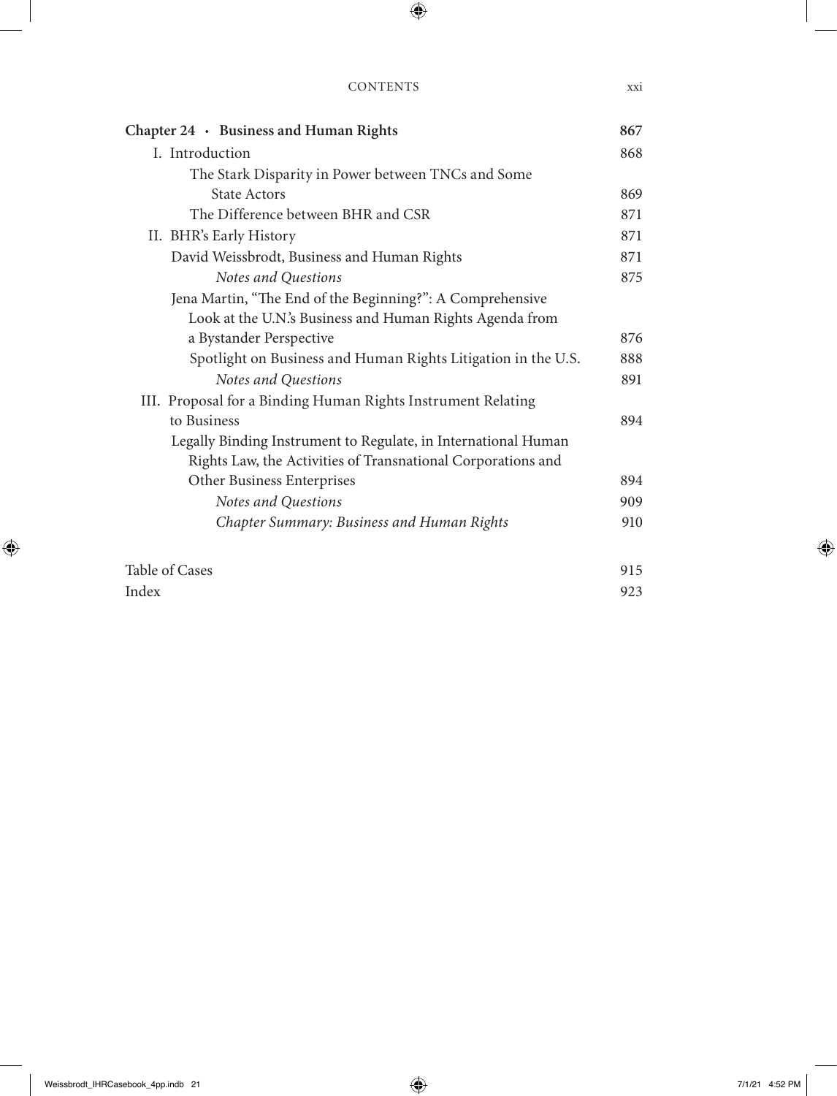#### Contents xxi

| Chapter 24 · Business and Human Rights                         | 867 |  |  |  |  |
|----------------------------------------------------------------|-----|--|--|--|--|
| I. Introduction                                                |     |  |  |  |  |
| The Stark Disparity in Power between TNCs and Some             |     |  |  |  |  |
| <b>State Actors</b>                                            | 869 |  |  |  |  |
| The Difference between BHR and CSR                             | 871 |  |  |  |  |
| II. BHR's Early History                                        | 871 |  |  |  |  |
| David Weissbrodt, Business and Human Rights                    | 871 |  |  |  |  |
| Notes and Questions                                            | 875 |  |  |  |  |
| Jena Martin, "The End of the Beginning?": A Comprehensive      |     |  |  |  |  |
| Look at the U.N.'s Business and Human Rights Agenda from       |     |  |  |  |  |
| a Bystander Perspective                                        | 876 |  |  |  |  |
| Spotlight on Business and Human Rights Litigation in the U.S.  | 888 |  |  |  |  |
| Notes and Questions                                            | 891 |  |  |  |  |
| III. Proposal for a Binding Human Rights Instrument Relating   |     |  |  |  |  |
| to Business                                                    | 894 |  |  |  |  |
| Legally Binding Instrument to Regulate, in International Human |     |  |  |  |  |
| Rights Law, the Activities of Transnational Corporations and   |     |  |  |  |  |
| Other Business Enterprises                                     | 894 |  |  |  |  |
| Notes and Questions                                            | 909 |  |  |  |  |
| Chapter Summary: Business and Human Rights                     | 910 |  |  |  |  |
| Table of Cases                                                 | 915 |  |  |  |  |

Index 923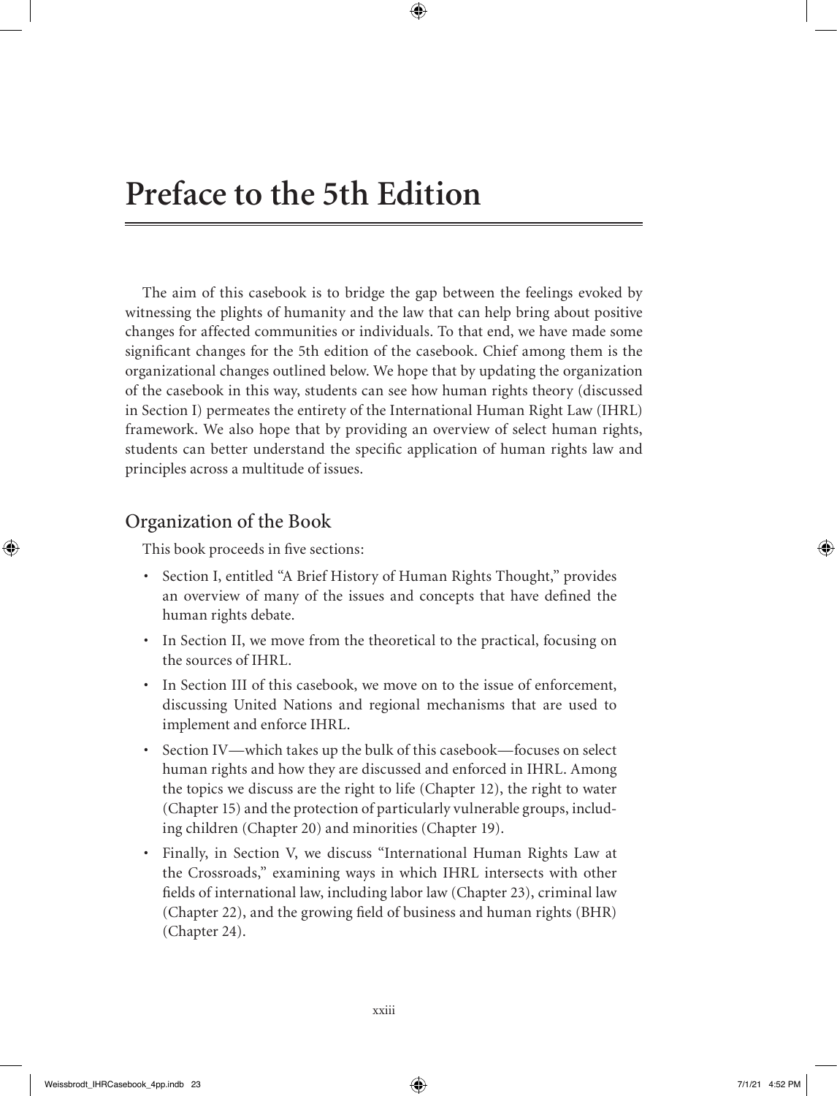The aim of this casebook is to bridge the gap between the feelings evoked by witnessing the plights of humanity and the law that can help bring about positive changes for affected communities or individuals. To that end, we have made some significant changes for the 5th edition of the casebook. Chief among them is the organizational changes outlined below. We hope that by updating the organization of the casebook in this way, students can see how human rights theory (discussed in Section I) permeates the entirety of the International Human Right Law (IHRL) framework. We also hope that by providing an overview of select human rights, students can better understand the specific application of human rights law and principles across a multitude of issues.

#### Organization of the Book

This book proceeds in five sections:

- Section I, entitled "A Brief History of Human Rights Thought," provides an overview of many of the issues and concepts that have defined the human rights debate.
- In Section II, we move from the theoretical to the practical, focusing on the sources of IHRL.
- In Section III of this casebook, we move on to the issue of enforcement, discussing United Nations and regional mechanisms that are used to implement and enforce IHRL.
- Section IV—which takes up the bulk of this casebook—focuses on select human rights and how they are discussed and enforced in IHRL. Among the topics we discuss are the right to life (Chapter 12), the right to water (Chapter 15) and the protection of particularly vulnerable groups, including children (Chapter 20) and minorities (Chapter 19).
- Finally, in Section V, we discuss "International Human Rights Law at the Crossroads," examining ways in which IHRL intersects with other fields of international law, including labor law (Chapter 23), criminal law (Chapter 22), and the growing field of business and human rights (BHR) (Chapter 24).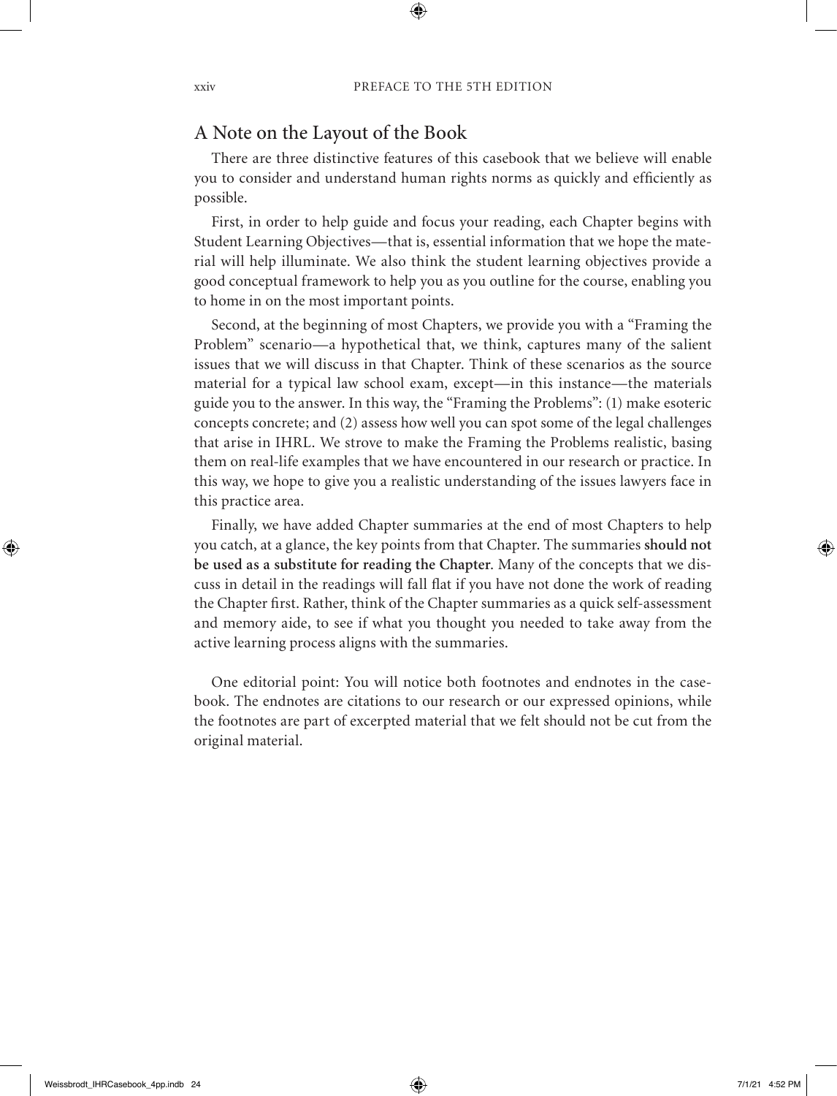#### A Note on the Layout of the Book

There are three distinctive features of this casebook that we believe will enable you to consider and understand human rights norms as quickly and efficiently as possible.

First, in order to help guide and focus your reading, each Chapter begins with Student Learning Objectives—that is, essential information that we hope the material will help illuminate. We also think the student learning objectives provide a good conceptual framework to help you as you outline for the course, enabling you to home in on the most important points.

Second, at the beginning of most Chapters, we provide you with a "Framing the Problem" scenario—a hypothetical that, we think, captures many of the salient issues that we will discuss in that Chapter. Think of these scenarios as the source material for a typical law school exam, except—in this instance—the materials guide you to the answer. In this way, the "Framing the Problems": (1) make esoteric concepts concrete; and (2) assess how well you can spot some of the legal challenges that arise in IHRL. We strove to make the Framing the Problems realistic, basing them on real-life examples that we have encountered in our research or practice. In this way, we hope to give you a realistic understanding of the issues lawyers face in this practice area.

Finally, we have added Chapter summaries at the end of most Chapters to help you catch, at a glance, the key points from that Chapter. The summaries **should not be used as a substitute for reading the Chapter**. Many of the concepts that we discuss in detail in the readings will fall flat if you have not done the work of reading the Chapter first. Rather, think of the Chapter summaries as a quick self-assessment and memory aide, to see if what you thought you needed to take away from the active learning process aligns with the summaries.

One editorial point: You will notice both footnotes and endnotes in the casebook. The endnotes are citations to our research or our expressed opinions, while the footnotes are part of excerpted material that we felt should not be cut from the original material.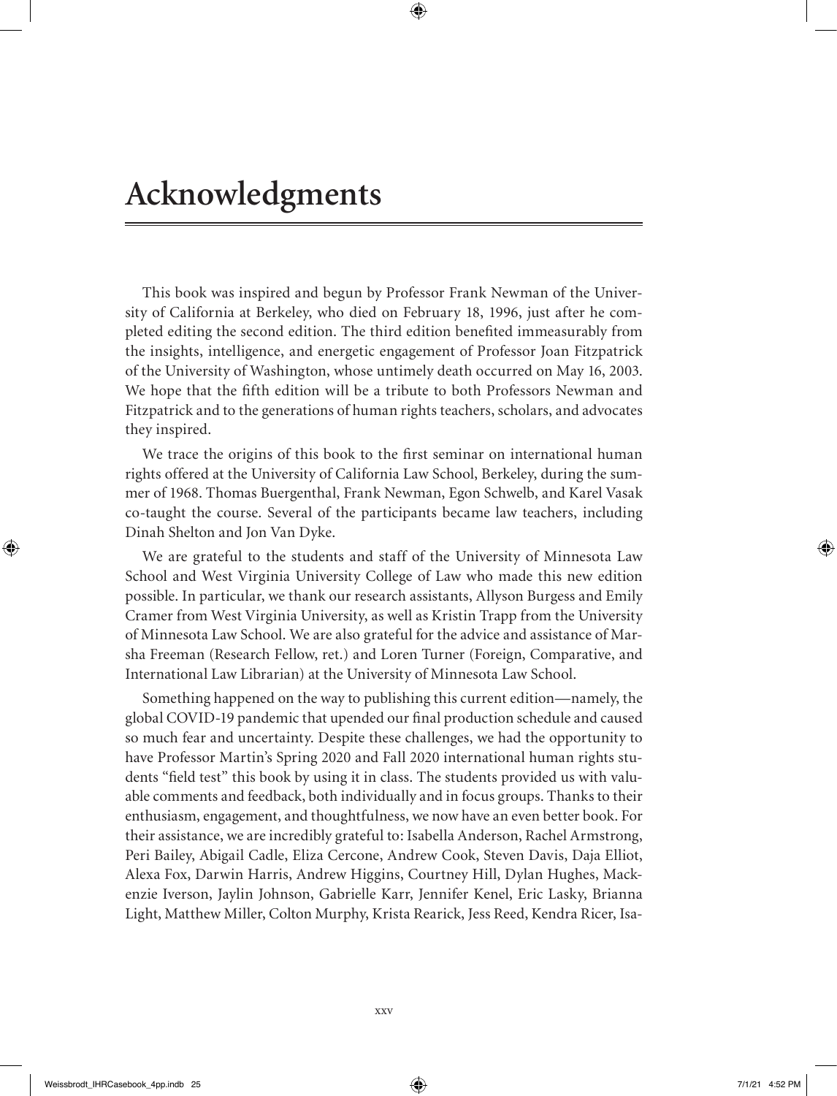This book was inspired and begun by Professor Frank Newman of the University of California at Berkeley, who died on February 18, 1996, just after he completed editing the second edition. The third edition benefited immeasurably from the insights, intelligence, and energetic engagement of Professor Joan Fitzpatrick of the University of Washington, whose untimely death occurred on May 16, 2003. We hope that the fifth edition will be a tribute to both Professors Newman and Fitzpatrick and to the generations of human rights teachers, scholars, and advocates they inspired.

We trace the origins of this book to the first seminar on international human rights offered at the University of California Law School, Berkeley, during the summer of 1968. Thomas Buergenthal, Frank Newman, Egon Schwelb, and Karel Vasak co-taught the course. Several of the participants became law teachers, including Dinah Shelton and Jon Van Dyke.

We are grateful to the students and staff of the University of Minnesota Law School and West Virginia University College of Law who made this new edition possible. In particular, we thank our research assistants, Allyson Burgess and Emily Cramer from West Virginia University, as well as Kristin Trapp from the University of Minnesota Law School. We are also grateful for the advice and assistance of Marsha Freeman (Research Fellow, ret.) and Loren Turner (Foreign, Comparative, and International Law Librarian) at the University of Minnesota Law School.

Something happened on the way to publishing this current edition—namely, the global COVID-19 pandemic that upended our final production schedule and caused so much fear and uncertainty. Despite these challenges, we had the opportunity to have Professor Martin's Spring 2020 and Fall 2020 international human rights students "field test" this book by using it in class. The students provided us with valuable comments and feedback, both individually and in focus groups. Thanks to their enthusiasm, engagement, and thoughtfulness, we now have an even better book. For their assistance, we are incredibly grateful to: Isabella Anderson, Rachel Armstrong, Peri Bailey, Abigail Cadle, Eliza Cercone, Andrew Cook, Steven Davis, Daja Elliot, Alexa Fox, Darwin Harris, Andrew Higgins, Courtney Hill, Dylan Hughes, Mackenzie Iverson, Jaylin Johnson, Gabrielle Karr, Jennifer Kenel, Eric Lasky, Brianna Light, Matthew Miller, Colton Murphy, Krista Rearick, Jess Reed, Kendra Ricer, Isa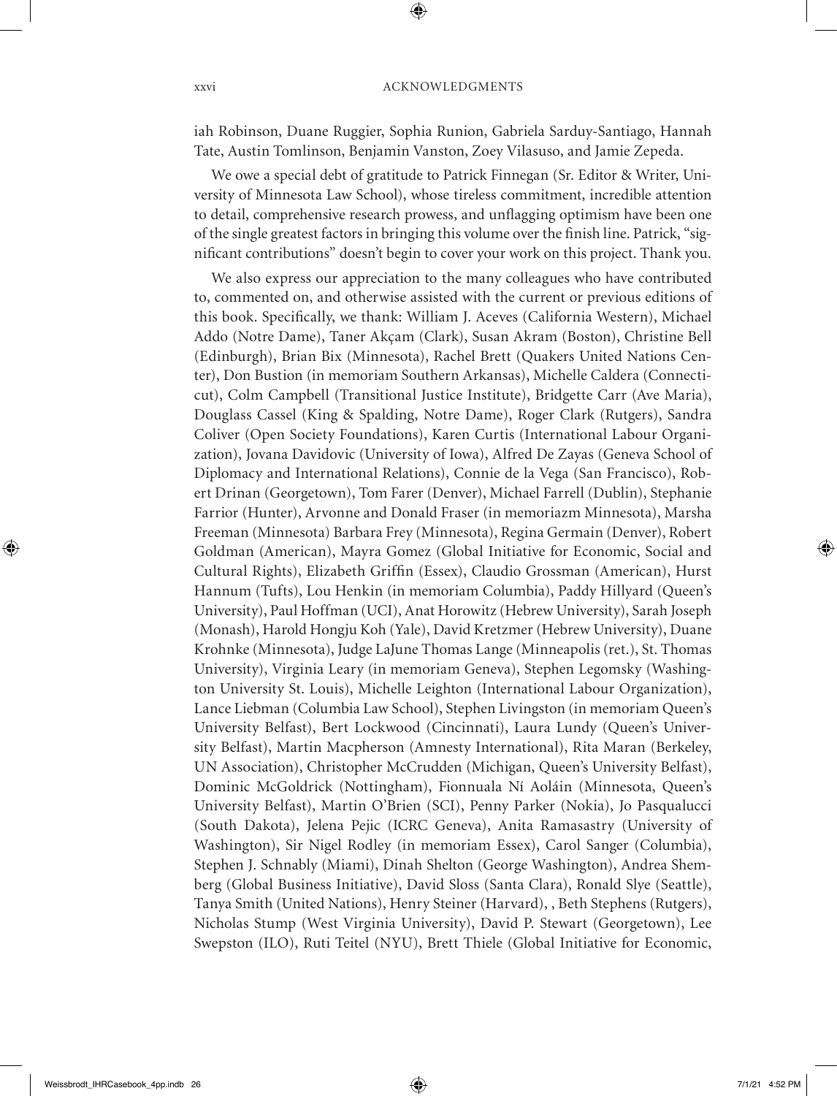iah Robinson, Duane Ruggier, Sophia Runion, Gabriela Sarduy-Santiago, Hannah Tate, Austin Tomlinson, Benjamin Vanston, Zoey Vilasuso, and Jamie Zepeda.

We owe a special debt of gratitude to Patrick Finnegan (Sr. Editor & Writer, University of Minnesota Law School), whose tireless commitment, incredible attention to detail, comprehensive research prowess, and unflagging optimism have been one of the single greatest factors in bringing this volume over the finish line. Patrick, "significant contributions" doesn't begin to cover your work on this project. Thank you.

We also express our appreciation to the many colleagues who have contributed to, commented on, and otherwise assisted with the current or previous editions of this book. Specifically, we thank: William J. Aceves (California Western), Michael Addo (Notre Dame), Taner Akçam (Clark), Susan Akram (Boston), Christine Bell (Edinburgh), Brian Bix (Minnesota), Rachel Brett (Quakers United Nations Center), Don Bustion (in memoriam Southern Arkansas), Michelle Caldera (Connecticut), Colm Campbell (Transitional Justice Institute), Bridgette Carr (Ave Maria), Douglass Cassel (King & Spalding, Notre Dame), Roger Clark (Rutgers), Sandra Coliver (Open Society Foundations), Karen Curtis (International Labour Organization), Jovana Davidovic (University of Iowa), Alfred De Zayas (Geneva School of Diplomacy and International Relations), Connie de la Vega (San Francisco), Robert Drinan (Georgetown), Tom Farer (Denver), Michael Farrell (Dublin), Stephanie Farrior (Hunter), Arvonne and Donald Fraser (in memoriazm Minnesota), Marsha Freeman (Minnesota) Barbara Frey (Minnesota), Regina Germain (Denver), Robert Goldman (American), Mayra Gomez (Global Initiative for Economic, Social and Cultural Rights), Elizabeth Griffin (Essex), Claudio Grossman (American), Hurst Hannum (Tufts), Lou Henkin (in memoriam Columbia), Paddy Hillyard (Queen's University), Paul Hoffman (UCI), Anat Horowitz (Hebrew University), Sarah Joseph (Monash), Harold Hongju Koh (Yale), David Kretzmer (Hebrew University), Duane Krohnke (Minnesota), Judge LaJune Thomas Lange (Minneapolis (ret.), St. Thomas University), Virginia Leary (in memoriam Geneva), Stephen Legomsky (Washington University St. Louis), Michelle Leighton (International Labour Organization), Lance Liebman (Columbia Law School), Stephen Livingston (in memoriam Queen's University Belfast), Bert Lockwood (Cincinnati), Laura Lundy (Queen's University Belfast), Martin Macpherson (Amnesty International), Rita Maran (Berkeley, UN Association), Christopher McCrudden (Michigan, Queen's University Belfast), Dominic McGoldrick (Nottingham), Fionnuala Ní Aoláin (Minnesota, Queen's University Belfast), Martin O'Brien (SCI), Penny Parker (Nokia), Jo Pasqualucci (South Dakota), Jelena Pejic (ICRC Geneva), Anita Ramasastry (University of Washington), Sir Nigel Rodley (in memoriam Essex), Carol Sanger (Columbia), Stephen J. Schnably (Miami), Dinah Shelton (George Washington), Andrea Shemberg (Global Business Initiative), David Sloss (Santa Clara), Ronald Slye (Seattle), Tanya Smith (United Nations), Henry Steiner (Harvard), , Beth Stephens (Rutgers), Nicholas Stump (West Virginia University), David P. Stewart (Georgetown), Lee Swepston (ILO), Ruti Teitel (NYU), Brett Thiele (Global Initiative for Economic,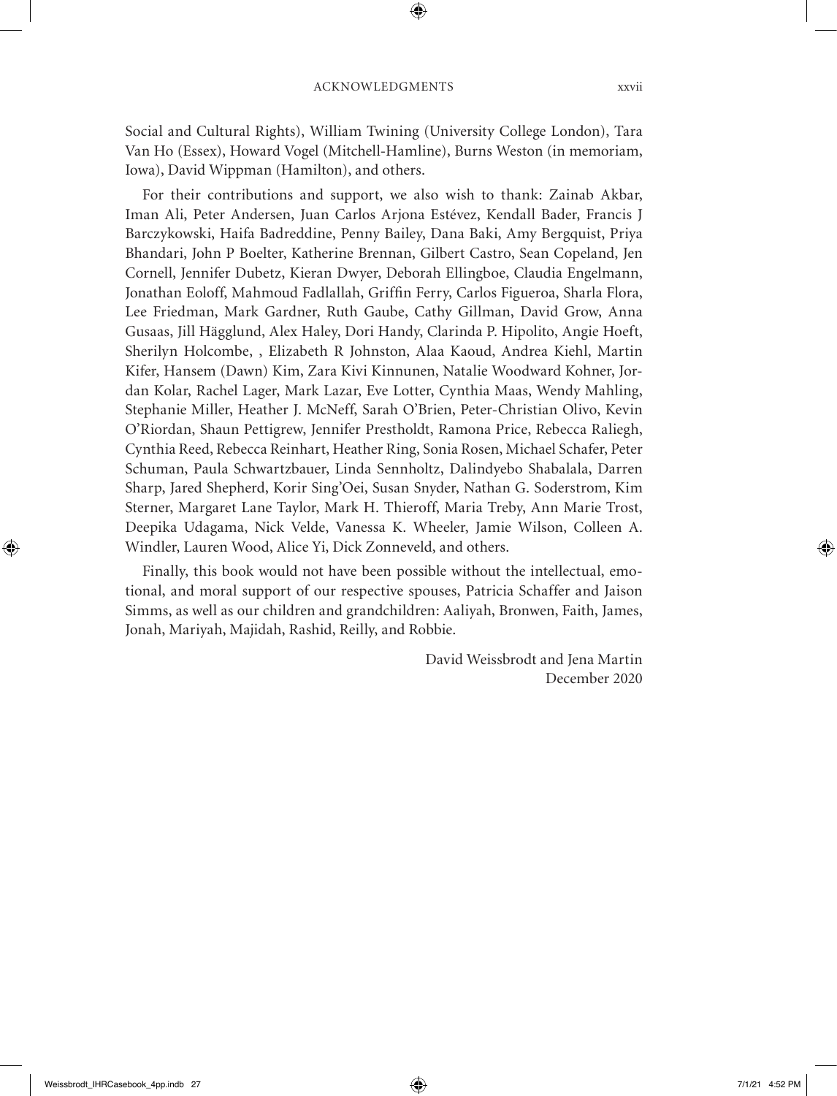Social and Cultural Rights), William Twining (University College London), Tara Van Ho (Essex), Howard Vogel (Mitchell-Hamline), Burns Weston (in memoriam, Iowa), David Wippman (Hamilton), and others.

For their contributions and support, we also wish to thank: Zainab Akbar, Iman Ali, Peter Andersen, Juan Carlos Arjona Estévez, Kendall Bader, Francis J Barczykowski, Haifa Badreddine, Penny Bailey, Dana Baki, Amy Bergquist, Priya Bhandari, John P Boelter, Katherine Brennan, Gilbert Castro, Sean Copeland, Jen Cornell, Jennifer Dubetz, Kieran Dwyer, Deborah Ellingboe, Claudia Engelmann, Jonathan Eoloff, Mahmoud Fadlallah, Griffin Ferry, Carlos Figueroa, Sharla Flora, Lee Friedman, Mark Gardner, Ruth Gaube, Cathy Gillman, David Grow, Anna Gusaas, Jill Hägglund, Alex Haley, Dori Handy, Clarinda P. Hipolito, Angie Hoeft, Sherilyn Holcombe, , Elizabeth R Johnston, Alaa Kaoud, Andrea Kiehl, Martin Kifer, Hansem (Dawn) Kim, Zara Kivi Kinnunen, Natalie Woodward Kohner, Jordan Kolar, Rachel Lager, Mark Lazar, Eve Lotter, Cynthia Maas, Wendy Mahling, Stephanie Miller, Heather J. McNeff, Sarah O'Brien, Peter-Christian Olivo, Kevin O'Riordan, Shaun Pettigrew, Jennifer Prestholdt, Ramona Price, Rebecca Raliegh, Cynthia Reed, Rebecca Reinhart, Heather Ring, Sonia Rosen, Michael Schafer, Peter Schuman, Paula Schwartzbauer, Linda Sennholtz, Dalindyebo Shabalala, Darren Sharp, Jared Shepherd, Korir Sing'Oei, Susan Snyder, Nathan G. Soderstrom, Kim Sterner, Margaret Lane Taylor, Mark H. Thieroff, Maria Treby, Ann Marie Trost, Deepika Udagama, Nick Velde, Vanessa K. Wheeler, Jamie Wilson, Colleen A. Windler, Lauren Wood, Alice Yi, Dick Zonneveld, and others.

Finally, this book would not have been possible without the intellectual, emotional, and moral support of our respective spouses, Patricia Schaffer and Jaison Simms, as well as our children and grandchildren: Aaliyah, Bronwen, Faith, James, Jonah, Mariyah, Majidah, Rashid, Reilly, and Robbie.

> David Weissbrodt and Jena Martin December 2020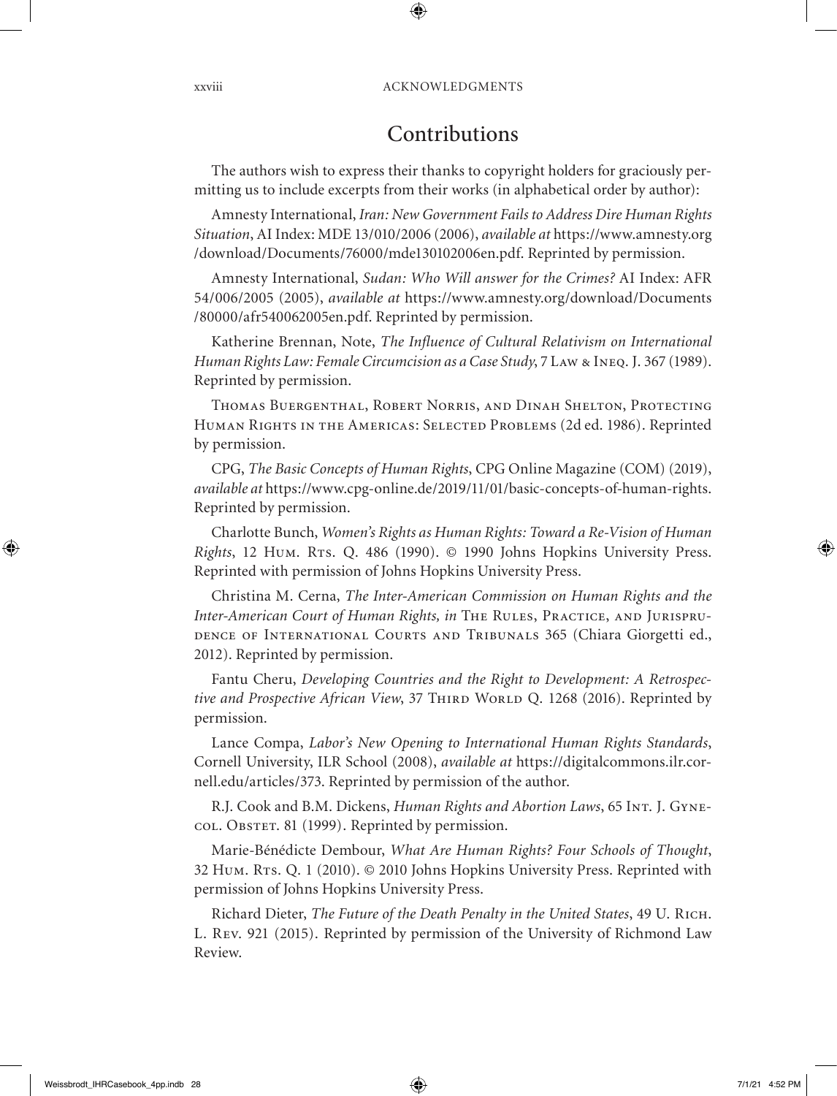#### Contributions

The authors wish to express their thanks to copyright holders for graciously permitting us to include excerpts from their works (in alphabetical order by author):

Amnesty International, *Iran: New Government Fails to Address Dire Human Rights Situation*, AI Index: MDE 13/010/2006 (2006), *available at* https://www.amnesty.org /download/Documents/76000/mde130102006en.pdf. Reprinted by permission.

Amnesty International, *Sudan: Who Will answer for the Crimes?* AI Index: AFR 54/006/2005 (2005), *available at* https://www.amnesty.org/download/Documents /80000/afr540062005en.pdf. Reprinted by permission.

Katherine Brennan, Note, *The Influence of Cultural Relativism on International Human Rights Law: Female Circumcision as a Case Study*, 7 Law & Ineq. J. 367 (1989). Reprinted by permission.

Thomas Buergenthal, Robert Norris, and Dinah Shelton, Protecting Human Rights in the Americas: Selected Problems (2d ed. 1986). Reprinted by permission.

CPG, *The Basic Concepts of Human Rights*, CPG Online Magazine (COM) (2019), *available at* https://www.cpg-online.de/2019/11/01/basic-concepts-of-human-rights. Reprinted by permission.

Charlotte Bunch, *Women's Rights as Human Rights: Toward a Re-Vision of Human Rights*, 12 Hum. Rts. Q. 486 (1990). © 1990 Johns Hopkins University Press. Reprinted with permission of Johns Hopkins University Press.

Christina M. Cerna, *The Inter-American Commission on Human Rights and the Inter-American Court of Human Rights, in* The Rules, Practice, and Jurisprudence of International Courts and Tribunals 365 (Chiara Giorgetti ed., 2012). Reprinted by permission.

Fantu Cheru, *Developing Countries and the Right to Development: A Retrospective and Prospective African View*, 37 THIRD WORLD Q. 1268 (2016). Reprinted by permission.

Lance Compa, *Labor's New Opening to International Human Rights Standards*, Cornell University, ILR School (2008), *available at* https://digitalcommons.ilr.cornell.edu/articles/373. Reprinted by permission of the author.

R.J. Cook and B.M. Dickens, *Human Rights and Abortion Laws*, 65 Int. J. Gynecol. Obstet. 81 (1999). Reprinted by permission.

Marie-Bénédicte Dembour, *What Are Human Rights? Four Schools of Thought*, 32 Hum. RTs. Q. 1 (2010). © 2010 Johns Hopkins University Press. Reprinted with permission of Johns Hopkins University Press.

Richard Dieter, *The Future of the Death Penalty in the United States*, 49 U. Rich. L. Rev. 921 (2015). Reprinted by permission of the University of Richmond Law Review.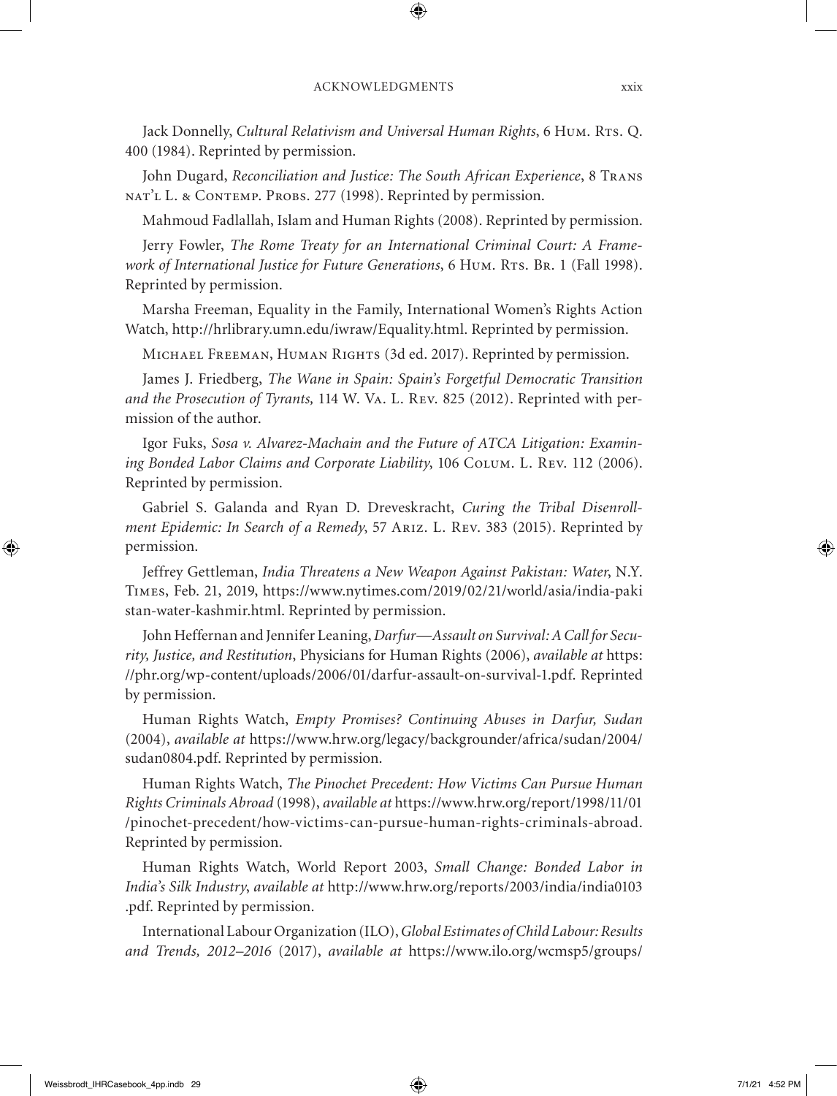Jack Donnelly, *Cultural Relativism and Universal Human Rights*, 6 Hum. RTs. Q. 400 (1984). Reprinted by permission.

John Dugard, *Reconciliation and Justice: The South African Experience*, 8 Trans NAT'L L. & CONTEMP. PROBS. 277 (1998). Reprinted by permission.

Mahmoud Fadlallah, Islam and Human Rights (2008). Reprinted by permission.

Jerry Fowler, *The Rome Treaty for an International Criminal Court: A Frame*work of International Justice for Future Generations, 6 Hum. RTs. Br. 1 (Fall 1998). Reprinted by permission.

Marsha Freeman, Equality in the Family, International Women's Rights Action Watch, http://hrlibrary.umn.edu/iwraw/Equality.html. Reprinted by permission.

Michael Freeman, Human Rights (3d ed. 2017). Reprinted by permission.

James J. Friedberg, *The Wane in Spain: Spain's Forgetful Democratic Transition and the Prosecution of Tyrants,* 114 W. Va. L. Rev. 825 (2012). Reprinted with permission of the author.

Igor Fuks, *Sosa v. Alvarez-Machain and the Future of ATCA Litigation: Examining Bonded Labor Claims and Corporate Liability*, 106 Colum. L. Rev. 112 (2006). Reprinted by permission.

Gabriel S. Galanda and Ryan D. Dreveskracht, *Curing the Tribal Disenrollment Epidemic: In Search of a Remedy*, 57 Ariz. L. Rev. 383 (2015). Reprinted by permission.

Jeffrey Gettleman, *India Threatens a New Weapon Against Pakistan: Water*, N.Y. Times, Feb. 21, 2019, https://www.nytimes.com/2019/02/21/world/asia/india-paki stan-water-kashmir.html. Reprinted by permission.

John Heffernan and Jennifer Leaning, *Darfur—Assault on Survival: A Call for Security, Justice, and Restitution*, Physicians for Human Rights (2006), *available at* https: //phr.org/wp-content/uploads/2006/01/darfur-assault-on-survival-1.pdf. Reprinted by permission.

Human Rights Watch, *Empty Promises? Continuing Abuses in Darfur, Sudan* (2004), *available at* https://www.hrw.org/legacy/backgrounder/africa/sudan/2004/ sudan0804.pdf. Reprinted by permission.

Human Rights Watch, *The Pinochet Precedent: How Victims Can Pursue Human Rights Criminals Abroad* (1998), *available at* https://www.hrw.org/report/1998/11/01 /pinochet-precedent/how-victims-can-pursue-human-rights-criminals-abroad. Reprinted by permission.

Human Rights Watch, World Report 2003, *Small Change: Bonded Labor in India's Silk Industry*, *available at* http://www.hrw.org/reports/2003/india/india0103 .pdf. Reprinted by permission.

International Labour Organization (ILO), *Global Estimates of Child Labour: Results and Trends, 2012–2016* (2017), *available at* https://www.ilo.org/wcmsp5/groups/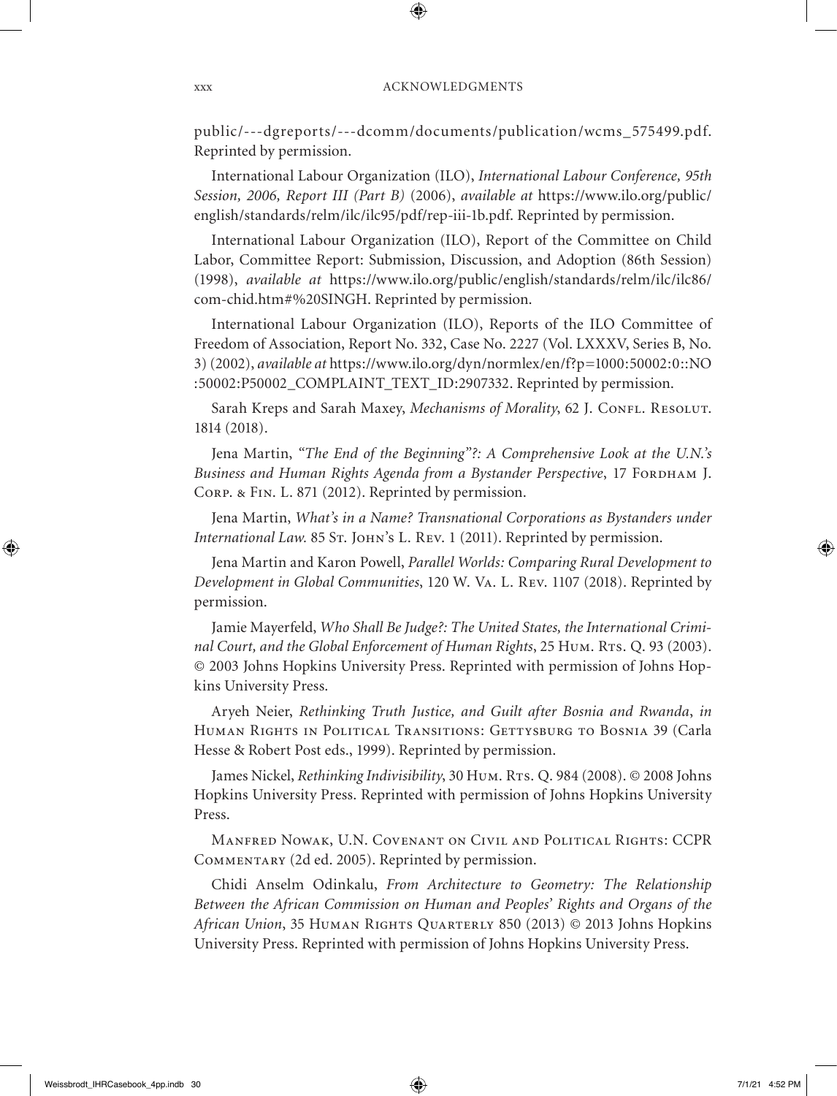public/---dgreports/---dcomm/documents/publication/wcms\_575499.pdf. Reprinted by permission.

International Labour Organization (ILO), *International Labour Conference, 95th Session, 2006, Report III (Part B)* (2006), *available at* https://www.ilo.org/public/ english/standards/relm/ilc/ilc95/pdf/rep-iii-1b.pdf. Reprinted by permission.

International Labour Organization (ILO), Report of the Committee on Child Labor, Committee Report: Submission, Discussion, and Adoption (86th Session) (1998), *available at* https://www.ilo.org/public/english/standards/relm/ilc/ilc86/ com-chid.htm#%20SINGH. Reprinted by permission.

International Labour Organization (ILO), Reports of the ILO Committee of Freedom of Association, Report No. 332, Case No. 2227 (Vol. LXXXV, Series B, No. 3) (2002), *available at* https://www.ilo.org/dyn/normlex/en/f?p=1000:50002:0::NO :50002:P50002\_COMPLAINT\_TEXT\_ID:2907332. Reprinted by permission.

Sarah Kreps and Sarah Maxey, *Mechanisms of Morality*, 62 J. CONFL. RESOLUT. 1814 (2018).

Jena Martin, *"The End of the Beginning"?: A Comprehensive Look at the U.N.'s*  Business and Human Rights Agenda from a Bystander Perspective, 17 FORDHAM J. Corp. & Fin. L. 871 (2012). Reprinted by permission.

Jena Martin, *What's in a Name? Transnational Corporations as Bystanders under International Law.* 85 St. John's L. Rev. 1 (2011). Reprinted by permission.

Jena Martin and Karon Powell, *Parallel Worlds: Comparing Rural Development to Development in Global Communities*, 120 W. Va. L. Rev. 1107 (2018). Reprinted by permission.

Jamie Mayerfeld, *Who Shall Be Judge?: The United States, the International Crimi*nal Court, and the Global Enforcement of Human Rights, 25 Hum. RTs. Q. 93 (2003). © 2003 Johns Hopkins University Press. Reprinted with permission of Johns Hopkins University Press.

Aryeh Neier, *Rethinking Truth Justice, and Guilt after Bosnia and Rwanda*, *in* HUMAN RIGHTS IN POLITICAL TRANSITIONS: GETTYSBURG TO BOSNIA 39 (Carla Hesse & Robert Post eds., 1999). Reprinted by permission.

James Nickel, *Rethinking Indivisibility*, 30 Hum. Rts. Q. 984 (2008). © 2008 Johns Hopkins University Press. Reprinted with permission of Johns Hopkins University Press.

Manfred Nowak, U.N. Covenant on Civil and Political Rights: CCPR Commentary (2d ed. 2005). Reprinted by permission.

Chidi Anselm Odinkalu, *From Architecture to Geometry: The Relationship Between the African Commission on Human and Peoples' Rights and Organs of the African Union*, 35 Human Rights Quarterly 850 (2013) © 2013 Johns Hopkins University Press. Reprinted with permission of Johns Hopkins University Press.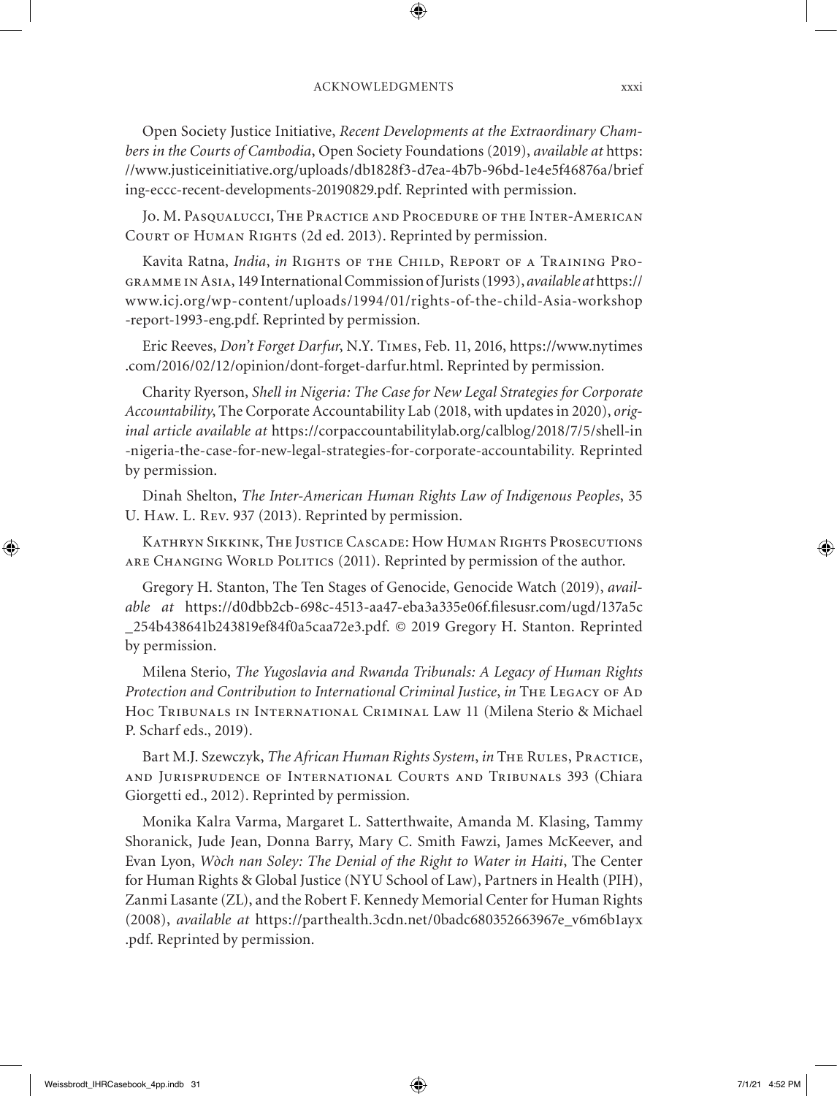Open Society Justice Initiative, *Recent Developments at the Extraordinary Chambers in the Courts of Cambodia*, Open Society Foundations (2019), *available at* https: //www.justiceinitiative.org/uploads/db1828f3-d7ea-4b7b-96bd-1e4e5f46876a/brief ing-eccc-recent-developments-20190829.pdf. Reprinted with permission.

Jo. M. Pasqualucci, The Practice and Procedure of the Inter-American COURT OF HUMAN RIGHTS (2d ed. 2013). Reprinted by permission.

Kavita Ratna, *India*, *in* Rights of the Child, Report of a Training Programme in Asia, 149 International Commission of Jurists (1993), *available at* https:// www.icj.org/wp-content/uploads/1994/01/rights-of-the-child-Asia-workshop -report-1993-eng.pdf. Reprinted by permission.

Eric Reeves, *Don't Forget Darfur*, N.Y. Times, Feb. 11, 2016, https://www.nytimes .com/2016/02/12/opinion/dont-forget-darfur.html. Reprinted by permission.

Charity Ryerson, *Shell in Nigeria: The Case for New Legal Strategies for Corporate Accountability*, The Corporate Accountability Lab (2018, with updates in 2020), *original article available at* https://corpaccountabilitylab.org/calblog/2018/7/5/shell-in -nigeria-the-case-for-new-legal-strategies-for-corporate-accountability. Reprinted by permission.

Dinah Shelton, *The Inter-American Human Rights Law of Indigenous Peoples*, 35 U. Haw. L. Rev. 937 (2013). Reprinted by permission.

Kathryn Sikkink, The Justice Cascade: How Human Rights Prosecutions are Changing World Politics (2011). Reprinted by permission of the author.

Gregory H. Stanton, The Ten Stages of Genocide, Genocide Watch (2019), *available at* https://d0dbb2cb-698c-4513-aa47-eba3a335e06f.filesusr.com/ugd/137a5c \_254b438641b243819ef84f0a5caa72e3.pdf. © 2019 Gregory H. Stanton. Reprinted by permission.

Milena Sterio, *The Yugoslavia and Rwanda Tribunals: A Legacy of Human Rights Protection and Contribution to International Criminal Justice, in THE LEGACY OF AD* Hoc Tribunals in International Criminal Law 11 (Milena Sterio & Michael P. Scharf eds., 2019).

Bart M.J. Szewczyk, *The African Human Rights System*, *in* THE RULES, PRACTICE, and Jurisprudence of International Courts and Tribunals 393 (Chiara Giorgetti ed., 2012). Reprinted by permission.

Monika Kalra Varma, Margaret L. Satterthwaite, Amanda M. Klasing, Tammy Shoranick, Jude Jean, Donna Barry, Mary C. Smith Fawzi, James McKeever, and Evan Lyon, *Wòch nan Soley: The Denial of the Right to Water in Haiti*, The Center for Human Rights & Global Justice (NYU School of Law), Partners in Health (PIH), Zanmi Lasante (ZL), and the Robert F. Kennedy Memorial Center for Human Rights (2008), *available at* https://parthealth.3cdn.net/0badc680352663967e\_v6m6b1ayx .pdf. Reprinted by permission.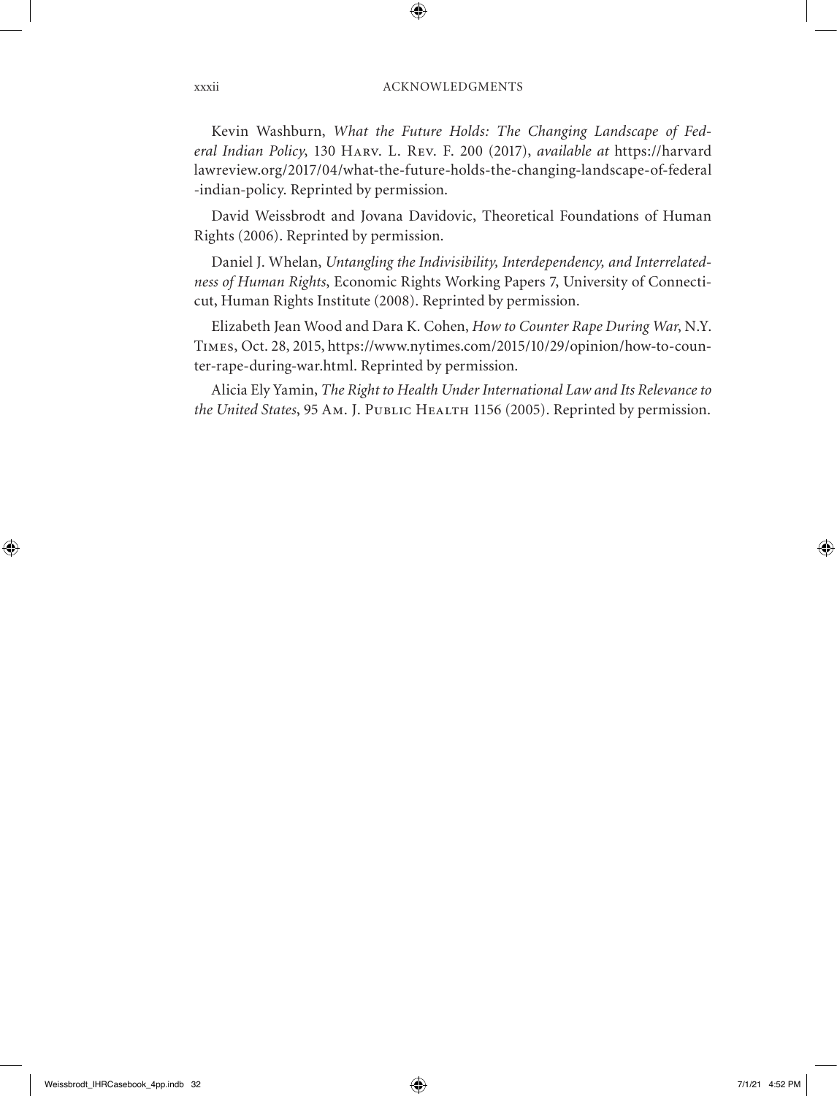Kevin Washburn, *What the Future Holds: The Changing Landscape of Federal Indian Policy*, 130 Harv. L. Rev. F. 200 (2017), *available at* https://harvard lawreview.org/2017/04/what-the-future-holds-the-changing-landscape-of-federal -indian-policy. Reprinted by permission.

David Weissbrodt and Jovana Davidovic, Theoretical Foundations of Human Rights (2006). Reprinted by permission.

Daniel J. Whelan, *Untangling the Indivisibility, Interdependency, and Interrelatedness of Human Rights*, Economic Rights Working Papers 7, University of Connecticut, Human Rights Institute (2008). Reprinted by permission.

Elizabeth Jean Wood and Dara K. Cohen, *How to Counter Rape During War*, N.Y. Times, Oct. 28, 2015, https://www.nytimes.com/2015/10/29/opinion/how-to-counter-rape-during-war.html. Reprinted by permission.

Alicia Ely Yamin, *The Right to Health Under International Law and Its Relevance to the United States*, 95 Am. J. Public Health 1156 (2005). Reprinted by permission.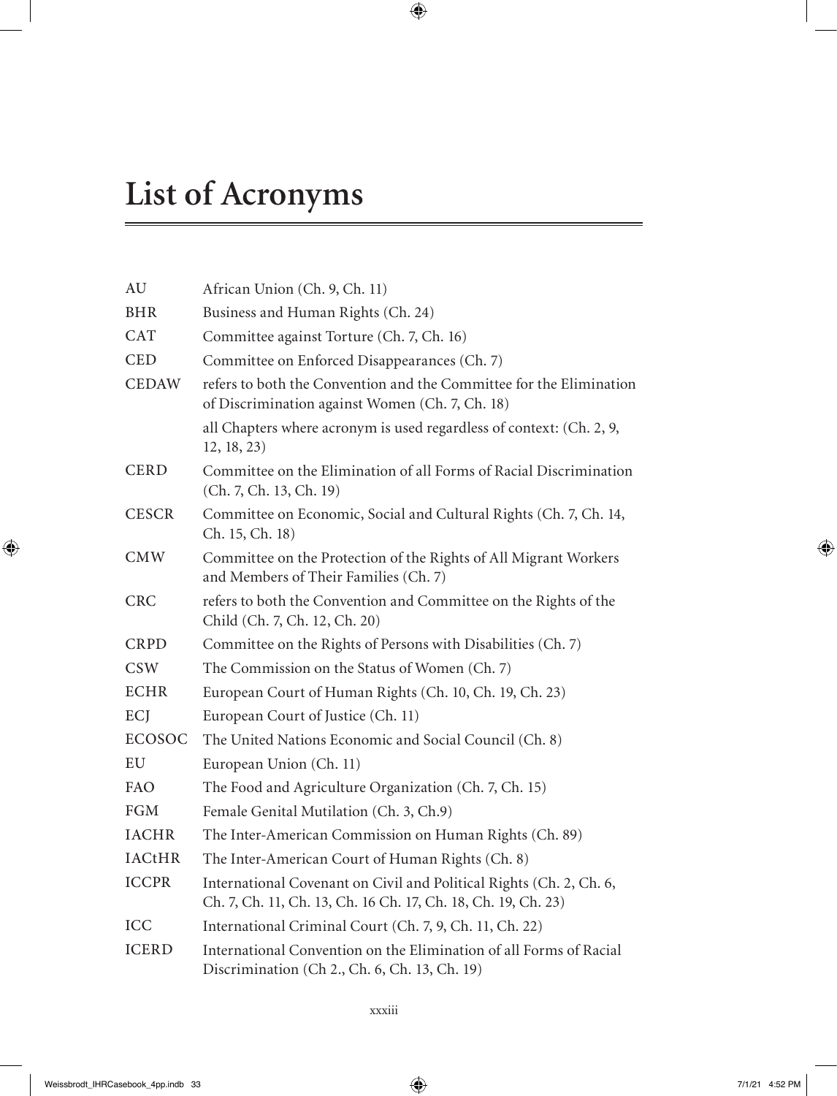# **List of Acronyms**

| AU            | African Union (Ch. 9, Ch. 11)                                                                                                        |  |  |  |  |  |  |
|---------------|--------------------------------------------------------------------------------------------------------------------------------------|--|--|--|--|--|--|
| <b>BHR</b>    | Business and Human Rights (Ch. 24)                                                                                                   |  |  |  |  |  |  |
| <b>CAT</b>    | Committee against Torture (Ch. 7, Ch. 16)                                                                                            |  |  |  |  |  |  |
| <b>CED</b>    | Committee on Enforced Disappearances (Ch. 7)                                                                                         |  |  |  |  |  |  |
| <b>CEDAW</b>  | refers to both the Convention and the Committee for the Elimination<br>of Discrimination against Women (Ch. 7, Ch. 18)               |  |  |  |  |  |  |
|               | all Chapters where acronym is used regardless of context: (Ch. 2, 9,<br>12, 18, 23)                                                  |  |  |  |  |  |  |
| <b>CERD</b>   | Committee on the Elimination of all Forms of Racial Discrimination<br>(Ch. 7, Ch. 13, Ch. 19)                                        |  |  |  |  |  |  |
| <b>CESCR</b>  | Committee on Economic, Social and Cultural Rights (Ch. 7, Ch. 14,<br>Ch. 15, Ch. 18)                                                 |  |  |  |  |  |  |
| <b>CMW</b>    | Committee on the Protection of the Rights of All Migrant Workers<br>and Members of Their Families (Ch. 7)                            |  |  |  |  |  |  |
| <b>CRC</b>    | refers to both the Convention and Committee on the Rights of the<br>Child (Ch. 7, Ch. 12, Ch. 20)                                    |  |  |  |  |  |  |
| <b>CRPD</b>   | Committee on the Rights of Persons with Disabilities (Ch. 7)                                                                         |  |  |  |  |  |  |
| <b>CSW</b>    | The Commission on the Status of Women (Ch. 7)                                                                                        |  |  |  |  |  |  |
| <b>ECHR</b>   | European Court of Human Rights (Ch. 10, Ch. 19, Ch. 23)                                                                              |  |  |  |  |  |  |
| ECJ           | European Court of Justice (Ch. 11)                                                                                                   |  |  |  |  |  |  |
| <b>ECOSOC</b> | The United Nations Economic and Social Council (Ch. 8)                                                                               |  |  |  |  |  |  |
| EU            | European Union (Ch. 11)                                                                                                              |  |  |  |  |  |  |
| FAO           | The Food and Agriculture Organization (Ch. 7, Ch. 15)                                                                                |  |  |  |  |  |  |
| <b>FGM</b>    | Female Genital Mutilation (Ch. 3, Ch.9)                                                                                              |  |  |  |  |  |  |
| <b>IACHR</b>  | The Inter-American Commission on Human Rights (Ch. 89)                                                                               |  |  |  |  |  |  |
| <b>IACtHR</b> | The Inter-American Court of Human Rights (Ch. 8)                                                                                     |  |  |  |  |  |  |
| <b>ICCPR</b>  | International Covenant on Civil and Political Rights (Ch. 2, Ch. 6,<br>Ch. 7, Ch. 11, Ch. 13, Ch. 16 Ch. 17, Ch. 18, Ch. 19, Ch. 23) |  |  |  |  |  |  |
| <b>ICC</b>    | International Criminal Court (Ch. 7, 9, Ch. 11, Ch. 22)                                                                              |  |  |  |  |  |  |
| <b>ICERD</b>  | International Convention on the Elimination of all Forms of Racial<br>Discrimination (Ch 2., Ch. 6, Ch. 13, Ch. 19)                  |  |  |  |  |  |  |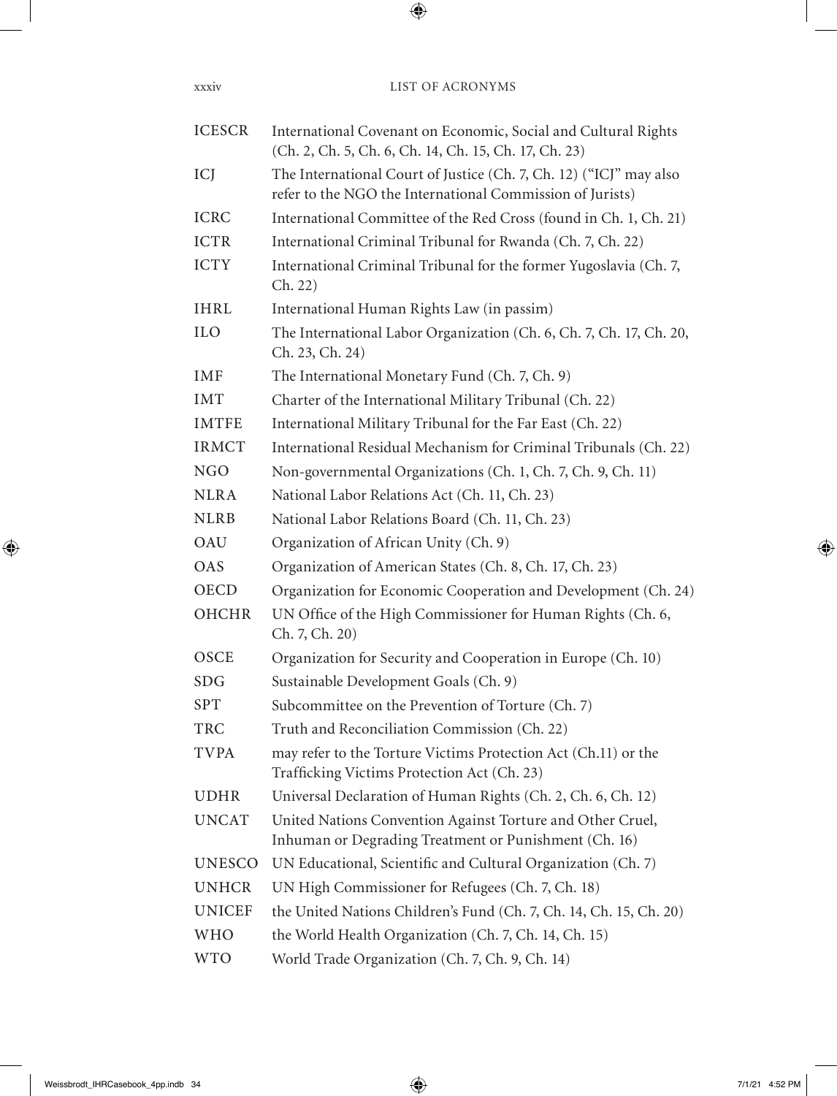| <b>ICESCR</b> | International Covenant on Economic, Social and Cultural Rights<br>(Ch. 2, Ch. 5, Ch. 6, Ch. 14, Ch. 15, Ch. 17, Ch. 23)         |
|---------------|---------------------------------------------------------------------------------------------------------------------------------|
| ICJ           | The International Court of Justice (Ch. 7, Ch. 12) ("ICJ" may also<br>refer to the NGO the International Commission of Jurists) |
| <b>ICRC</b>   | International Committee of the Red Cross (found in Ch. 1, Ch. 21)                                                               |
| <b>ICTR</b>   | International Criminal Tribunal for Rwanda (Ch. 7, Ch. 22)                                                                      |
| <b>ICTY</b>   | International Criminal Tribunal for the former Yugoslavia (Ch. 7,<br>Ch. 22)                                                    |
| IHRL          | International Human Rights Law (in passim)                                                                                      |
| <b>ILO</b>    | The International Labor Organization (Ch. 6, Ch. 7, Ch. 17, Ch. 20,<br>Ch. 23, Ch. 24)                                          |
| IMF           | The International Monetary Fund (Ch. 7, Ch. 9)                                                                                  |
| <b>IMT</b>    | Charter of the International Military Tribunal (Ch. 22)                                                                         |
| <b>IMTFE</b>  | International Military Tribunal for the Far East (Ch. 22)                                                                       |
| <b>IRMCT</b>  | International Residual Mechanism for Criminal Tribunals (Ch. 22)                                                                |
| <b>NGO</b>    | Non-governmental Organizations (Ch. 1, Ch. 7, Ch. 9, Ch. 11)                                                                    |
| <b>NLRA</b>   | National Labor Relations Act (Ch. 11, Ch. 23)                                                                                   |
| <b>NLRB</b>   | National Labor Relations Board (Ch. 11, Ch. 23)                                                                                 |
| OAU           | Organization of African Unity (Ch. 9)                                                                                           |
| OAS           | Organization of American States (Ch. 8, Ch. 17, Ch. 23)                                                                         |
| <b>OECD</b>   | Organization for Economic Cooperation and Development (Ch. 24)                                                                  |
| OHCHR         | UN Office of the High Commissioner for Human Rights (Ch. 6,<br>Ch. 7, Ch. 20)                                                   |
| OSCE          | Organization for Security and Cooperation in Europe (Ch. 10)                                                                    |
| SDG           | Sustainable Development Goals (Ch. 9)                                                                                           |
| SPT           | Subcommittee on the Prevention of Torture (Ch. 7)                                                                               |
| <b>TRC</b>    | Truth and Reconciliation Commission (Ch. 22)                                                                                    |
| <b>TVPA</b>   | may refer to the Torture Victims Protection Act (Ch.11) or the<br>Trafficking Victims Protection Act (Ch. 23)                   |
| UDHR          | Universal Declaration of Human Rights (Ch. 2, Ch. 6, Ch. 12)                                                                    |
| <b>UNCAT</b>  | United Nations Convention Against Torture and Other Cruel,<br>Inhuman or Degrading Treatment or Punishment (Ch. 16)             |
| <b>UNESCO</b> | UN Educational, Scientific and Cultural Organization (Ch. 7)                                                                    |
| <b>UNHCR</b>  | UN High Commissioner for Refugees (Ch. 7, Ch. 18)                                                                               |
| <b>UNICEF</b> | the United Nations Children's Fund (Ch. 7, Ch. 14, Ch. 15, Ch. 20)                                                              |
| <b>WHO</b>    | the World Health Organization (Ch. 7, Ch. 14, Ch. 15)                                                                           |
| <b>WTO</b>    | World Trade Organization (Ch. 7, Ch. 9, Ch. 14)                                                                                 |
|               |                                                                                                                                 |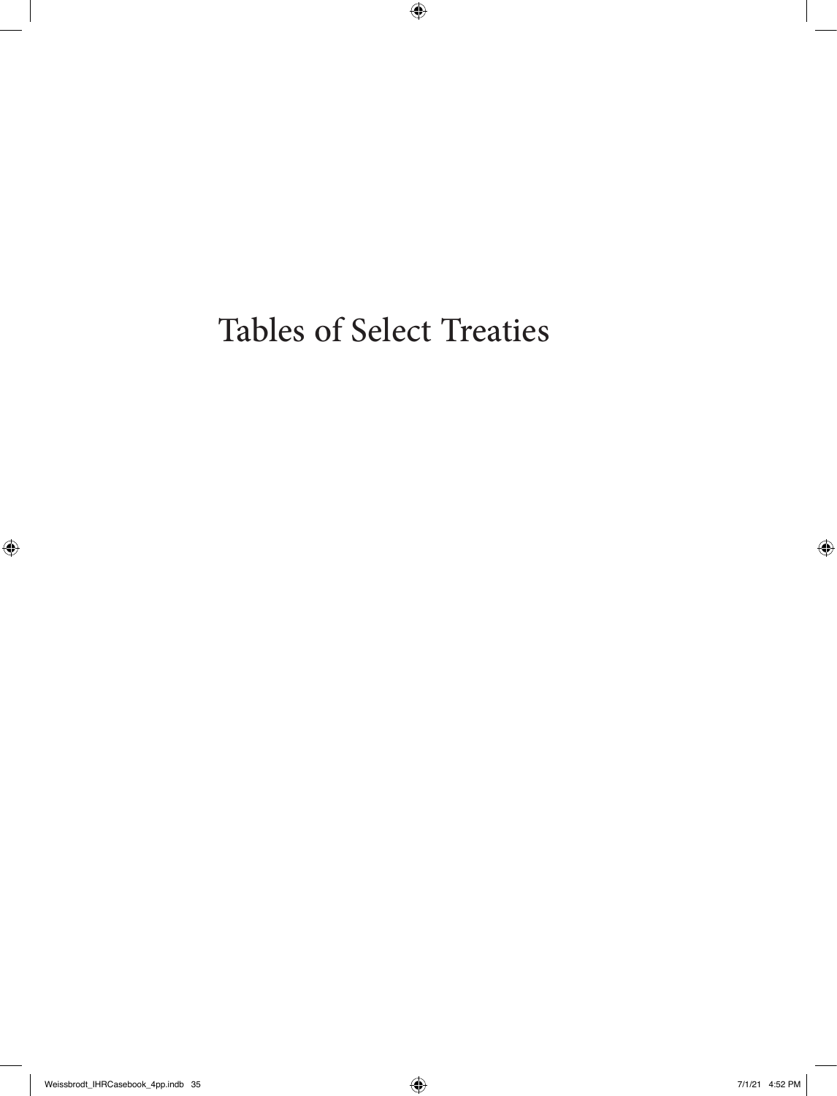Tables of Select Treaties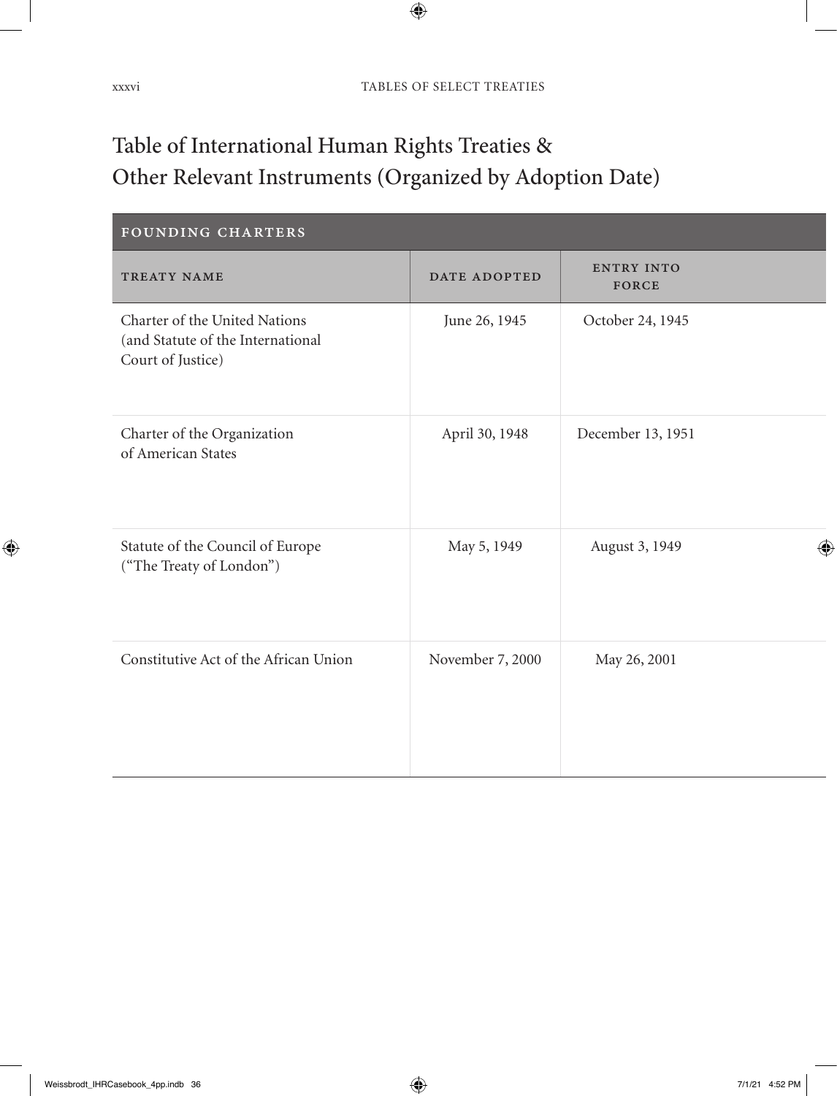# Table of International Human Rights Treaties & Other Relevant Instruments (Organized by Adoption Date)

| FOUNDING CHARTERS                                                                       |                  |                            |
|-----------------------------------------------------------------------------------------|------------------|----------------------------|
| TREATY NAME                                                                             | DATE ADOPTED     | <b>ENTRY INTO</b><br>FORCE |
| Charter of the United Nations<br>(and Statute of the International<br>Court of Justice) | June 26, 1945    | October 24, 1945           |
| Charter of the Organization<br>of American States                                       | April 30, 1948   | December 13, 1951          |
| Statute of the Council of Europe<br>("The Treaty of London")                            | May 5, 1949      | August 3, 1949             |
| Constitutive Act of the African Union                                                   | November 7, 2000 | May 26, 2001               |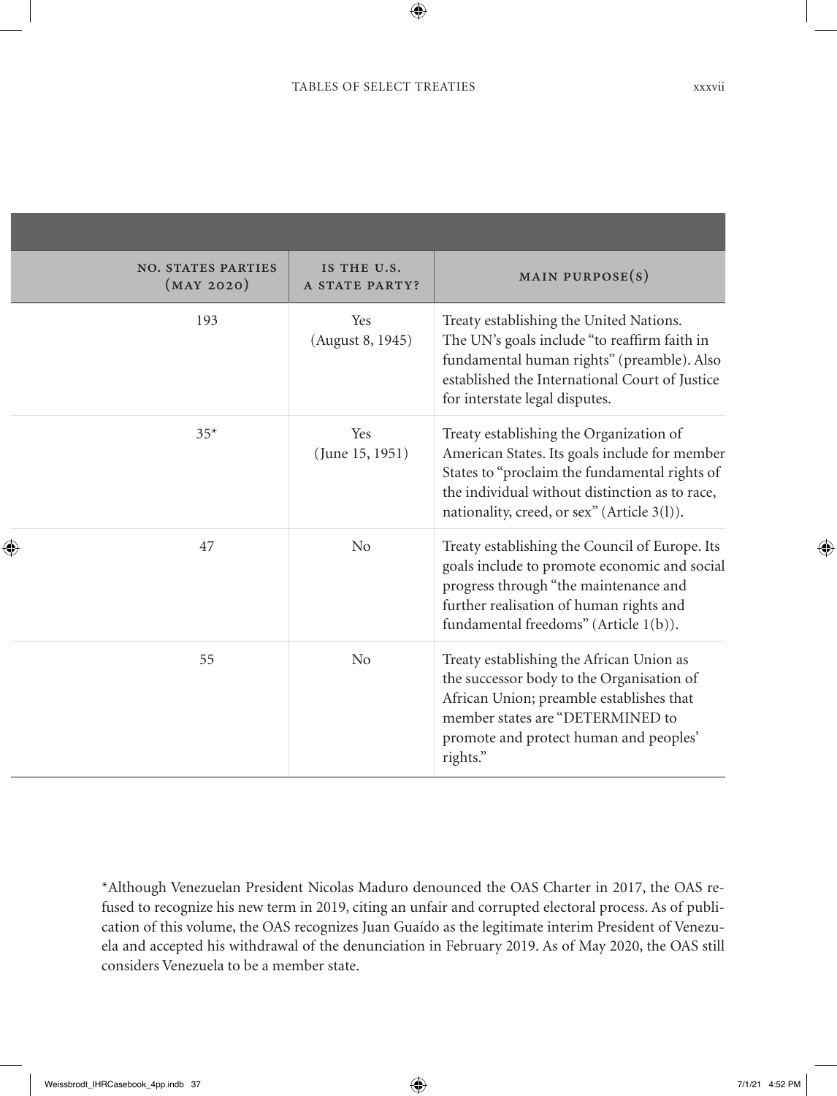| × |
|---|
|   |

| <b>NO. STATES PARTIES</b><br>(MAY 2020) | IS THE U.S.<br>A STATE PARTY? | MAIN PURPOSE $(s)$                                                                                                                                                                                                                         |
|-----------------------------------------|-------------------------------|--------------------------------------------------------------------------------------------------------------------------------------------------------------------------------------------------------------------------------------------|
| 193                                     | Yes<br>(August 8, 1945)       | Treaty establishing the United Nations.<br>The UN's goals include "to reaffirm faith in<br>fundamental human rights" (preamble). Also<br>established the International Court of Justice<br>for interstate legal disputes.                  |
| $35*$                                   | Yes<br>(June 15, 1951)        | Treaty establishing the Organization of<br>American States. Its goals include for member<br>States to "proclaim the fundamental rights of<br>the individual without distinction as to race,<br>nationality, creed, or sex" (Article 3(l)). |
| 47                                      | No                            | Treaty establishing the Council of Europe. Its<br>goals include to promote economic and social<br>progress through "the maintenance and<br>further realisation of human rights and<br>fundamental freedoms" (Article 1(b)).                |
| 55                                      | No                            | Treaty establishing the African Union as<br>the successor body to the Organisation of<br>African Union; preamble establishes that<br>member states are "DETERMINED to<br>promote and protect human and peoples'<br>rights."                |

\*Although Venezuelan President Nicolas Maduro denounced the OAS Charter in 2017, the OAS refused to recognize his new term in 2019, citing an unfair and corrupted electoral process. As of publication of this volume, the OAS recognizes Juan Guaído as the legitimate interim President of Venezuela and accepted his withdrawal of the denunciation in February 2019. As of May 2020, the OAS still considers Venezuela to be a member state.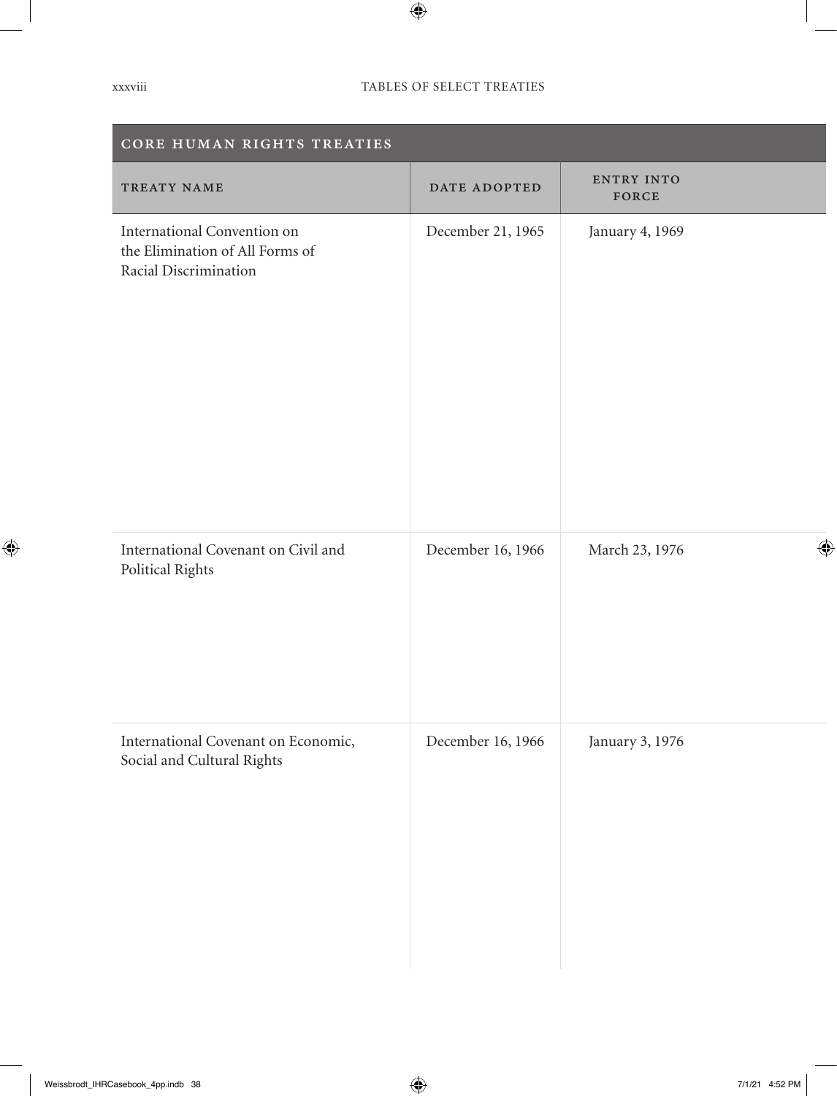| CORE HUMAN RIGHTS TREATIES                                                              |                   |                     |  |  |  |  |
|-----------------------------------------------------------------------------------------|-------------------|---------------------|--|--|--|--|
| TREATY NAME                                                                             | DATE ADOPTED      | ENTRY INTO<br>FORCE |  |  |  |  |
| International Convention on<br>the Elimination of All Forms of<br>Racial Discrimination | December 21, 1965 | January 4, 1969     |  |  |  |  |
| International Covenant on Civil and<br>Political Rights                                 | December 16, 1966 | March 23, 1976      |  |  |  |  |
| International Covenant on Economic,<br>Social and Cultural Rights                       | December 16, 1966 | January 3, 1976     |  |  |  |  |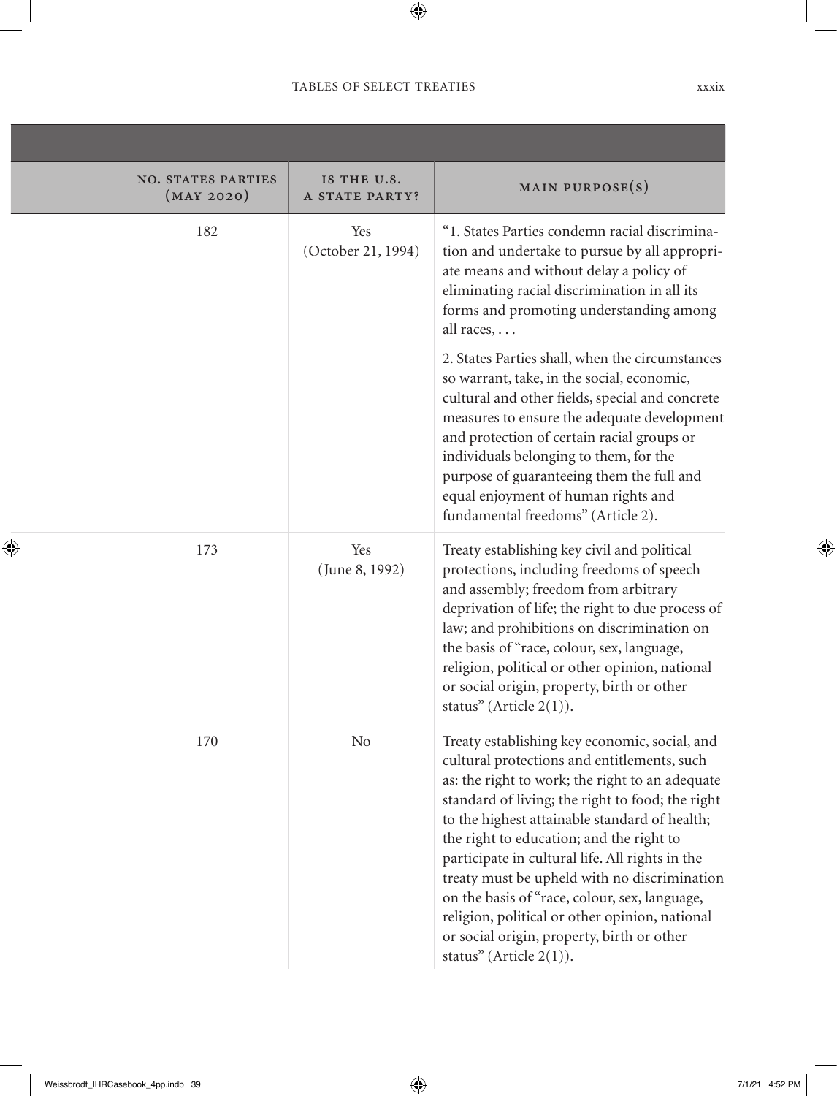| <b>NO. STATES PARTIES</b><br>(MAY 2020) | IS THE U.S.<br>A STATE PARTY? | MAIN PURPOSE(S)                                                                                                                                                                                                                                                                                                                                                                                                                                                                                                                                                                                                                           |
|-----------------------------------------|-------------------------------|-------------------------------------------------------------------------------------------------------------------------------------------------------------------------------------------------------------------------------------------------------------------------------------------------------------------------------------------------------------------------------------------------------------------------------------------------------------------------------------------------------------------------------------------------------------------------------------------------------------------------------------------|
| 182                                     | Yes<br>(October 21, 1994)     | "1. States Parties condemn racial discrimina-<br>tion and undertake to pursue by all appropri-<br>ate means and without delay a policy of<br>eliminating racial discrimination in all its<br>forms and promoting understanding among<br>all races, $\dots$<br>2. States Parties shall, when the circumstances<br>so warrant, take, in the social, economic,<br>cultural and other fields, special and concrete<br>measures to ensure the adequate development<br>and protection of certain racial groups or<br>individuals belonging to them, for the<br>purpose of guaranteeing them the full and<br>equal enjoyment of human rights and |
| 173                                     | Yes<br>(June 8, 1992)         | fundamental freedoms" (Article 2).<br>Treaty establishing key civil and political<br>protections, including freedoms of speech<br>and assembly; freedom from arbitrary<br>deprivation of life; the right to due process of<br>law; and prohibitions on discrimination on<br>the basis of "race, colour, sex, language,<br>religion, political or other opinion, national<br>or social origin, property, birth or other<br>status" (Article $2(1)$ ).                                                                                                                                                                                      |
| 170                                     | N <sub>o</sub>                | Treaty establishing key economic, social, and<br>cultural protections and entitlements, such<br>as: the right to work; the right to an adequate<br>standard of living; the right to food; the right<br>to the highest attainable standard of health;<br>the right to education; and the right to<br>participate in cultural life. All rights in the<br>treaty must be upheld with no discrimination<br>on the basis of "race, colour, sex, language,<br>religion, political or other opinion, national<br>or social origin, property, birth or other<br>status" (Article $2(1)$ ).                                                        |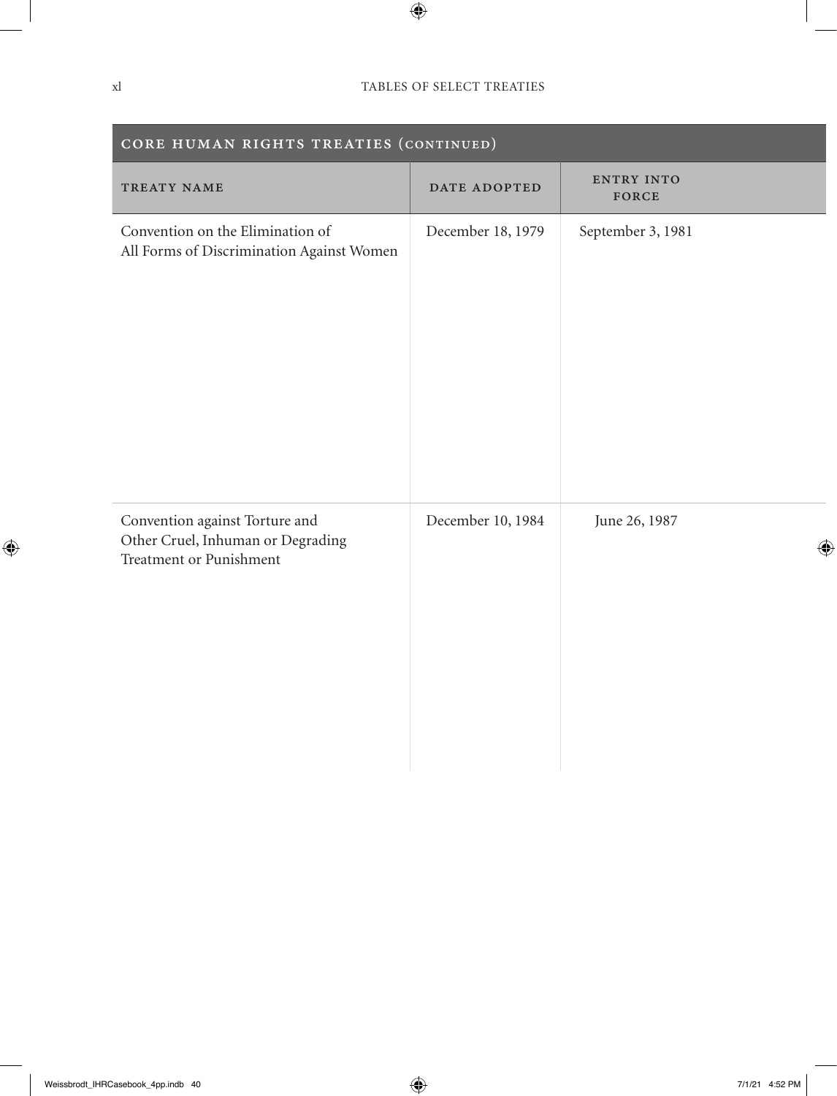| CORE HUMAN RIGHTS TREATIES (CONTINUED)                                                         |                   |                            |  |
|------------------------------------------------------------------------------------------------|-------------------|----------------------------|--|
| TREATY NAME                                                                                    | DATE ADOPTED      | <b>ENTRY INTO</b><br>FORCE |  |
| Convention on the Elimination of<br>All Forms of Discrimination Against Women                  | December 18, 1979 | September 3, 1981          |  |
| Convention against Torture and<br>Other Cruel, Inhuman or Degrading<br>Treatment or Punishment | December 10, 1984 | June 26, 1987              |  |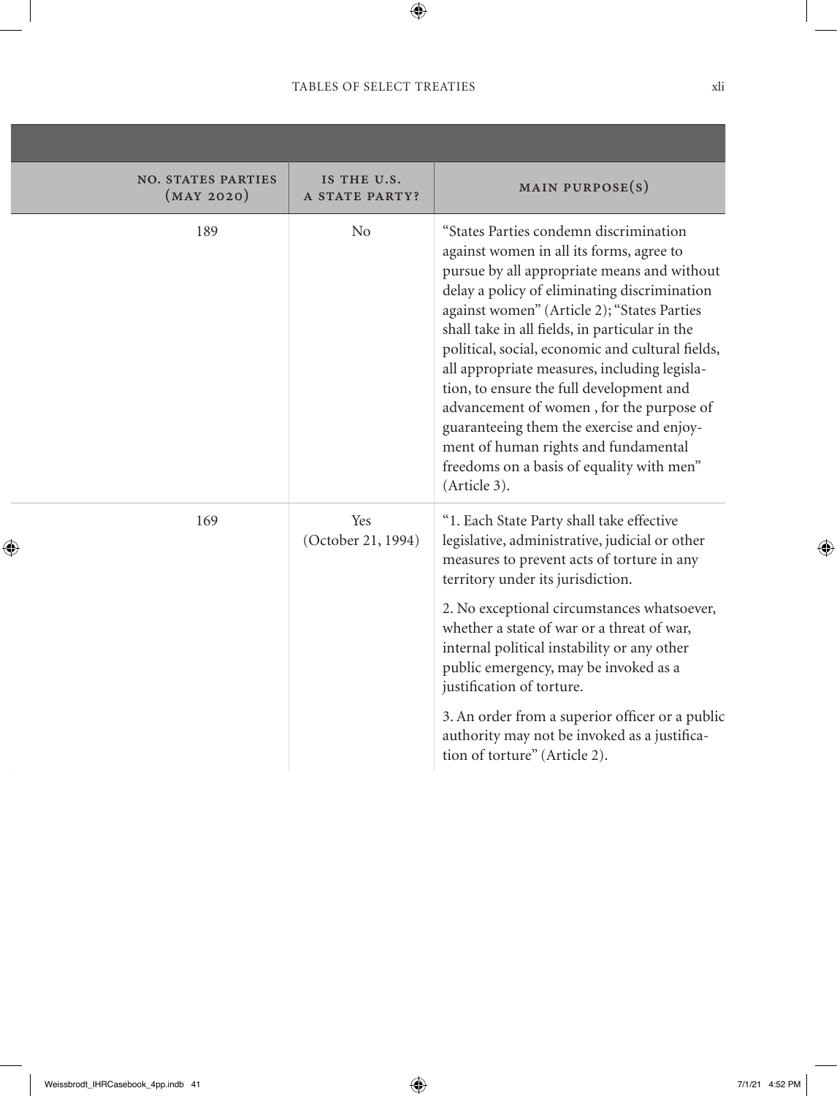,我们也不会有什么。""我们的人,我们也不会有什么?""我们的人,我们也不会有什么?""我们的人,我们也不会有什么?""我们的人,我们也不会有什么?""我们的人

| <b>NO. STATES PARTIES</b><br>(MAY 2020) | IS THE U.S.<br>A STATE PARTY? | MAIN PURPOSE $(s)$                                                                                                                                                                                                                                                                                                                                                                                                                                                                                                                                                                                                               |
|-----------------------------------------|-------------------------------|----------------------------------------------------------------------------------------------------------------------------------------------------------------------------------------------------------------------------------------------------------------------------------------------------------------------------------------------------------------------------------------------------------------------------------------------------------------------------------------------------------------------------------------------------------------------------------------------------------------------------------|
| 189                                     | No                            | "States Parties condemn discrimination<br>against women in all its forms, agree to<br>pursue by all appropriate means and without<br>delay a policy of eliminating discrimination<br>against women" (Article 2); "States Parties<br>shall take in all fields, in particular in the<br>political, social, economic and cultural fields,<br>all appropriate measures, including legisla-<br>tion, to ensure the full development and<br>advancement of women, for the purpose of<br>guaranteeing them the exercise and enjoy-<br>ment of human rights and fundamental<br>freedoms on a basis of equality with men"<br>(Article 3). |
| 169                                     | Yes<br>(October 21, 1994)     | "1. Each State Party shall take effective<br>legislative, administrative, judicial or other<br>measures to prevent acts of torture in any<br>territory under its jurisdiction.                                                                                                                                                                                                                                                                                                                                                                                                                                                   |
|                                         |                               | 2. No exceptional circumstances whatsoever,<br>whether a state of war or a threat of war,<br>internal political instability or any other<br>public emergency, may be invoked as a<br>justification of torture.                                                                                                                                                                                                                                                                                                                                                                                                                   |
|                                         |                               | 3. An order from a superior officer or a public<br>authority may not be invoked as a justifica-<br>tion of torture" (Article 2).                                                                                                                                                                                                                                                                                                                                                                                                                                                                                                 |
|                                         |                               |                                                                                                                                                                                                                                                                                                                                                                                                                                                                                                                                                                                                                                  |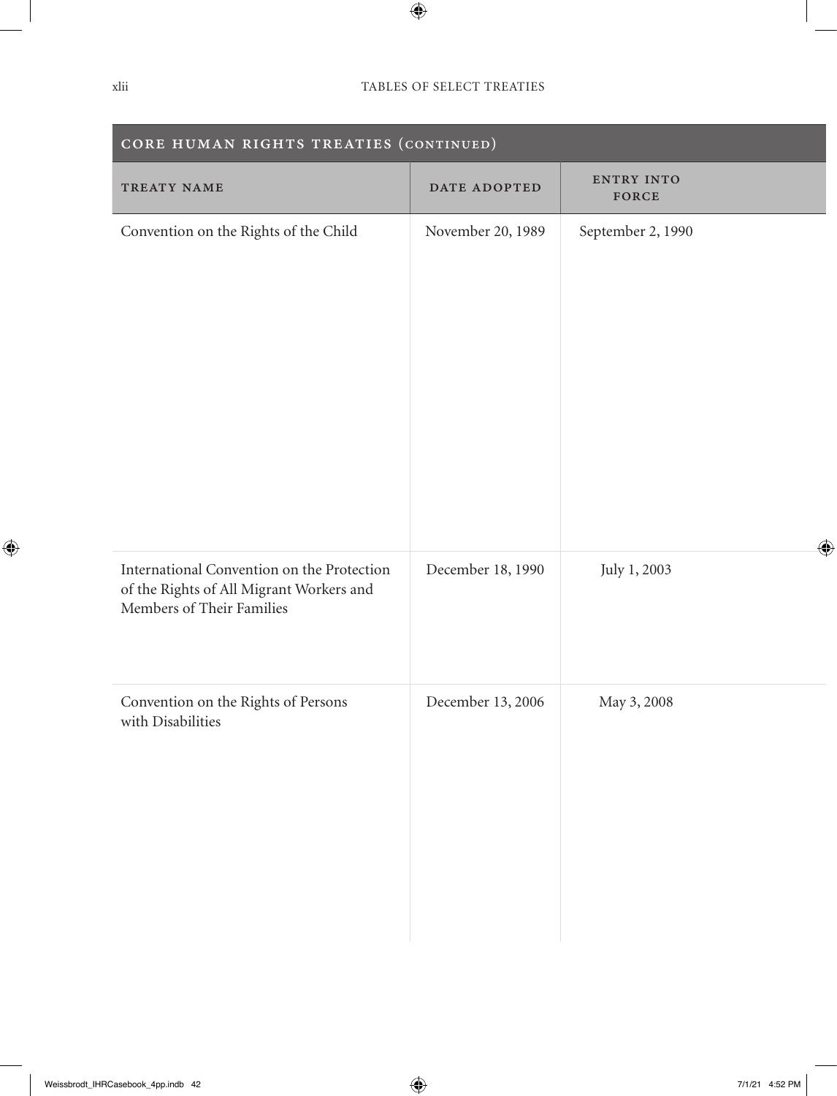| CORE HUMAN RIGHTS TREATIES (CONTINUED)                                                                              |                   |                     |  |
|---------------------------------------------------------------------------------------------------------------------|-------------------|---------------------|--|
| TREATY NAME                                                                                                         | DATE ADOPTED      | ENTRY INTO<br>FORCE |  |
| Convention on the Rights of the Child                                                                               | November 20, 1989 | September 2, 1990   |  |
| International Convention on the Protection<br>of the Rights of All Migrant Workers and<br>Members of Their Families | December 18, 1990 | July 1, 2003        |  |
| Convention on the Rights of Persons<br>with Disabilities                                                            | December 13, 2006 | May 3, 2008         |  |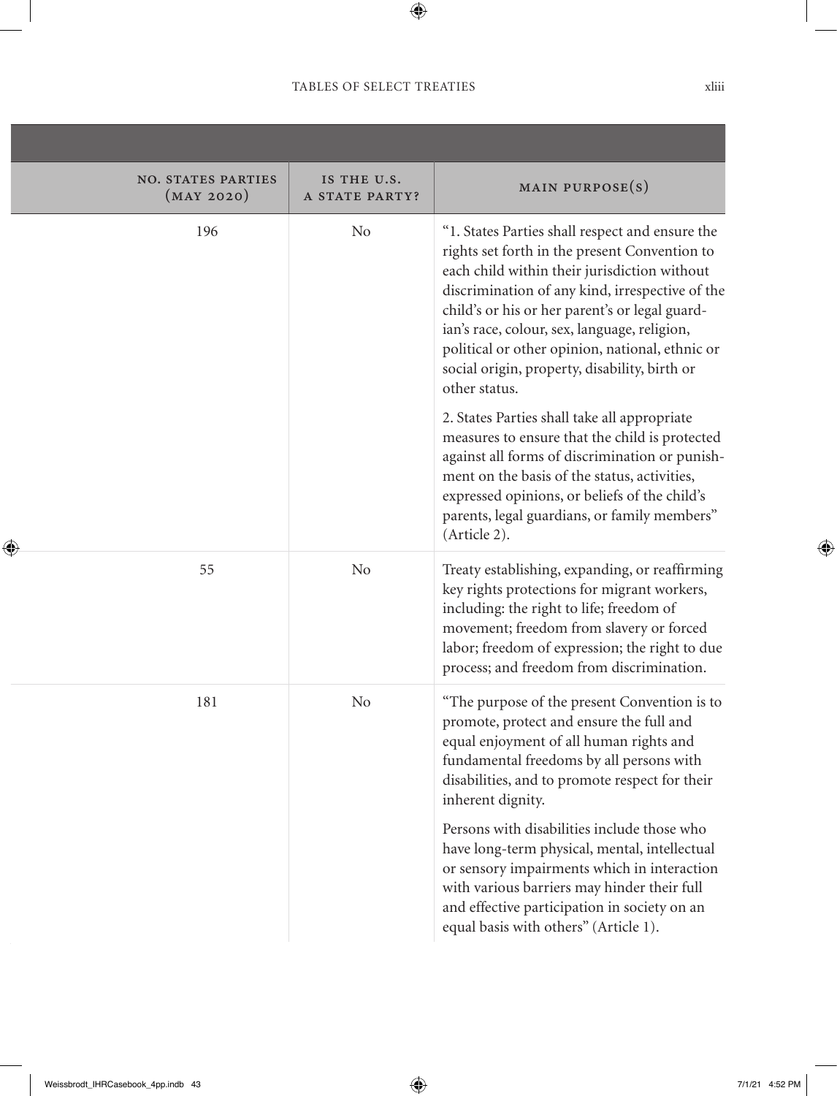,我们也不会有什么。""我们的人,我们也不会有什么?""我们的人,我们也不会有什么?""我们的人,我们也不会有什么?""我们的人,我们也不会有什么?""我们的人

| <b>NO. STATES PARTIES</b><br>(MAY 2020) | IS THE U.S.<br>A STATE PARTY? | MAIN PURPOSE $(s)$                                                                                                                                                                                                                                                                                                                                                                                                         |
|-----------------------------------------|-------------------------------|----------------------------------------------------------------------------------------------------------------------------------------------------------------------------------------------------------------------------------------------------------------------------------------------------------------------------------------------------------------------------------------------------------------------------|
| 196                                     |                               | "1. States Parties shall respect and ensure the<br>rights set forth in the present Convention to<br>each child within their jurisdiction without<br>discrimination of any kind, irrespective of the<br>child's or his or her parent's or legal guard-<br>ian's race, colour, sex, language, religion,<br>political or other opinion, national, ethnic or<br>social origin, property, disability, birth or<br>other status. |
|                                         |                               | 2. States Parties shall take all appropriate<br>measures to ensure that the child is protected<br>against all forms of discrimination or punish-<br>ment on the basis of the status, activities,<br>expressed opinions, or beliefs of the child's<br>parents, legal guardians, or family members"<br>(Article 2).                                                                                                          |
| 55                                      | No                            | Treaty establishing, expanding, or reaffirming<br>key rights protections for migrant workers,<br>including: the right to life; freedom of<br>movement; freedom from slavery or forced<br>labor; freedom of expression; the right to due<br>process; and freedom from discrimination.                                                                                                                                       |
| 181                                     | N <sub>o</sub>                | "The purpose of the present Convention is to<br>promote, protect and ensure the full and<br>equal enjoyment of all human rights and<br>fundamental freedoms by all persons with<br>disabilities, and to promote respect for their<br>inherent dignity.                                                                                                                                                                     |
|                                         |                               | Persons with disabilities include those who<br>have long-term physical, mental, intellectual<br>or sensory impairments which in interaction<br>with various barriers may hinder their full<br>and effective participation in society on an<br>equal basis with others" (Article 1).                                                                                                                                        |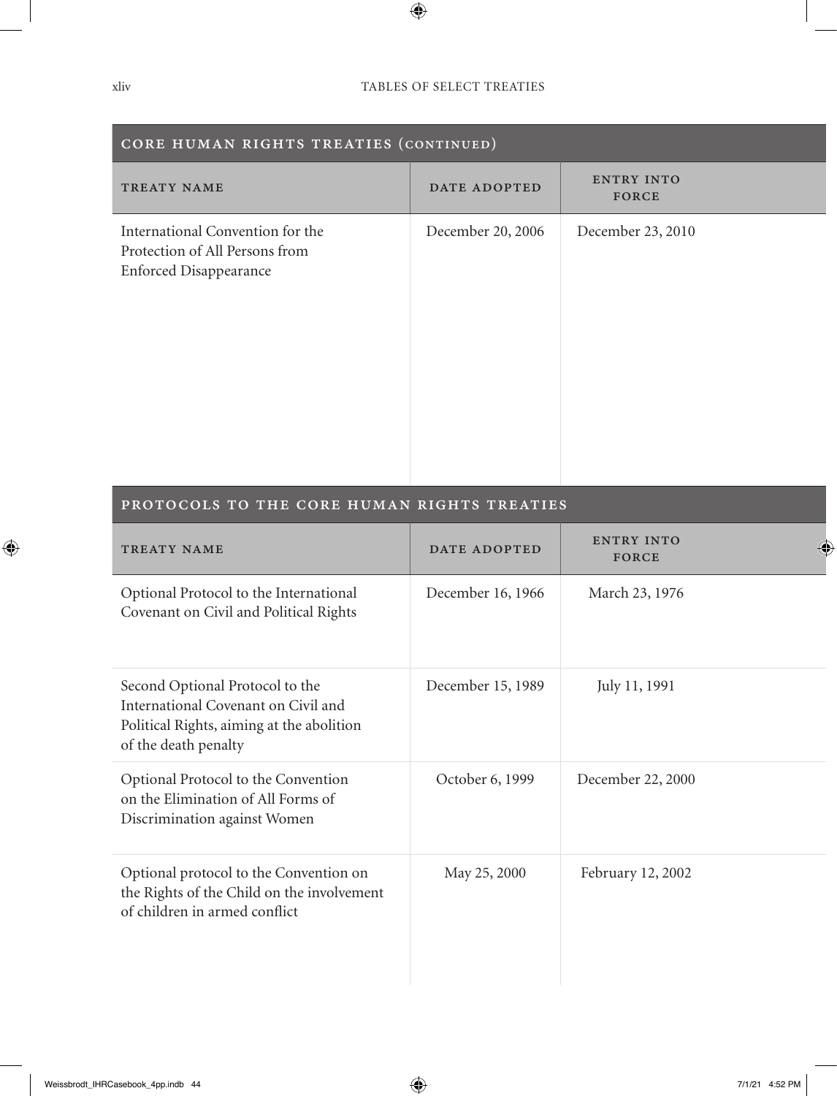| CORE HUMAN RIGHTS TREATIES (CONTINUED)                                                              |                   |                     |
|-----------------------------------------------------------------------------------------------------|-------------------|---------------------|
| TREATY NAME                                                                                         | DATE ADOPTED      | ENTRY INTO<br>FORCE |
| International Convention for the<br>Protection of All Persons from<br><b>Enforced Disappearance</b> | December 20, 2006 | December 23, 2010   |

#### PROTOCOLS TO THE CORE HUMAN RIGHTS TREATIES

| TREATY NAME                                                                                                                                 | DATE ADOPTED      | <b>ENTRY INTO</b><br><b>FORCE</b> |
|---------------------------------------------------------------------------------------------------------------------------------------------|-------------------|-----------------------------------|
| Optional Protocol to the International<br>Covenant on Civil and Political Rights                                                            | December 16, 1966 | March 23, 1976                    |
| Second Optional Protocol to the<br>International Covenant on Civil and<br>Political Rights, aiming at the abolition<br>of the death penalty | December 15, 1989 | July 11, 1991                     |
| Optional Protocol to the Convention<br>on the Elimination of All Forms of<br>Discrimination against Women                                   | October 6, 1999   | December 22, 2000                 |
| Optional protocol to the Convention on<br>the Rights of the Child on the involvement<br>of children in armed conflict                       | May 25, 2000      | February 12, 2002                 |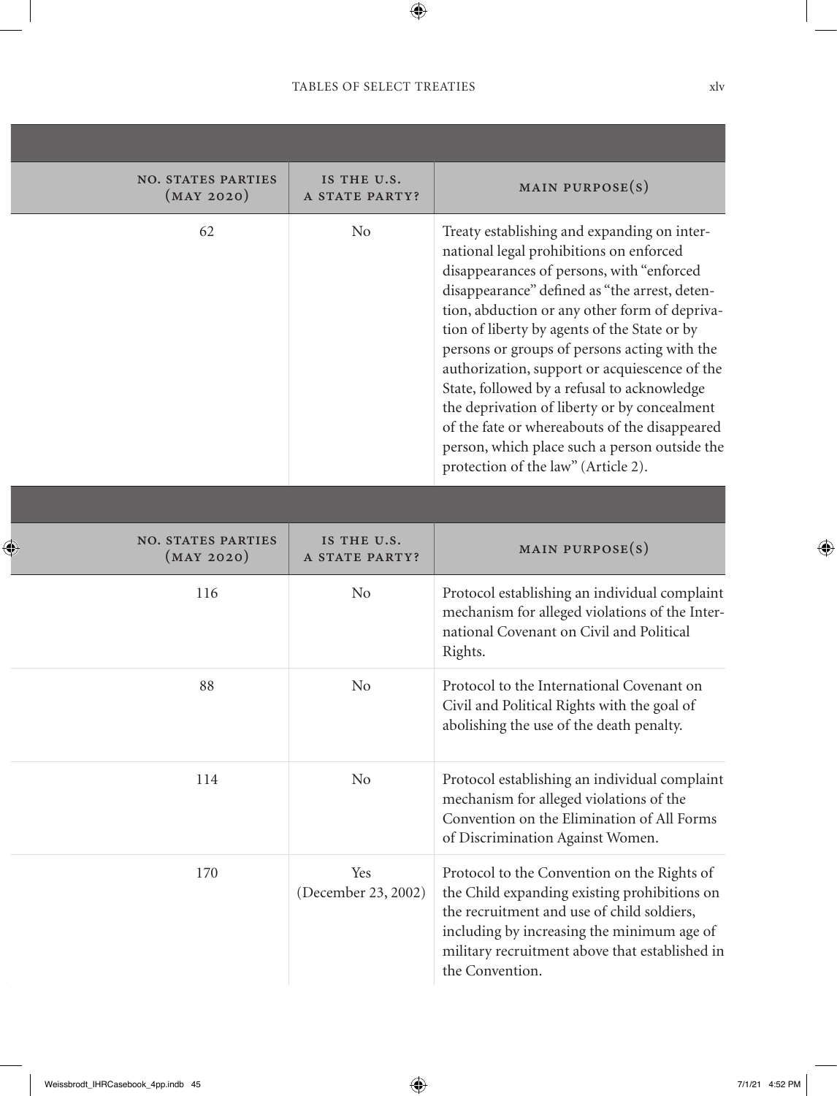| <b>NO. STATES PARTIES</b><br>(MAY 2020) | IS THE U.S.<br>A STATE PARTY? | MAIN PURPOSE $(s)$                                                                                                                                                                                                                                                                                                                                                                                                                                                                                                                                                                                                             |
|-----------------------------------------|-------------------------------|--------------------------------------------------------------------------------------------------------------------------------------------------------------------------------------------------------------------------------------------------------------------------------------------------------------------------------------------------------------------------------------------------------------------------------------------------------------------------------------------------------------------------------------------------------------------------------------------------------------------------------|
| 62                                      | No                            | Treaty establishing and expanding on inter-<br>national legal prohibitions on enforced<br>disappearances of persons, with "enforced<br>disappearance" defined as "the arrest, deten-<br>tion, abduction or any other form of depriva-<br>tion of liberty by agents of the State or by<br>persons or groups of persons acting with the<br>authorization, support or acquiescence of the<br>State, followed by a refusal to acknowledge<br>the deprivation of liberty or by concealment<br>of the fate or whereabouts of the disappeared<br>person, which place such a person outside the<br>protection of the law" (Article 2). |
|                                         |                               |                                                                                                                                                                                                                                                                                                                                                                                                                                                                                                                                                                                                                                |
| <b>NO. STATES PARTIES</b><br>(MAY 2020) | IS THE U.S.<br>A STATE PARTY? | MAIN PURPOSE $(s)$                                                                                                                                                                                                                                                                                                                                                                                                                                                                                                                                                                                                             |
| 116                                     | N <sub>o</sub>                | Protocol establishing an individual complaint<br>mechanism for alleged violations of the Inter-<br>national Covenant on Civil and Political<br>Rights.                                                                                                                                                                                                                                                                                                                                                                                                                                                                         |
| 88                                      | N <sub>o</sub>                | Protocol to the International Covenant on<br>Civil and Political Rights with the goal of<br>abolishing the use of the death penalty.                                                                                                                                                                                                                                                                                                                                                                                                                                                                                           |
| 114                                     | No                            | Protocol establishing an individual complaint<br>mechanism for alleged violations of the<br>Convention on the Elimination of All Forms<br>of Discrimination Against Women.                                                                                                                                                                                                                                                                                                                                                                                                                                                     |
| 170                                     | Yes<br>(December 23, 2002)    | Protocol to the Convention on the Rights of<br>the Child expanding existing prohibitions on<br>the recruitment and use of child soldiers,<br>including by increasing the minimum age of<br>military recruitment above that established in<br>the Convention.                                                                                                                                                                                                                                                                                                                                                                   |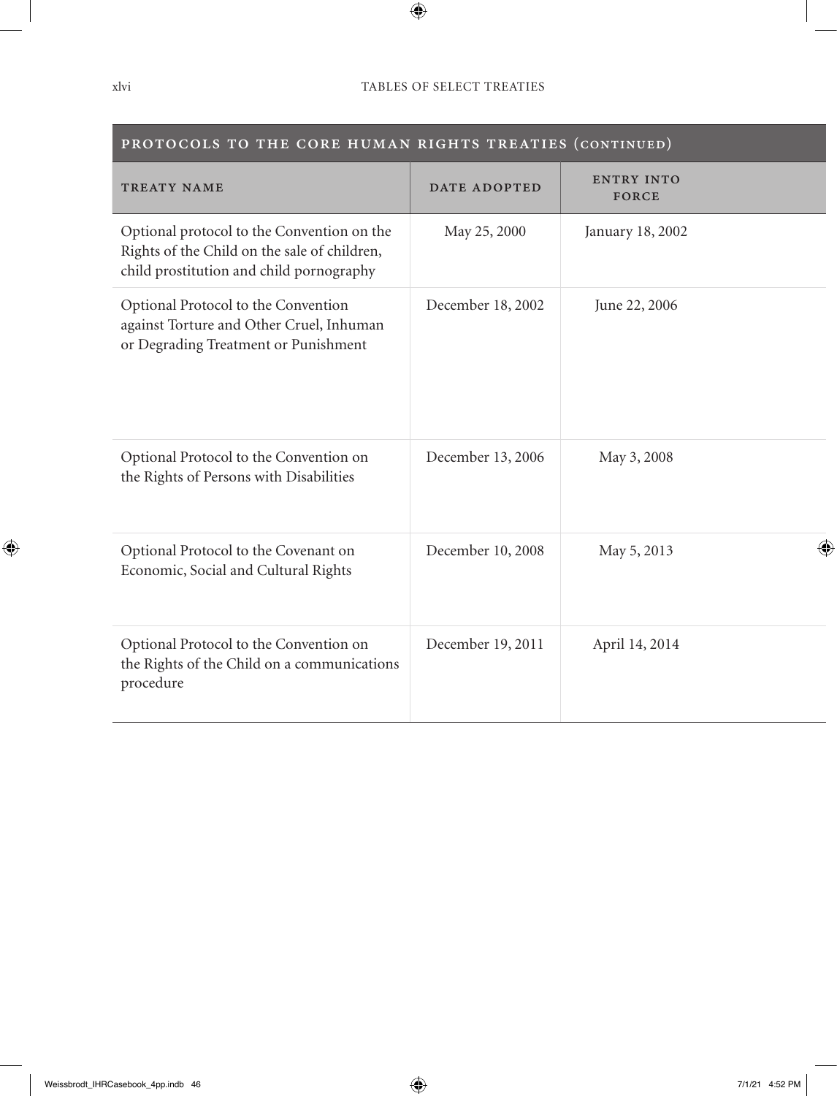| PROTOCOLS TO THE CORE HUMAN RIGHTS TREATIES (CONTINUED)                                                                                |                   |                                   |  |
|----------------------------------------------------------------------------------------------------------------------------------------|-------------------|-----------------------------------|--|
| TREATY NAME                                                                                                                            | DATE ADOPTED      | <b>ENTRY INTO</b><br><b>FORCE</b> |  |
| Optional protocol to the Convention on the<br>Rights of the Child on the sale of children,<br>child prostitution and child pornography | May 25, 2000      | January 18, 2002                  |  |
| Optional Protocol to the Convention<br>against Torture and Other Cruel, Inhuman<br>or Degrading Treatment or Punishment                | December 18, 2002 | June 22, 2006                     |  |
| Optional Protocol to the Convention on<br>the Rights of Persons with Disabilities                                                      | December 13, 2006 | May 3, 2008                       |  |
| Optional Protocol to the Covenant on<br>Economic, Social and Cultural Rights                                                           | December 10, 2008 | May 5, 2013                       |  |
| Optional Protocol to the Convention on<br>the Rights of the Child on a communications<br>procedure                                     | December 19, 2011 | April 14, 2014                    |  |

**Contract Contract**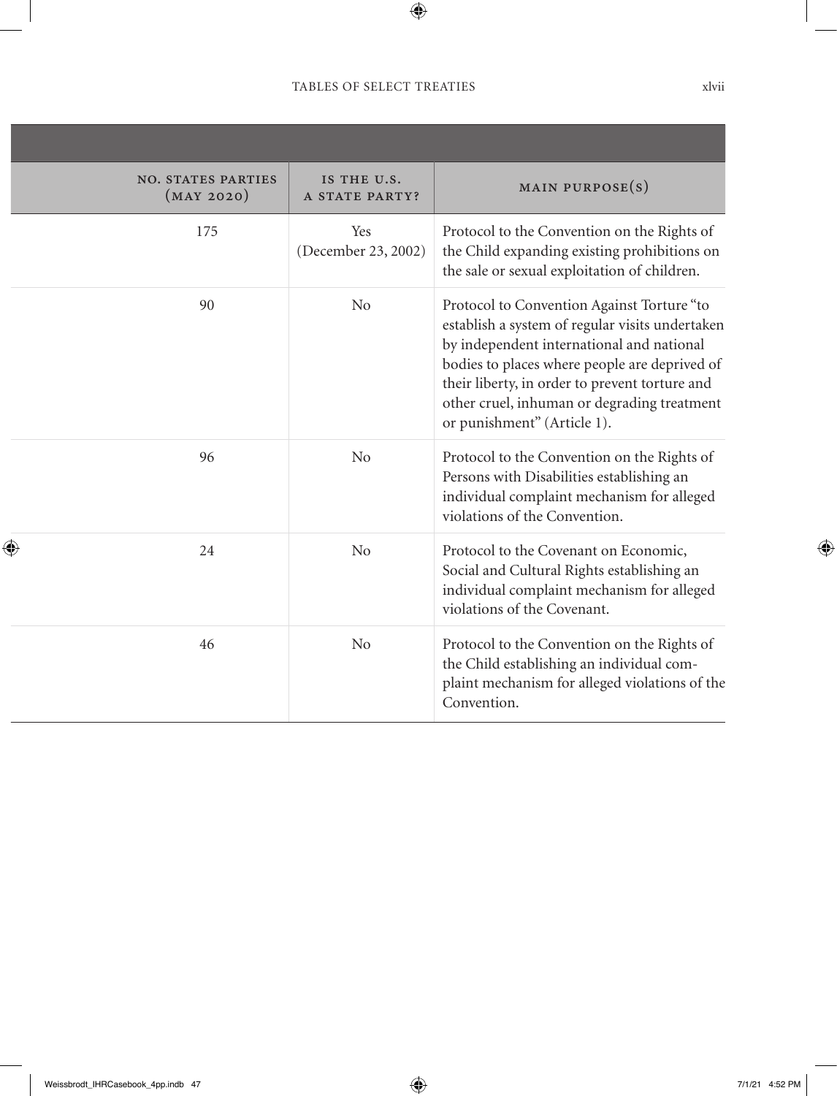| <b>NO. STATES PARTIES</b><br>(MAY 2020) | IS THE U.S.<br>A STATE PARTY? | MAIN PURPOSE $(s)$                                                                                                                                                                                                                                                                                                          |
|-----------------------------------------|-------------------------------|-----------------------------------------------------------------------------------------------------------------------------------------------------------------------------------------------------------------------------------------------------------------------------------------------------------------------------|
| 175                                     | Yes<br>(December 23, 2002)    | Protocol to the Convention on the Rights of<br>the Child expanding existing prohibitions on<br>the sale or sexual exploitation of children.                                                                                                                                                                                 |
| 90                                      | No                            | Protocol to Convention Against Torture "to<br>establish a system of regular visits undertaken<br>by independent international and national<br>bodies to places where people are deprived of<br>their liberty, in order to prevent torture and<br>other cruel, inhuman or degrading treatment<br>or punishment" (Article 1). |
| 96                                      | N <sub>o</sub>                | Protocol to the Convention on the Rights of<br>Persons with Disabilities establishing an<br>individual complaint mechanism for alleged<br>violations of the Convention.                                                                                                                                                     |
| 24                                      | N <sub>o</sub>                | Protocol to the Covenant on Economic,<br>Social and Cultural Rights establishing an<br>individual complaint mechanism for alleged<br>violations of the Covenant.                                                                                                                                                            |
| 46                                      | N <sub>o</sub>                | Protocol to the Convention on the Rights of<br>the Child establishing an individual com-<br>plaint mechanism for alleged violations of the<br>Convention.                                                                                                                                                                   |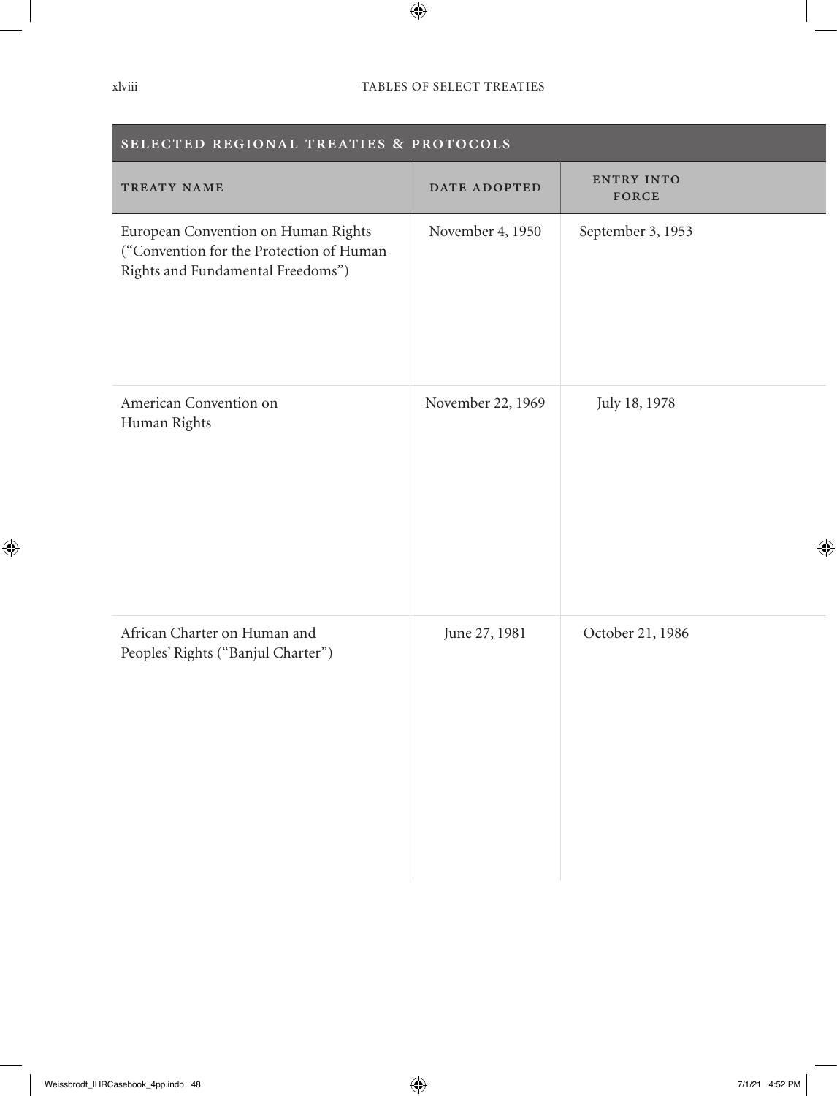| SELECTED REGIONAL TREATIES & PROTOCOLS                                                                               |                   |                     |  |  |  |  |
|----------------------------------------------------------------------------------------------------------------------|-------------------|---------------------|--|--|--|--|
| TREATY NAME                                                                                                          | DATE ADOPTED      | ENTRY INTO<br>FORCE |  |  |  |  |
| European Convention on Human Rights<br>("Convention for the Protection of Human<br>Rights and Fundamental Freedoms") | November 4, 1950  | September 3, 1953   |  |  |  |  |
| American Convention on<br>Human Rights                                                                               | November 22, 1969 | July 18, 1978       |  |  |  |  |
| African Charter on Human and<br>Peoples' Rights ("Banjul Charter")                                                   | June 27, 1981     | October 21, 1986    |  |  |  |  |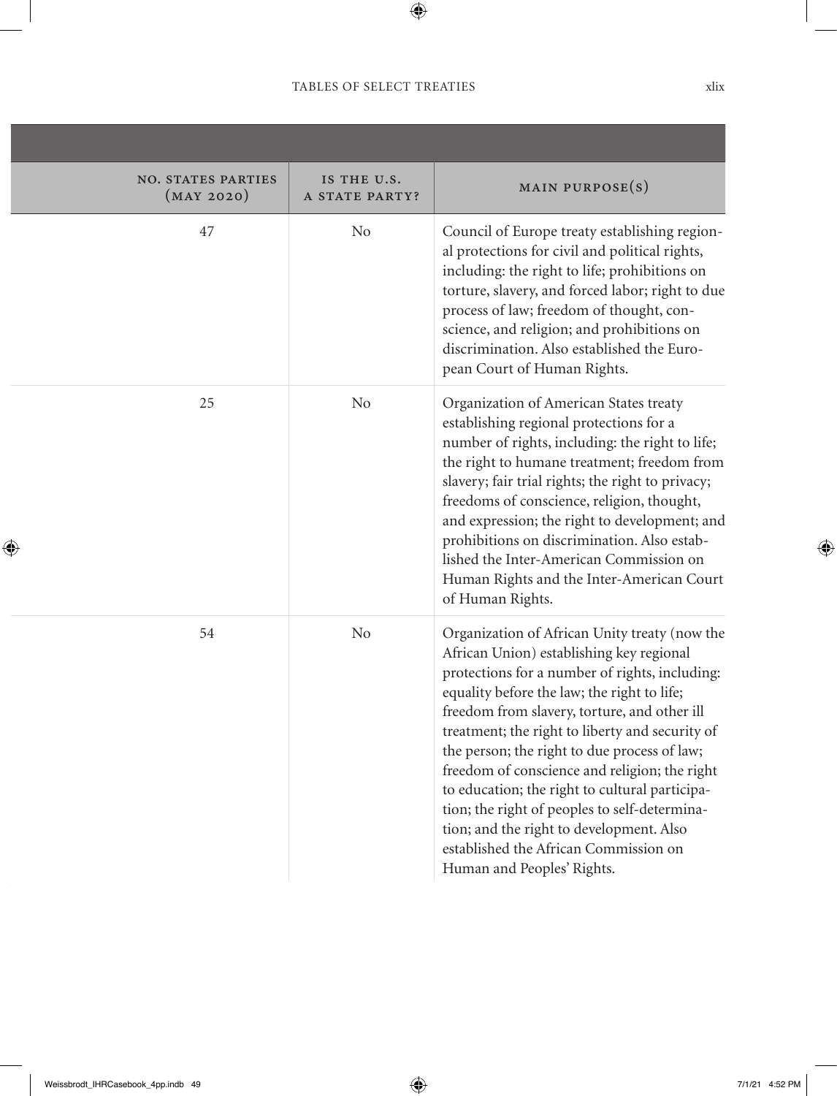,我们也不会有什么。""我们的人,我们也不会有什么?""我们的人,我们也不会有什么?""我们的人,我们也不会有什么?""我们的人,我们也不会有什么?""我们的人

| <b>NO. STATES PARTIES</b><br>(MAY 2020) | IS THE U.S.<br>A STATE PARTY? | MAIN PURPOSE $(s)$                                                                                                                                                                                                                                                                                                                                                                                                                                                                                                                                                                                                   |
|-----------------------------------------|-------------------------------|----------------------------------------------------------------------------------------------------------------------------------------------------------------------------------------------------------------------------------------------------------------------------------------------------------------------------------------------------------------------------------------------------------------------------------------------------------------------------------------------------------------------------------------------------------------------------------------------------------------------|
| 47                                      | N <sub>0</sub>                | Council of Europe treaty establishing region-<br>al protections for civil and political rights,<br>including: the right to life; prohibitions on<br>torture, slavery, and forced labor; right to due<br>process of law; freedom of thought, con-<br>science, and religion; and prohibitions on<br>discrimination. Also established the Euro-<br>pean Court of Human Rights.                                                                                                                                                                                                                                          |
| 25                                      | N <sub>o</sub>                | Organization of American States treaty<br>establishing regional protections for a<br>number of rights, including: the right to life;<br>the right to humane treatment; freedom from<br>slavery; fair trial rights; the right to privacy;<br>freedoms of conscience, religion, thought,<br>and expression; the right to development; and<br>prohibitions on discrimination. Also estab-<br>lished the Inter-American Commission on<br>Human Rights and the Inter-American Court<br>of Human Rights.                                                                                                                   |
| 54                                      | No                            | Organization of African Unity treaty (now the<br>African Union) establishing key regional<br>protections for a number of rights, including:<br>equality before the law; the right to life;<br>freedom from slavery, torture, and other ill<br>treatment; the right to liberty and security of<br>the person; the right to due process of law;<br>freedom of conscience and religion; the right<br>to education; the right to cultural participa-<br>tion; the right of peoples to self-determina-<br>tion; and the right to development. Also<br>established the African Commission on<br>Human and Peoples' Rights. |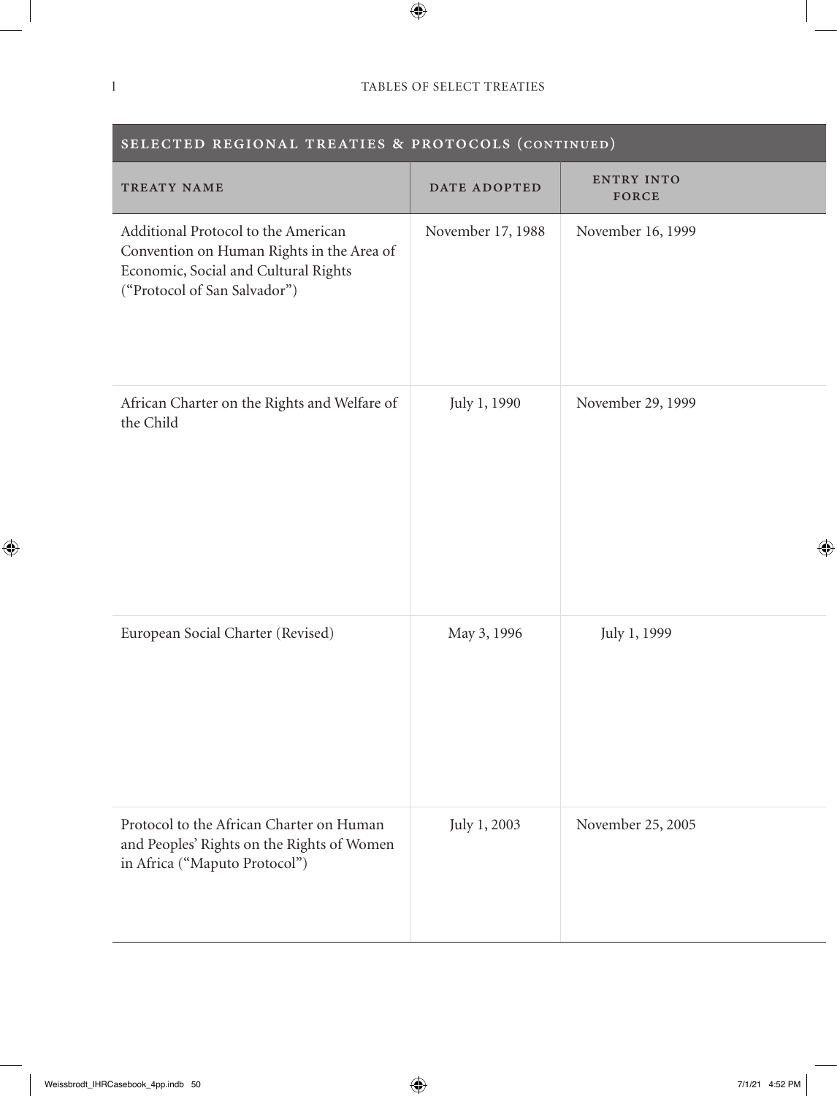| SELECTED REGIONAL TREATIES & PROTOCOLS (CONTINUED)                                                                                                       |                   |                     |
|----------------------------------------------------------------------------------------------------------------------------------------------------------|-------------------|---------------------|
| TREATY NAME                                                                                                                                              | DATE ADOPTED      | ENTRY INTO<br>FORCE |
| Additional Protocol to the American<br>Convention on Human Rights in the Area of<br>Economic, Social and Cultural Rights<br>("Protocol of San Salvador") | November 17, 1988 | November 16, 1999   |
| African Charter on the Rights and Welfare of<br>the Child                                                                                                | July 1, 1990      | November 29, 1999   |
| European Social Charter (Revised)                                                                                                                        | May 3, 1996       | July 1, 1999        |
| Protocol to the African Charter on Human<br>and Peoples' Rights on the Rights of Women<br>in Africa ("Maputo Protocol")                                  | July 1, 2003      | November 25, 2005   |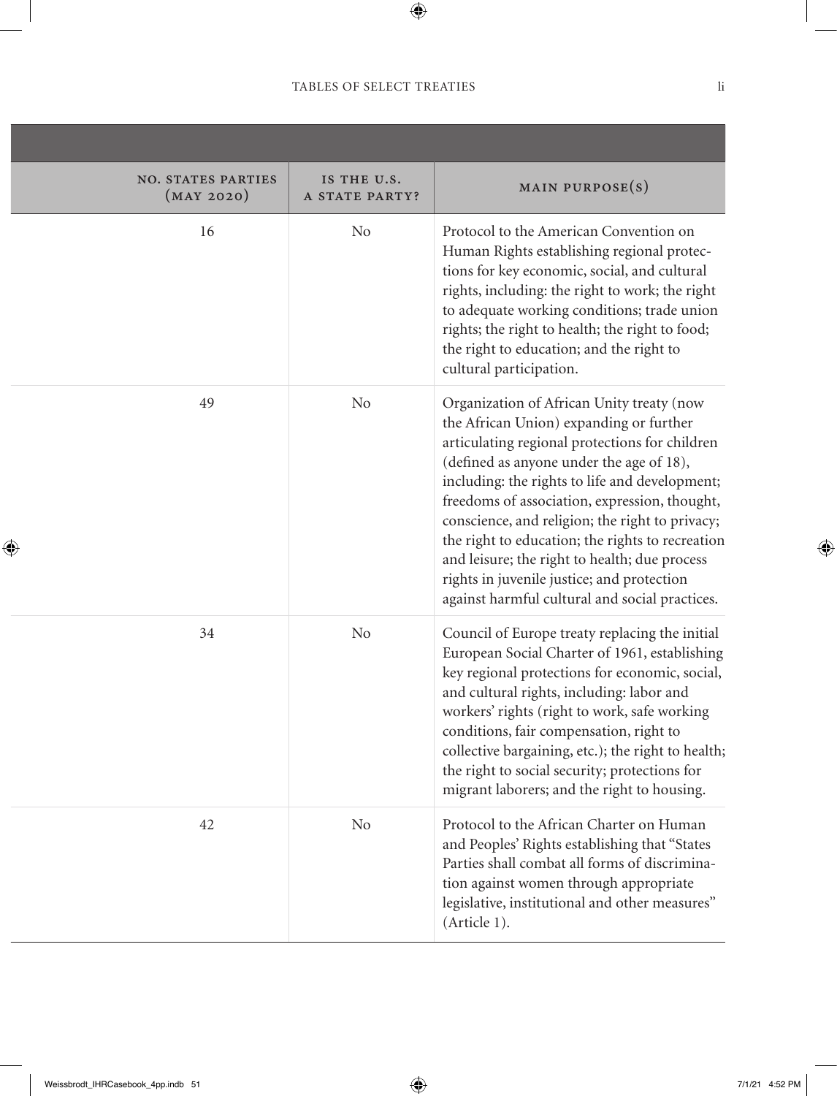,我们也不会有什么。""我们的人,我们也不会有什么?""我们的人,我们也不会有什么?""我们的人,我们也不会有什么?""我们的人,我们也不会有什么?""我们的人

| <b>NO. STATES PARTIES</b><br>(MAY 2020) | IS THE U.S.<br>A STATE PARTY? | MAIN PURPOSE $(s)$                                                                                                                                                                                                                                                                                                                                                                                                                                                                                                                            |
|-----------------------------------------|-------------------------------|-----------------------------------------------------------------------------------------------------------------------------------------------------------------------------------------------------------------------------------------------------------------------------------------------------------------------------------------------------------------------------------------------------------------------------------------------------------------------------------------------------------------------------------------------|
| 16                                      | N <sub>o</sub>                | Protocol to the American Convention on<br>Human Rights establishing regional protec-<br>tions for key economic, social, and cultural<br>rights, including: the right to work; the right<br>to adequate working conditions; trade union<br>rights; the right to health; the right to food;<br>the right to education; and the right to<br>cultural participation.                                                                                                                                                                              |
| 49                                      | N <sub>o</sub>                | Organization of African Unity treaty (now<br>the African Union) expanding or further<br>articulating regional protections for children<br>(defined as anyone under the age of 18),<br>including: the rights to life and development;<br>freedoms of association, expression, thought,<br>conscience, and religion; the right to privacy;<br>the right to education; the rights to recreation<br>and leisure; the right to health; due process<br>rights in juvenile justice; and protection<br>against harmful cultural and social practices. |
| 34                                      | No                            | Council of Europe treaty replacing the initial<br>European Social Charter of 1961, establishing<br>key regional protections for economic, social,<br>and cultural rights, including: labor and<br>workers' rights (right to work, safe working<br>conditions, fair compensation, right to<br>collective bargaining, etc.); the right to health;<br>the right to social security; protections for<br>migrant laborers; and the right to housing.                                                                                               |
| 42                                      | No                            | Protocol to the African Charter on Human<br>and Peoples' Rights establishing that "States<br>Parties shall combat all forms of discrimina-<br>tion against women through appropriate<br>legislative, institutional and other measures"<br>(Article 1).                                                                                                                                                                                                                                                                                        |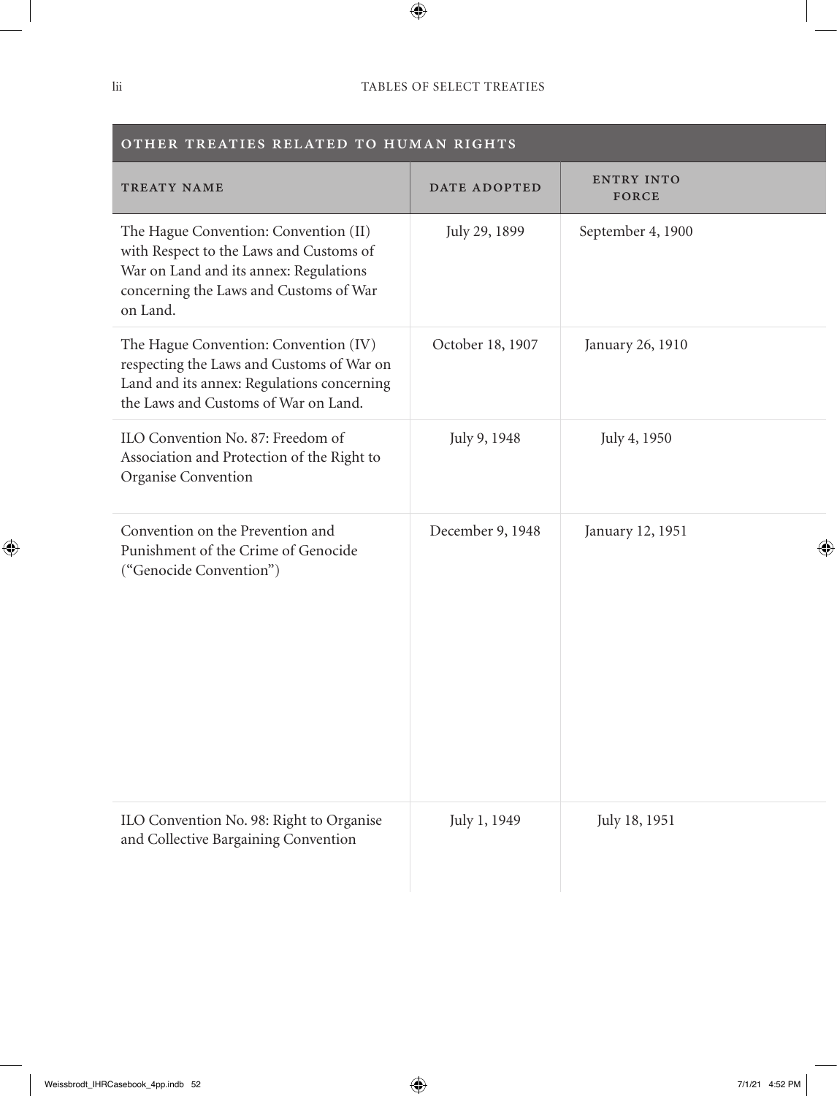| OTHER TREATIES RELATED TO HUMAN RIGHTS                                                                                                                                           |                  |                     |
|----------------------------------------------------------------------------------------------------------------------------------------------------------------------------------|------------------|---------------------|
| TREATY NAME                                                                                                                                                                      | DATE ADOPTED     | ENTRY INTO<br>FORCE |
| The Hague Convention: Convention (II)<br>with Respect to the Laws and Customs of<br>War on Land and its annex: Regulations<br>concerning the Laws and Customs of War<br>on Land. | July 29, 1899    | September 4, 1900   |
| The Hague Convention: Convention (IV)<br>respecting the Laws and Customs of War on<br>Land and its annex: Regulations concerning<br>the Laws and Customs of War on Land.         | October 18, 1907 | January 26, 1910    |
| ILO Convention No. 87: Freedom of<br>Association and Protection of the Right to<br>Organise Convention                                                                           | July 9, 1948     | July 4, 1950        |
| Convention on the Prevention and<br>Punishment of the Crime of Genocide<br>("Genocide Convention")                                                                               | December 9, 1948 | January 12, 1951    |
| ILO Convention No. 98: Right to Organise<br>and Collective Bargaining Convention                                                                                                 | July 1, 1949     | July 18, 1951       |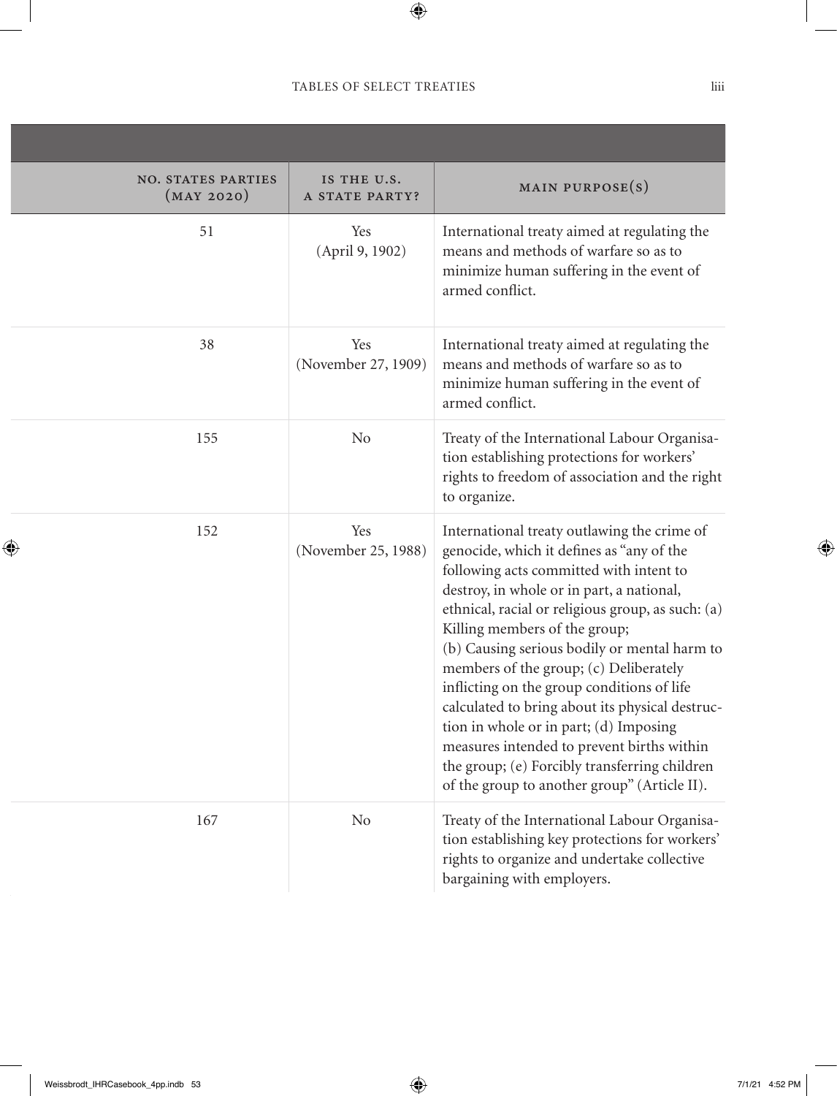| <b>NO. STATES PARTIES</b><br>(MAY 2020) | IS THE U.S.<br>A STATE PARTY? | MAIN PURPOSE(S)                                                                                                                                                                                                                                                                                                                                                                                                                                                                                                                                                                                                                                            |
|-----------------------------------------|-------------------------------|------------------------------------------------------------------------------------------------------------------------------------------------------------------------------------------------------------------------------------------------------------------------------------------------------------------------------------------------------------------------------------------------------------------------------------------------------------------------------------------------------------------------------------------------------------------------------------------------------------------------------------------------------------|
| 51                                      | Yes<br>(April 9, 1902)        | International treaty aimed at regulating the<br>means and methods of warfare so as to<br>minimize human suffering in the event of<br>armed conflict.                                                                                                                                                                                                                                                                                                                                                                                                                                                                                                       |
| 38                                      | Yes<br>(November 27, 1909)    | International treaty aimed at regulating the<br>means and methods of warfare so as to<br>minimize human suffering in the event of<br>armed conflict.                                                                                                                                                                                                                                                                                                                                                                                                                                                                                                       |
| 155                                     | No                            | Treaty of the International Labour Organisa-<br>tion establishing protections for workers'<br>rights to freedom of association and the right<br>to organize.                                                                                                                                                                                                                                                                                                                                                                                                                                                                                               |
| 152                                     | Yes<br>(November 25, 1988)    | International treaty outlawing the crime of<br>genocide, which it defines as "any of the<br>following acts committed with intent to<br>destroy, in whole or in part, a national,<br>ethnical, racial or religious group, as such: (a)<br>Killing members of the group;<br>(b) Causing serious bodily or mental harm to<br>members of the group; (c) Deliberately<br>inflicting on the group conditions of life<br>calculated to bring about its physical destruc-<br>tion in whole or in part; (d) Imposing<br>measures intended to prevent births within<br>the group; (e) Forcibly transferring children<br>of the group to another group" (Article II). |
| 167                                     | No                            | Treaty of the International Labour Organisa-<br>tion establishing key protections for workers'<br>rights to organize and undertake collective<br>bargaining with employers.                                                                                                                                                                                                                                                                                                                                                                                                                                                                                |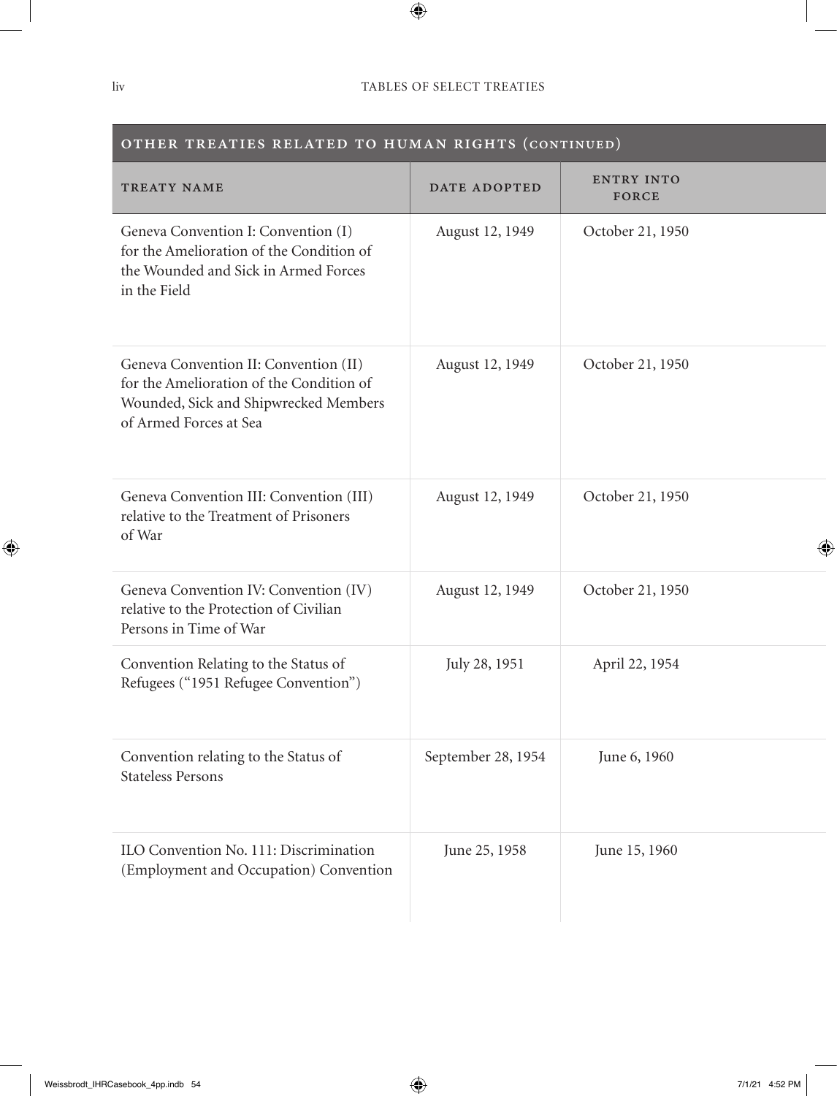| OTHER TREATIES RELATED TO HUMAN RIGHTS (CONTINUED)                                                                                                   |                    |                            |
|------------------------------------------------------------------------------------------------------------------------------------------------------|--------------------|----------------------------|
| TREATY NAME                                                                                                                                          | DATE ADOPTED       | <b>ENTRY INTO</b><br>FORCE |
| Geneva Convention I: Convention (I)<br>for the Amelioration of the Condition of<br>the Wounded and Sick in Armed Forces<br>in the Field              | August 12, 1949    | October 21, 1950           |
| Geneva Convention II: Convention (II)<br>for the Amelioration of the Condition of<br>Wounded, Sick and Shipwrecked Members<br>of Armed Forces at Sea | August 12, 1949    | October 21, 1950           |
| Geneva Convention III: Convention (III)<br>relative to the Treatment of Prisoners<br>of War                                                          | August 12, 1949    | October 21, 1950           |
| Geneva Convention IV: Convention (IV)<br>relative to the Protection of Civilian<br>Persons in Time of War                                            | August 12, 1949    | October 21, 1950           |
| Convention Relating to the Status of<br>Refugees ("1951 Refugee Convention")                                                                         | July 28, 1951      | April 22, 1954             |
| Convention relating to the Status of<br><b>Stateless Persons</b>                                                                                     | September 28, 1954 | June 6, 1960               |
| ILO Convention No. 111: Discrimination<br>(Employment and Occupation) Convention                                                                     | June 25, 1958      | June 15, 1960              |

#### OTHER TREATIES RELATED TO HUMAN RIGHTS (continued)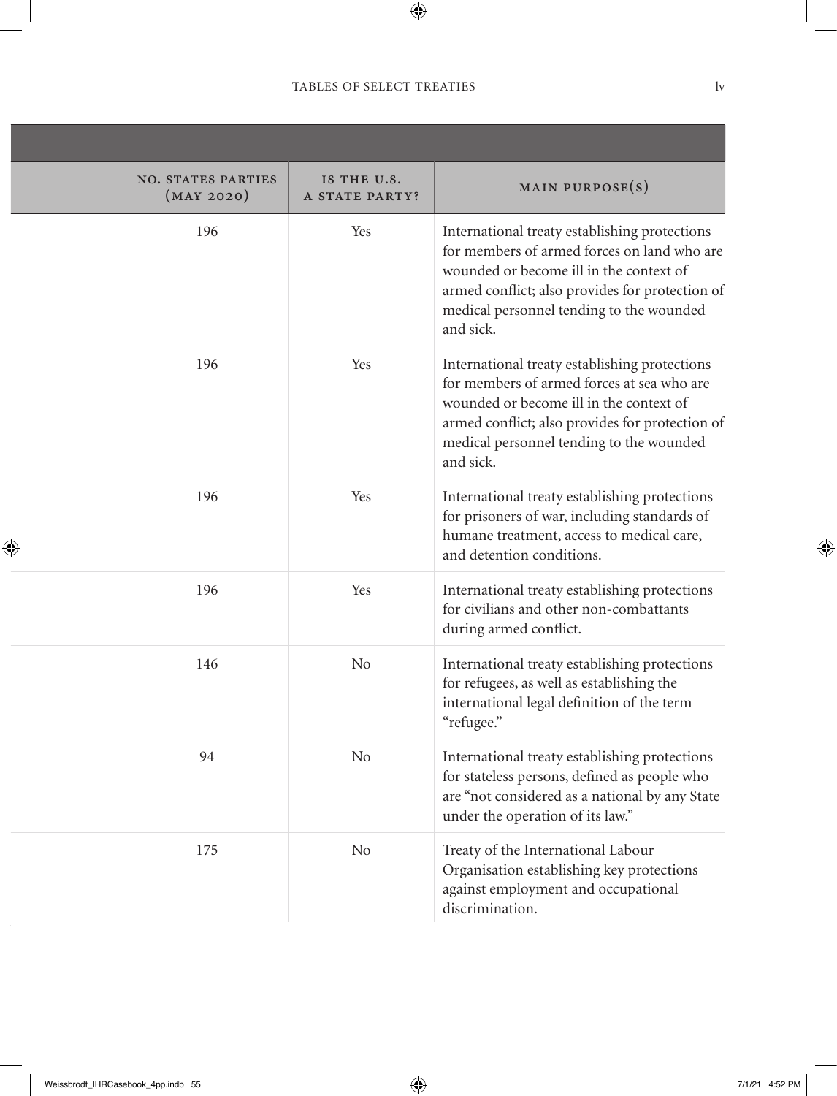| <b>NO. STATES PARTIES</b><br>(MAY 2020) | IS THE U.S.<br>A STATE PARTY? | MAIN PURPOSE $(s)$                                                                                                                                                                                                                                  |
|-----------------------------------------|-------------------------------|-----------------------------------------------------------------------------------------------------------------------------------------------------------------------------------------------------------------------------------------------------|
| 196                                     | Yes                           | International treaty establishing protections<br>for members of armed forces on land who are<br>wounded or become ill in the context of<br>armed conflict; also provides for protection of<br>medical personnel tending to the wounded<br>and sick. |
| 196                                     | Yes                           | International treaty establishing protections<br>for members of armed forces at sea who are<br>wounded or become ill in the context of<br>armed conflict; also provides for protection of<br>medical personnel tending to the wounded<br>and sick.  |
| 196                                     | Yes                           | International treaty establishing protections<br>for prisoners of war, including standards of<br>humane treatment, access to medical care,<br>and detention conditions.                                                                             |
| 196                                     | Yes                           | International treaty establishing protections<br>for civilians and other non-combattants<br>during armed conflict.                                                                                                                                  |
| 146                                     | <b>No</b>                     | International treaty establishing protections<br>for refugees, as well as establishing the<br>international legal definition of the term<br>"refugee."                                                                                              |
| 94                                      | N <sub>o</sub>                | International treaty establishing protections<br>for stateless persons, defined as people who<br>are "not considered as a national by any State<br>under the operation of its law."                                                                 |
| 175                                     | <b>No</b>                     | Treaty of the International Labour<br>Organisation establishing key protections<br>against employment and occupational<br>discrimination.                                                                                                           |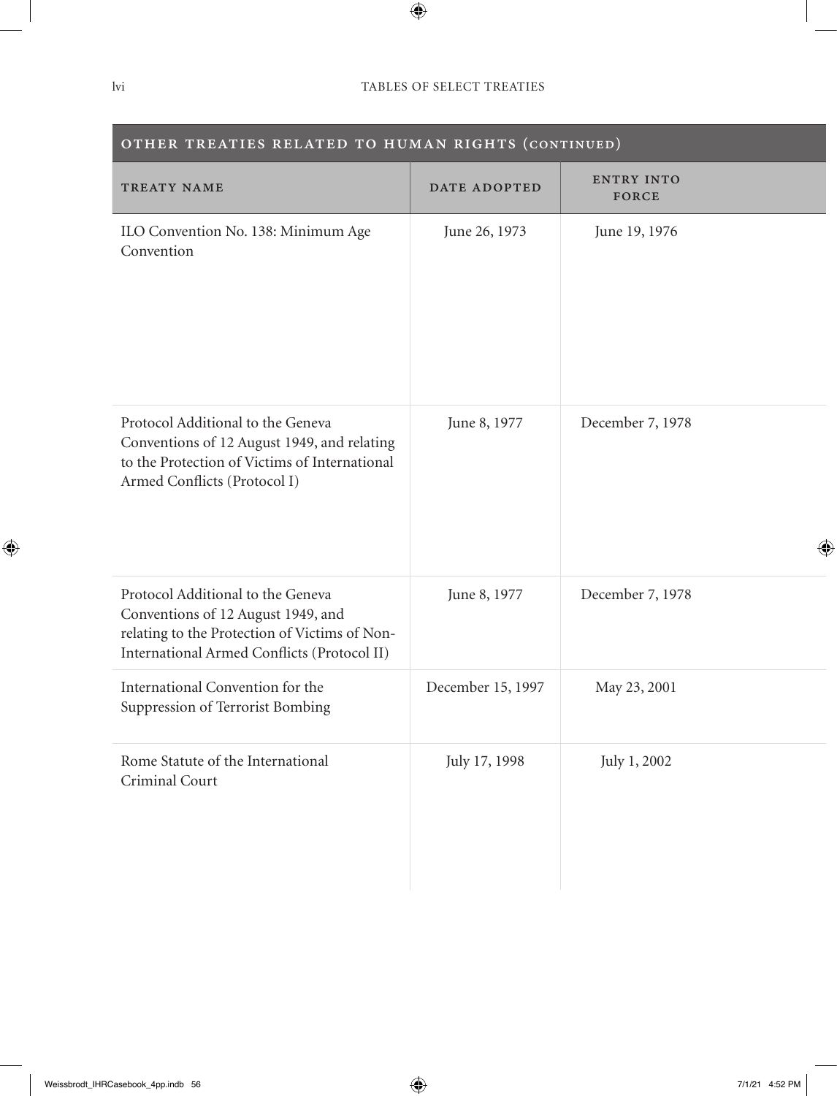| OTHER TREATIES RELATED TO HUMAN RIGHTS (CONTINUED)                                                                                                                      |                   |                            |
|-------------------------------------------------------------------------------------------------------------------------------------------------------------------------|-------------------|----------------------------|
| TREATY NAME                                                                                                                                                             | DATE ADOPTED      | <b>ENTRY INTO</b><br>FORCE |
| ILO Convention No. 138: Minimum Age<br>Convention                                                                                                                       | June 26, 1973     | June 19, 1976              |
| Protocol Additional to the Geneva<br>Conventions of 12 August 1949, and relating<br>to the Protection of Victims of International<br>Armed Conflicts (Protocol I)       | June 8, 1977      | December 7, 1978           |
| Protocol Additional to the Geneva<br>Conventions of 12 August 1949, and<br>relating to the Protection of Victims of Non-<br>International Armed Conflicts (Protocol II) | June 8, 1977      | December 7, 1978           |
| International Convention for the<br>Suppression of Terrorist Bombing                                                                                                    | December 15, 1997 | May 23, 2001               |
| Rome Statute of the International<br>Criminal Court                                                                                                                     | July 17, 1998     | July 1, 2002               |

#### OTHER TREATIES RELATED TO HUMAN RIGHTS (continued)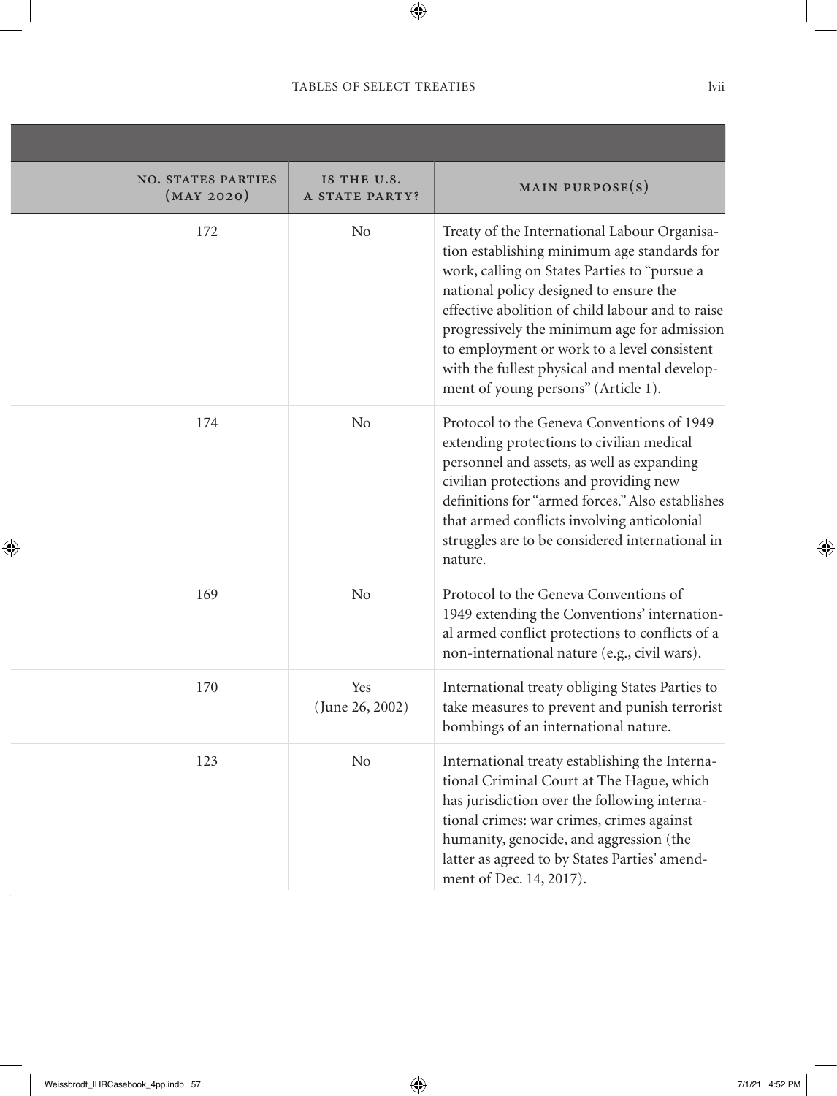,我们也不会有什么。""我们的人,我们也不会有什么?""我们的人,我们也不会有什么?""我们的人,我们也不会有什么?""我们的人,我们也不会有什么?""我们的人

| <b>NO. STATES PARTIES</b><br>(MAY 2020) | IS THE U.S.<br>A STATE PARTY? | MAIN PURPOSE(S)                                                                                                                                                                                                                                                                                                                                                                                                                 |
|-----------------------------------------|-------------------------------|---------------------------------------------------------------------------------------------------------------------------------------------------------------------------------------------------------------------------------------------------------------------------------------------------------------------------------------------------------------------------------------------------------------------------------|
| 172                                     | N <sub>0</sub>                | Treaty of the International Labour Organisa-<br>tion establishing minimum age standards for<br>work, calling on States Parties to "pursue a<br>national policy designed to ensure the<br>effective abolition of child labour and to raise<br>progressively the minimum age for admission<br>to employment or work to a level consistent<br>with the fullest physical and mental develop-<br>ment of young persons" (Article 1). |
| 174                                     | N <sub>o</sub>                | Protocol to the Geneva Conventions of 1949<br>extending protections to civilian medical<br>personnel and assets, as well as expanding<br>civilian protections and providing new<br>definitions for "armed forces." Also establishes<br>that armed conflicts involving anticolonial<br>struggles are to be considered international in<br>nature.                                                                                |
| 169                                     | N <sub>0</sub>                | Protocol to the Geneva Conventions of<br>1949 extending the Conventions' internation-<br>al armed conflict protections to conflicts of a<br>non-international nature (e.g., civil wars).                                                                                                                                                                                                                                        |
| 170                                     | Yes<br>(June 26, 2002)        | International treaty obliging States Parties to<br>take measures to prevent and punish terrorist<br>bombings of an international nature.                                                                                                                                                                                                                                                                                        |
| 123                                     | N <sub>o</sub>                | International treaty establishing the Interna-<br>tional Criminal Court at The Hague, which<br>has jurisdiction over the following interna-<br>tional crimes: war crimes, crimes against<br>humanity, genocide, and aggression (the<br>latter as agreed to by States Parties' amend-<br>ment of Dec. 14, 2017).                                                                                                                 |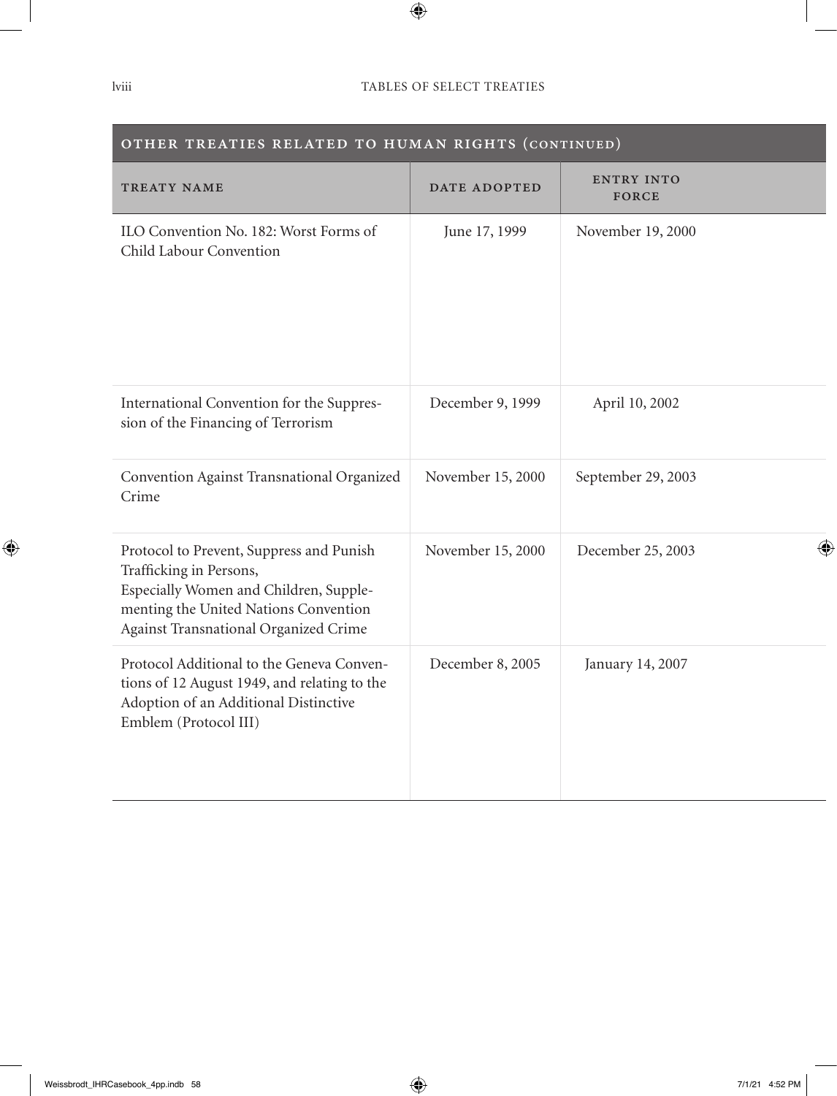| $\sim$ individual no notative no model $\sim$ (commonly)                                                                                                                                        |                   |                                   |
|-------------------------------------------------------------------------------------------------------------------------------------------------------------------------------------------------|-------------------|-----------------------------------|
| TREATY NAME                                                                                                                                                                                     | DATE ADOPTED      | <b>ENTRY INTO</b><br><b>FORCE</b> |
| ILO Convention No. 182: Worst Forms of<br>Child Labour Convention                                                                                                                               | June 17, 1999     | November 19, 2000                 |
| International Convention for the Suppres-<br>sion of the Financing of Terrorism                                                                                                                 | December 9, 1999  | April 10, 2002                    |
| Convention Against Transnational Organized<br>Crime                                                                                                                                             | November 15, 2000 | September 29, 2003                |
| Protocol to Prevent, Suppress and Punish<br>Trafficking in Persons,<br>Especially Women and Children, Supple-<br>menting the United Nations Convention<br>Against Transnational Organized Crime | November 15, 2000 | December 25, 2003                 |
| Protocol Additional to the Geneva Conven-<br>tions of 12 August 1949, and relating to the<br>Adoption of an Additional Distinctive<br>Emblem (Protocol III)                                     | December 8, 2005  | January 14, 2007                  |

#### OTHER TREATIES RELATED TO HUMAN RIGHTS (continued)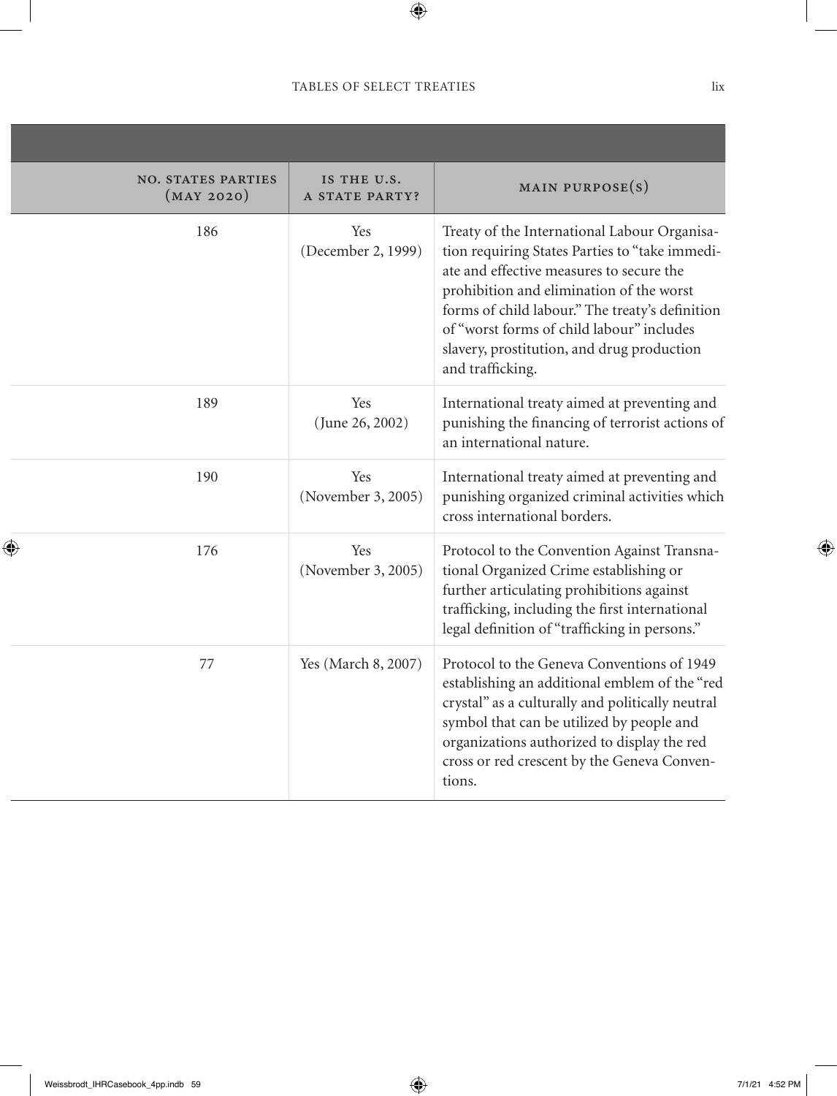| IS THE U.S.<br>A STATE PARTY? | MAIN PURPOSE $(s)$                                                                                                                                                                                                                                                                                                                                       |
|-------------------------------|----------------------------------------------------------------------------------------------------------------------------------------------------------------------------------------------------------------------------------------------------------------------------------------------------------------------------------------------------------|
| Yes<br>(December 2, 1999)     | Treaty of the International Labour Organisa-<br>tion requiring States Parties to "take immedi-<br>ate and effective measures to secure the<br>prohibition and elimination of the worst<br>forms of child labour." The treaty's definition<br>of "worst forms of child labour" includes<br>slavery, prostitution, and drug production<br>and trafficking. |
| Yes<br>(June 26, 2002)        | International treaty aimed at preventing and<br>punishing the financing of terrorist actions of<br>an international nature.                                                                                                                                                                                                                              |
| Yes<br>(November 3, 2005)     | International treaty aimed at preventing and<br>punishing organized criminal activities which<br>cross international borders.                                                                                                                                                                                                                            |
| Yes<br>(November 3, 2005)     | Protocol to the Convention Against Transna-<br>tional Organized Crime establishing or<br>further articulating prohibitions against<br>trafficking, including the first international<br>legal definition of "trafficking in persons."                                                                                                                    |
| Yes (March 8, 2007)           | Protocol to the Geneva Conventions of 1949<br>establishing an additional emblem of the "red<br>crystal" as a culturally and politically neutral<br>symbol that can be utilized by people and<br>organizations authorized to display the red<br>cross or red crescent by the Geneva Conven-<br>tions.                                                     |
|                               |                                                                                                                                                                                                                                                                                                                                                          |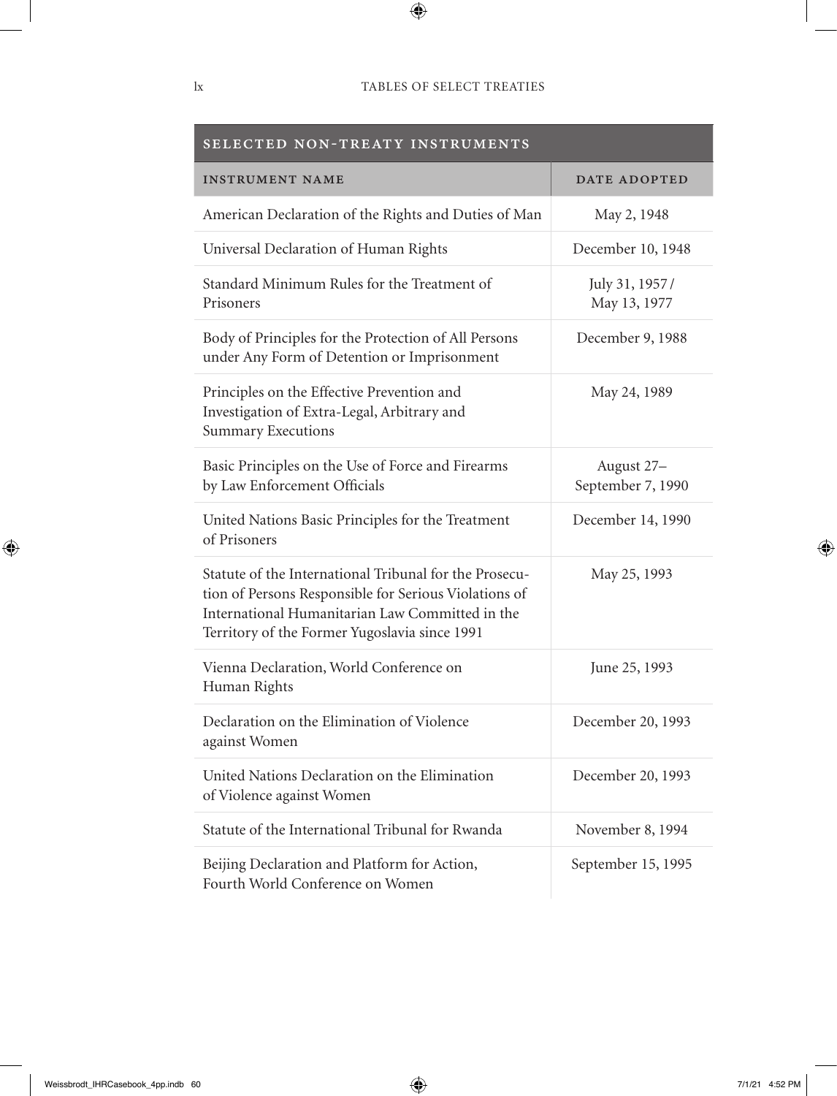| SELECTED NON-TREATY INSTRUMENTS                                                                                                                                                                                     |                                 |  |  |  |
|---------------------------------------------------------------------------------------------------------------------------------------------------------------------------------------------------------------------|---------------------------------|--|--|--|
| <b>INSTRUMENT NAME</b>                                                                                                                                                                                              | DATE ADOPTED                    |  |  |  |
| American Declaration of the Rights and Duties of Man                                                                                                                                                                | May 2, 1948                     |  |  |  |
| Universal Declaration of Human Rights                                                                                                                                                                               | December 10, 1948               |  |  |  |
| Standard Minimum Rules for the Treatment of<br>Prisoners                                                                                                                                                            | July 31, 1957/<br>May 13, 1977  |  |  |  |
| Body of Principles for the Protection of All Persons<br>under Any Form of Detention or Imprisonment                                                                                                                 | December 9, 1988                |  |  |  |
| Principles on the Effective Prevention and<br>Investigation of Extra-Legal, Arbitrary and<br><b>Summary Executions</b>                                                                                              | May 24, 1989                    |  |  |  |
| Basic Principles on the Use of Force and Firearms<br>by Law Enforcement Officials                                                                                                                                   | August 27-<br>September 7, 1990 |  |  |  |
| United Nations Basic Principles for the Treatment<br>of Prisoners                                                                                                                                                   | December 14, 1990               |  |  |  |
| Statute of the International Tribunal for the Prosecu-<br>tion of Persons Responsible for Serious Violations of<br>International Humanitarian Law Committed in the<br>Territory of the Former Yugoslavia since 1991 | May 25, 1993                    |  |  |  |
| Vienna Declaration, World Conference on<br>Human Rights                                                                                                                                                             | June 25, 1993                   |  |  |  |
| Declaration on the Elimination of Violence<br>against Women                                                                                                                                                         | December 20, 1993               |  |  |  |
| United Nations Declaration on the Elimination<br>of Violence against Women                                                                                                                                          | December 20, 1993               |  |  |  |
| Statute of the International Tribunal for Rwanda                                                                                                                                                                    | November 8, 1994                |  |  |  |
| Beijing Declaration and Platform for Action,<br>Fourth World Conference on Women                                                                                                                                    | September 15, 1995              |  |  |  |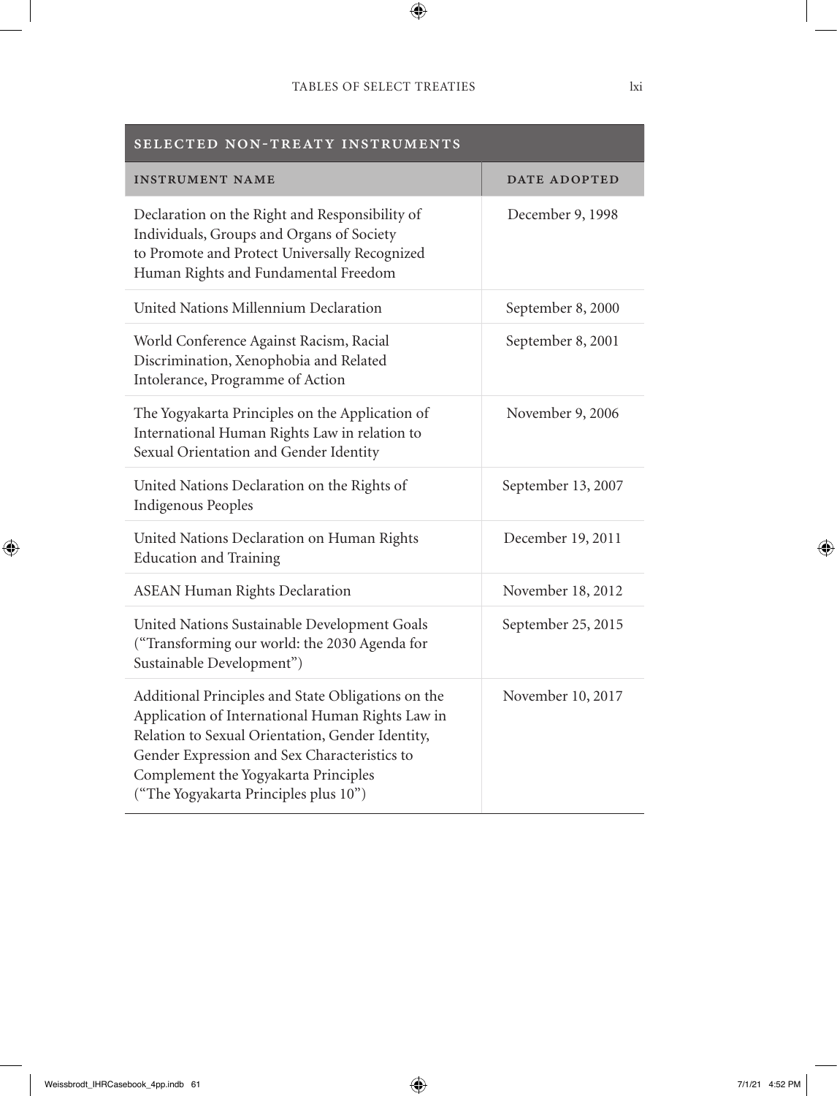| SELECTED NON-TREATY INSTRUMENTS                                                                                                                                                                                                                                                             |                     |  |  |  |
|---------------------------------------------------------------------------------------------------------------------------------------------------------------------------------------------------------------------------------------------------------------------------------------------|---------------------|--|--|--|
| <b>INSTRUMENT NAME</b>                                                                                                                                                                                                                                                                      | <b>DATE ADOPTED</b> |  |  |  |
| Declaration on the Right and Responsibility of<br>Individuals, Groups and Organs of Society<br>to Promote and Protect Universally Recognized<br>Human Rights and Fundamental Freedom                                                                                                        | December 9, 1998    |  |  |  |
| United Nations Millennium Declaration                                                                                                                                                                                                                                                       | September 8, 2000   |  |  |  |
| World Conference Against Racism, Racial<br>Discrimination, Xenophobia and Related<br>Intolerance, Programme of Action                                                                                                                                                                       | September 8, 2001   |  |  |  |
| The Yogyakarta Principles on the Application of<br>International Human Rights Law in relation to<br>Sexual Orientation and Gender Identity                                                                                                                                                  | November 9, 2006    |  |  |  |
| United Nations Declaration on the Rights of<br><b>Indigenous Peoples</b>                                                                                                                                                                                                                    | September 13, 2007  |  |  |  |
| United Nations Declaration on Human Rights<br><b>Education and Training</b>                                                                                                                                                                                                                 | December 19, 2011   |  |  |  |
| <b>ASEAN Human Rights Declaration</b>                                                                                                                                                                                                                                                       | November 18, 2012   |  |  |  |
| United Nations Sustainable Development Goals<br>("Transforming our world: the 2030 Agenda for<br>Sustainable Development")                                                                                                                                                                  | September 25, 2015  |  |  |  |
| Additional Principles and State Obligations on the<br>Application of International Human Rights Law in<br>Relation to Sexual Orientation, Gender Identity,<br>Gender Expression and Sex Characteristics to<br>Complement the Yogyakarta Principles<br>("The Yogyakarta Principles plus 10") | November 10, 2017   |  |  |  |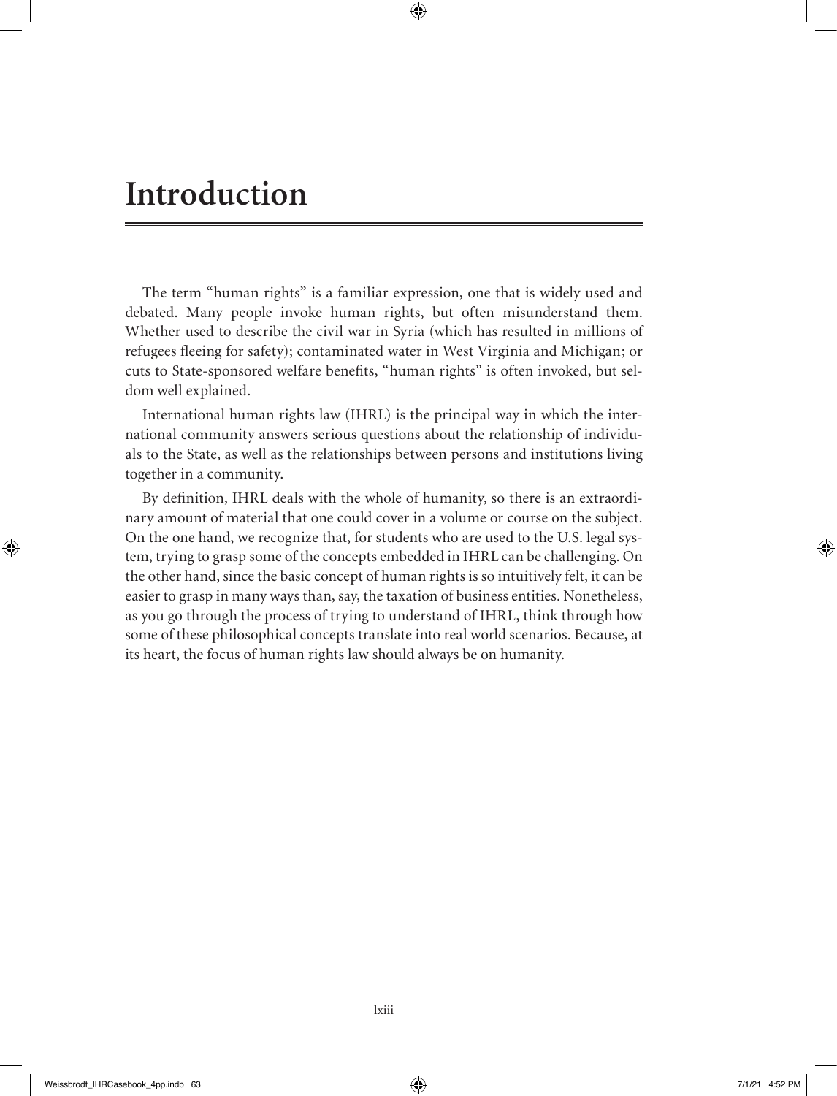# **Introduction**

The term "human rights" is a familiar expression, one that is widely used and debated. Many people invoke human rights, but often misunderstand them. Whether used to describe the civil war in Syria (which has resulted in millions of refugees fleeing for safety); contaminated water in West Virginia and Michigan; or cuts to State-sponsored welfare benefits, "human rights" is often invoked, but seldom well explained.

International human rights law (IHRL) is the principal way in which the international community answers serious questions about the relationship of individuals to the State, as well as the relationships between persons and institutions living together in a community.

By definition, IHRL deals with the whole of humanity, so there is an extraordinary amount of material that one could cover in a volume or course on the subject. On the one hand, we recognize that, for students who are used to the U.S. legal system, trying to grasp some of the concepts embedded in IHRL can be challenging. On the other hand, since the basic concept of human rights is so intuitively felt, it can be easier to grasp in many ways than, say, the taxation of business entities. Nonetheless, as you go through the process of trying to understand of IHRL, think through how some of these philosophical concepts translate into real world scenarios. Because, at its heart, the focus of human rights law should always be on humanity.